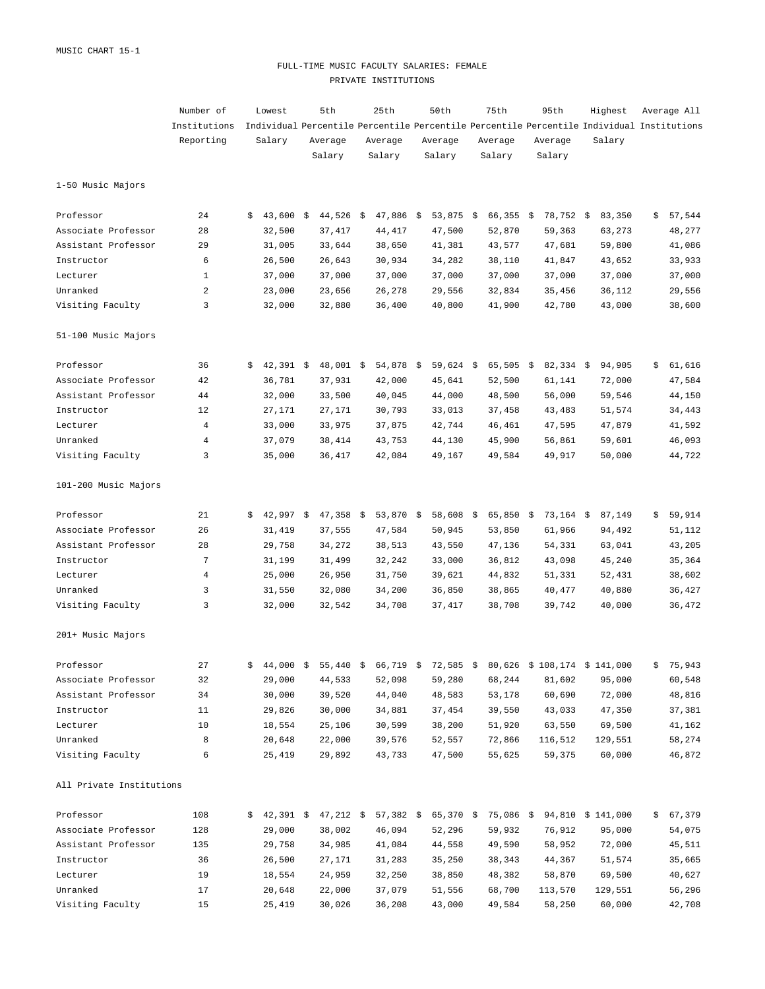### FULL-TIME MUSIC FACULTY SALARIES: FEMALE PRIVATE INSTITUTIONS

|                          | Number of      | Lowest            | 5th          |      | 25th        | 50th      | 75th              | 95th        | Highest                                                                                   | Average All  |
|--------------------------|----------------|-------------------|--------------|------|-------------|-----------|-------------------|-------------|-------------------------------------------------------------------------------------------|--------------|
|                          | Institutions   |                   |              |      |             |           |                   |             | Individual Percentile Percentile Percentile Percentile Percentile Individual Institutions |              |
|                          | Reporting      | Salary            | Average      |      | Average     | Average   | Average           | Average     | Salary                                                                                    |              |
|                          |                |                   | Salary       |      | Salary      | Salary    | Salary            | Salary      |                                                                                           |              |
| 1-50 Music Majors        |                |                   |              |      |             |           |                   |             |                                                                                           |              |
| Professor                | 24             | \$<br>43,600      | \$<br>44,526 | - \$ | $47,886$ \$ | 53,875    | \$<br>$66,355$ \$ | 78,752 \$   | 83,350                                                                                    | \$<br>57,544 |
| Associate Professor      | 28             | 32,500            | 37, 417      |      | 44, 417     | 47,500    | 52,870            | 59,363      | 63,273                                                                                    | 48,277       |
| Assistant Professor      | 29             | 31,005            | 33,644       |      | 38,650      | 41,381    | 43,577            | 47,681      | 59,800                                                                                    | 41,086       |
| Instructor               | 6              | 26,500            | 26,643       |      | 30,934      | 34,282    | 38,110            | 41,847      | 43,652                                                                                    | 33,933       |
| Lecturer                 | $\mathbf{1}$   | 37,000            | 37,000       |      | 37,000      | 37,000    | 37,000            | 37,000      | 37,000                                                                                    | 37,000       |
| Unranked                 | $\overline{a}$ | 23,000            | 23,656       |      | 26,278      | 29,556    | 32,834            | 35,456      | 36,112                                                                                    | 29,556       |
| Visiting Faculty         | 3              | 32,000            | 32,880       |      | 36,400      | 40,800    | 41,900            | 42,780      | 43,000                                                                                    | 38,600       |
| 51-100 Music Majors      |                |                   |              |      |             |           |                   |             |                                                                                           |              |
| Professor                | 36             | \$<br>$42,391$ \$ | 48,001 \$    |      | 54,878 \$   | 59,624 \$ | $65,505$ \$       | $82,334$ \$ | 94,905                                                                                    | \$<br>61,616 |
| Associate Professor      | 42             | 36,781            | 37,931       |      | 42,000      | 45,641    | 52,500            | 61,141      | 72,000                                                                                    | 47,584       |
| Assistant Professor      | 44             | 32,000            | 33,500       |      | 40,045      | 44,000    | 48,500            | 56,000      | 59,546                                                                                    | 44,150       |
| Instructor               | 12             | 27,171            | 27,171       |      | 30,793      | 33,013    | 37,458            | 43,483      | 51,574                                                                                    | 34,443       |
| Lecturer                 | $\overline{4}$ | 33,000            | 33,975       |      | 37,875      | 42,744    | 46,461            | 47,595      | 47,879                                                                                    | 41,592       |
| Unranked                 | $\overline{4}$ | 37,079            | 38,414       |      | 43,753      | 44,130    | 45,900            | 56,861      | 59,601                                                                                    | 46,093       |
| Visiting Faculty         | 3              | 35,000            | 36,417       |      | 42,084      | 49,167    | 49,584            | 49,917      | 50,000                                                                                    | 44,722       |
| 101-200 Music Majors     |                |                   |              |      |             |           |                   |             |                                                                                           |              |
| Professor                | 21             | \$<br>$42,997$ \$ | $47,358$ \$  |      | $53,870$ \$ | 58,608 \$ | $65,850$ \$       | $73,164$ \$ | 87,149                                                                                    | \$<br>59,914 |
| Associate Professor      | 26             | 31,419            | 37,555       |      | 47,584      | 50,945    | 53,850            | 61,966      | 94,492                                                                                    | 51,112       |
| Assistant Professor      | 28             | 29,758            | 34,272       |      | 38,513      | 43,550    | 47,136            | 54,331      | 63,041                                                                                    | 43,205       |
| Instructor               | 7              | 31,199            | 31,499       |      | 32,242      | 33,000    | 36,812            | 43,098      | 45,240                                                                                    | 35,364       |
| Lecturer                 | 4              | 25,000            | 26,950       |      | 31,750      | 39,621    | 44,832            | 51,331      | 52,431                                                                                    | 38,602       |
| Unranked                 | 3              | 31,550            | 32,080       |      | 34,200      | 36,850    | 38,865            | 40,477      | 40,880                                                                                    | 36,427       |
| Visiting Faculty         | 3              | 32,000            | 32,542       |      | 34,708      | 37, 417   | 38,708            | 39,742      | 40,000                                                                                    | 36,472       |
| 201+ Music Majors        |                |                   |              |      |             |           |                   |             |                                                                                           |              |
| Professor                | 27             | 44,000 \$         |              |      |             |           |                   |             | $55,440$ \$ 66,719 \$ 72,585 \$ 80,626 \$ 108,174 \$ 141,000                              | \$75,943     |
| Associate Professor      | 32             | 29,000            | 44,533       |      | 52,098      | 59,280    | 68,244            | 81,602      | 95,000                                                                                    | 60,548       |
| Assistant Professor      | 34             | 30,000            | 39,520       |      | 44,040      | 48,583    | 53,178            | 60,690      | 72,000                                                                                    | 48,816       |
| Instructor               | 11             | 29,826            | 30,000       |      | 34,881      | 37,454    | 39,550            | 43,033      | 47,350                                                                                    | 37,381       |
| Lecturer                 | 10             | 18,554            | 25,106       |      | 30,599      | 38,200    | 51,920            | 63,550      | 69,500                                                                                    | 41,162       |
| Unranked                 | 8              | 20,648            | 22,000       |      | 39,576      | 52,557    | 72,866            | 116,512     | 129,551                                                                                   | 58,274       |
| Visiting Faculty         | 6              | 25,419            | 29,892       |      | 43,733      | 47,500    | 55,625            | 59,375      | 60,000                                                                                    | 46,872       |
| All Private Institutions |                |                   |              |      |             |           |                   |             |                                                                                           |              |
| Professor                | 108            |                   |              |      |             |           |                   |             | $$42,391$ $$47,212$ $$57,382$ $$65,370$ $$75,086$ $$94,810$ $$141,000$                    | \$67,379     |
| Associate Professor      | 128            | 29,000            | 38,002       |      | 46,094      | 52,296    | 59,932            | 76,912      | 95,000                                                                                    | 54,075       |
| Assistant Professor      | 135            | 29,758            | 34,985       |      | 41,084      | 44,558    | 49,590            | 58,952      | 72,000                                                                                    | 45,511       |
| Instructor               | 36             | 26,500            | 27,171       |      | 31,283      | 35,250    | 38,343            | 44,367      | 51,574                                                                                    | 35,665       |
| Lecturer                 | 19             | 18,554            | 24,959       |      | 32,250      | 38,850    | 48,382            | 58,870      | 69,500                                                                                    | 40,627       |
| Unranked                 | 17             | 20,648            | 22,000       |      | 37,079      | 51,556    | 68,700            | 113,570     | 129,551                                                                                   | 56,296       |
| Visiting Faculty         | 15             | 25,419            | 30,026       |      | 36,208      | 43,000    | 49,584            | 58,250      | 60,000                                                                                    | 42,708       |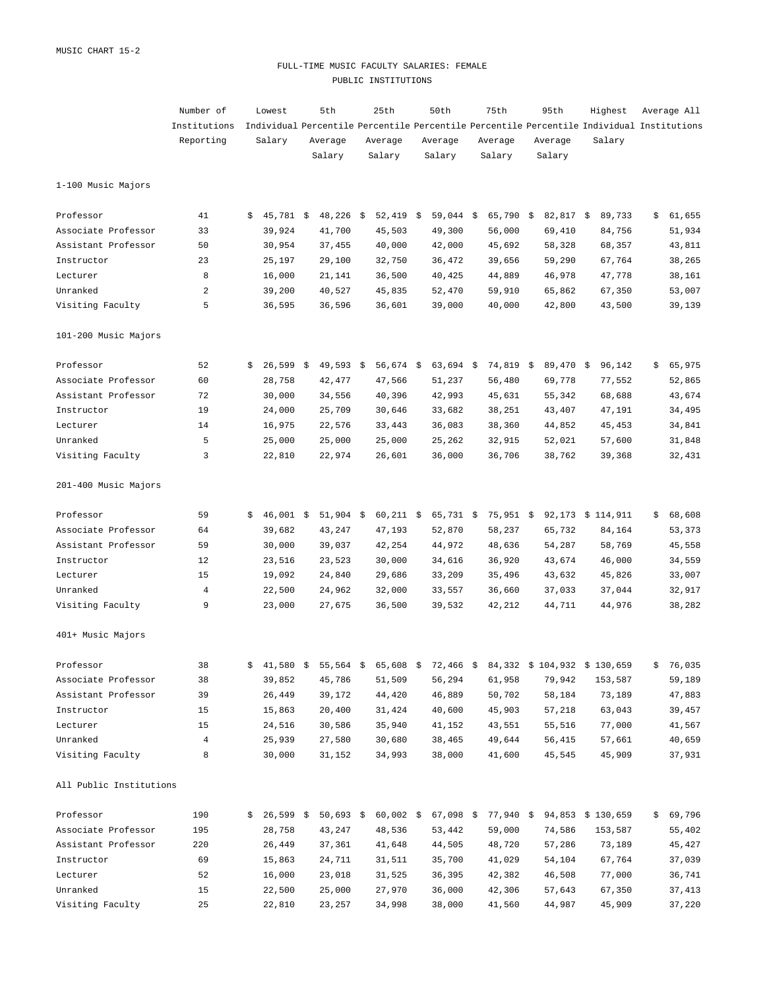### FULL-TIME MUSIC FACULTY SALARIES: FEMALE PUBLIC INSTITUTIONS

|                         | Number of      |    | Lowest      | 5th         | 25th          | 50th        | 75th                                                                    | 95th          | Highest                                                                                   | Average All  |
|-------------------------|----------------|----|-------------|-------------|---------------|-------------|-------------------------------------------------------------------------|---------------|-------------------------------------------------------------------------------------------|--------------|
|                         | Institutions   |    |             |             |               |             |                                                                         |               | Individual Percentile Percentile Percentile Percentile Percentile Individual Institutions |              |
|                         | Reporting      |    | Salary      | Average     | Average       | Average     | Average                                                                 | Average       | Salary                                                                                    |              |
|                         |                |    |             | Salary      | Salary        | Salary      | Salary                                                                  | Salary        |                                                                                           |              |
| 1-100 Music Majors      |                |    |             |             |               |             |                                                                         |               |                                                                                           |              |
| Professor               | 41             | \$ | $45,781$ \$ | $48,226$ \$ | 52,419 \$     | $59,044$ \$ | $65,790$ \$                                                             | 82,817 \$     | 89,733                                                                                    | \$<br>61,655 |
| Associate Professor     | 33             |    | 39,924      | 41,700      | 45,503        | 49,300      | 56,000                                                                  | 69,410        | 84,756                                                                                    | 51,934       |
| Assistant Professor     | 50             |    | 30,954      | 37,455      | 40,000        | 42,000      | 45,692                                                                  | 58,328        | 68,357                                                                                    | 43,811       |
| Instructor              | 23             |    | 25,197      | 29,100      | 32,750        | 36,472      | 39,656                                                                  | 59,290        | 67,764                                                                                    | 38,265       |
| Lecturer                | 8              |    | 16,000      | 21,141      | 36,500        | 40,425      | 44,889                                                                  | 46,978        | 47,778                                                                                    | 38,161       |
| Unranked                | 2              |    | 39,200      | 40,527      | 45,835        | 52,470      | 59,910                                                                  | 65,862        | 67,350                                                                                    | 53,007       |
| Visiting Faculty        | 5              |    | 36,595      | 36,596      | 36,601        | 39,000      | 40,000                                                                  | 42,800        | 43,500                                                                                    | 39,139       |
| 101-200 Music Majors    |                |    |             |             |               |             |                                                                         |               |                                                                                           |              |
| Professor               | 52             | Ŝ. | $26,599$ \$ | $49,593$ \$ | $56,674$ \$   | $63,694$ \$ | 74,819 \$                                                               | 89,470 \$     | 96,142                                                                                    | \$<br>65,975 |
| Associate Professor     | 60             |    | 28,758      | 42,477      | 47,566        | 51,237      | 56,480                                                                  | 69,778        | 77,552                                                                                    | 52,865       |
| Assistant Professor     | 72             |    | 30,000      | 34,556      | 40,396        | 42,993      | 45,631                                                                  | 55,342        | 68,688                                                                                    | 43,674       |
| Instructor              | 19             |    | 24,000      | 25,709      | 30,646        | 33,682      | 38,251                                                                  | 43,407        | 47,191                                                                                    | 34,495       |
| Lecturer                | 14             |    | 16,975      | 22,576      | 33,443        | 36,083      | 38,360                                                                  | 44,852        | 45, 453                                                                                   | 34,841       |
| Unranked                | 5              |    | 25,000      | 25,000      | 25,000        | 25,262      | 32,915                                                                  | 52,021        | 57,600                                                                                    | 31,848       |
| Visiting Faculty        | 3              |    | 22,810      | 22,974      | 26,601        | 36,000      | 36,706                                                                  | 38,762        | 39,368                                                                                    | 32,431       |
| 201-400 Music Majors    |                |    |             |             |               |             |                                                                         |               |                                                                                           |              |
| Professor               | 59             | Ŝ. | $46,001 \&$ | 51,904 \$   | $60,211$ \$   | $65,731$ \$ | $75,951$ \$                                                             |               | 92,173 \$ 114,911                                                                         | \$<br>68,608 |
| Associate Professor     | 64             |    | 39,682      | 43,247      | 47,193        | 52,870      | 58,237                                                                  | 65,732        | 84,164                                                                                    | 53,373       |
| Assistant Professor     | 59             |    | 30,000      | 39,037      | 42,254        | 44,972      | 48,636                                                                  | 54,287        | 58,769                                                                                    | 45,558       |
| Instructor              | 12             |    | 23,516      | 23,523      | 30,000        | 34,616      | 36,920                                                                  | 43,674        | 46,000                                                                                    | 34,559       |
| Lecturer                | 15             |    | 19,092      | 24,840      | 29,686        | 33,209      | 35,496                                                                  | 43,632        | 45,826                                                                                    | 33,007       |
| Unranked                | 4              |    | 22,500      | 24,962      | 32,000        | 33,557      | 36,660                                                                  | 37,033        | 37,044                                                                                    | 32,917       |
| Visiting Faculty        | 9              |    | 23,000      | 27,675      | 36,500        | 39,532      | 42,212                                                                  | 44,711        | 44,976                                                                                    | 38,282       |
| 401+ Music Majors       |                |    |             |             |               |             |                                                                         |               |                                                                                           |              |
| Professor               | 38             |    |             |             |               |             | $$41,580$ $$55,564$ $$65,608$ $$72,466$ $$84,332$ $$104,932$ $$130,659$ |               |                                                                                           | \$76,035     |
| Associate Professor     | 38             |    | 39,852      | 45,786      | 51,509        | 56,294      | 61,958                                                                  |               | 79,942 153,587                                                                            | 59,189       |
| Assistant Professor     | 39             |    | 26,449      |             | 39,172 44,420 | 46,889      |                                                                         | 50,702 58,184 | 73,189                                                                                    | 47,883       |
| Instructor              | 15             |    | 15,863      | 20,400      | 31,424        | 40,600      |                                                                         | 45,903 57,218 | 63,043                                                                                    | 39,457       |
| Lecturer                | 15             |    | 24,516      | 30,586      | 35,940        | 41,152      | 43,551                                                                  | 55,516        | 77,000                                                                                    | 41,567       |
| Unranked                | $\overline{4}$ |    | 25,939      | 27,580      | 30,680        | 38,465      | 49,644                                                                  | 56,415        | 57,661                                                                                    | 40,659       |
| Visiting Faculty        | 8              |    | 30,000      | 31,152      | 34,993        | 38,000      | 41,600                                                                  | 45,545        | 45,909                                                                                    | 37,931       |
| All Public Institutions |                |    |             |             |               |             |                                                                         |               |                                                                                           |              |
| Professor               | 190            |    |             |             |               |             |                                                                         |               | $$26,599$ \$ 50,693 \$ 60,002 \$ 67,098 \$ 77,940 \$ 94,853 \$ 130,659                    | \$69,796     |
| Associate Professor     | 195            |    | 28,758      | 43,247      | 48,536        | 53,442      | 59,000                                                                  |               | 74,586 153,587                                                                            | 55,402       |
| Assistant Professor     | 220            |    | 26,449      |             | 37,361 41,648 | 44,505      | 48,720                                                                  |               | 57,286 73,189                                                                             | 45,427       |
| Instructor              | 69             |    | 15,863      | 24,711      | 31,511        | 35,700      | 41,029                                                                  |               | 54,104 67,764                                                                             | 37,039       |
| Lecturer                | 52             |    | 16,000      | 23,018      | 31,525        | 36,395      | 42,382                                                                  | 46,508        | 77,000                                                                                    | 36,741       |
| Unranked                | 15             |    | 22,500      | 25,000      | 27,970        | 36,000      | 42,306                                                                  | 57,643        | 67,350                                                                                    | 37,413       |
| Visiting Faculty        | 25             |    | 22,810      | 23,257      | 34,998        | 38,000      | 41,560                                                                  | 44,987        | 45,909                                                                                    | 37,220       |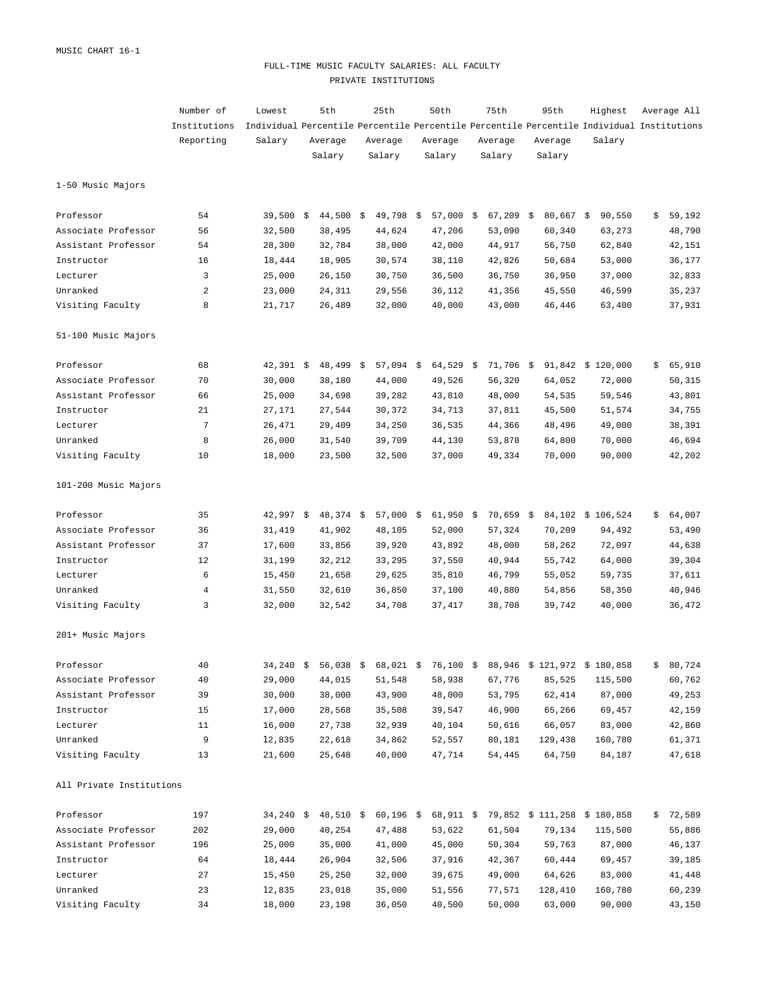## FULL-TIME MUSIC FACULTY SALARIES: ALL FACULTY PRIVATE INSTITUTIONS

|                          | Number of    | Lowest                                                                                    | 5th         | 25th        | 50th        | 75th        | 95th        | Highest                                                                | Average All  |
|--------------------------|--------------|-------------------------------------------------------------------------------------------|-------------|-------------|-------------|-------------|-------------|------------------------------------------------------------------------|--------------|
|                          | Institutions | Individual Percentile Percentile Percentile Percentile Percentile Individual Institutions |             |             |             |             |             |                                                                        |              |
|                          | Reporting    | Salary                                                                                    | Average     | Average     | Average     | Average     | Average     | Salary                                                                 |              |
|                          |              |                                                                                           | Salary      | Salary      | Salary      | Salary      | Salary      |                                                                        |              |
| 1-50 Music Majors        |              |                                                                                           |             |             |             |             |             |                                                                        |              |
| Professor                | 54           | $39,500$ \$                                                                               | $44,500$ \$ | $49,798$ \$ | $57,000$ \$ | $67,209$ \$ | $80,667$ \$ | 90,550                                                                 | \$<br>59,192 |
| Associate Professor      | 56           | 32,500                                                                                    | 38,495      | 44,624      | 47,206      | 53,090      | 60,340      | 63,273                                                                 | 48,790       |
| Assistant Professor      | 54           | 28,300                                                                                    | 32,784      | 38,000      | 42,000      | 44,917      | 56,750      | 62,840                                                                 | 42,151       |
| Instructor               | 16           | 18,444                                                                                    | 18,905      | 30,574      | 38,110      | 42,826      | 50,684      | 53,000                                                                 | 36,177       |
| Lecturer                 | 3            | 25,000                                                                                    | 26,150      | 30,750      | 36,500      | 36,750      | 36,950      | 37,000                                                                 | 32,833       |
| Unranked                 | 2            | 23,000                                                                                    | 24,311      | 29,556      | 36,112      | 41,356      | 45,550      | 46,599                                                                 | 35,237       |
| Visiting Faculty         | 8            | 21,717                                                                                    | 26,489      | 32,000      | 40,000      | 43,000      | 46,446      | 63,400                                                                 | 37,931       |
| 51-100 Music Majors      |              |                                                                                           |             |             |             |             |             |                                                                        |              |
| Professor                | 68           | $42,391$ \$                                                                               | $48,499$ \$ | $57,094$ \$ | $64,529$ \$ | 71,706 \$   |             | 91,842 \$ 120,000                                                      | \$<br>65,910 |
| Associate Professor      | 70           | 30,000                                                                                    | 38,180      | 44,000      | 49,526      | 56,320      | 64,052      | 72,000                                                                 | 50,315       |
| Assistant Professor      | 66           | 25,000                                                                                    | 34,698      | 39,282      | 43,810      | 48,000      | 54,535      | 59,546                                                                 | 43,801       |
| Instructor               | 21           | 27,171                                                                                    | 27,544      | 30,372      | 34,713      | 37,811      | 45,500      | 51,574                                                                 | 34,755       |
| Lecturer                 | 7            | 26,471                                                                                    | 29,409      | 34,250      | 36,535      | 44,366      | 48,496      | 49,000                                                                 | 38,391       |
| Unranked                 | 8            | 26,000                                                                                    | 31,540      | 39,709      | 44,130      | 53,878      | 64,800      | 70,000                                                                 | 46,694       |
| Visiting Faculty         | 10           | 18,000                                                                                    | 23,500      | 32,500      | 37,000      | 49,334      | 70,000      | 90,000                                                                 | 42,202       |
| 101-200 Music Majors     |              |                                                                                           |             |             |             |             |             |                                                                        |              |
| Professor                | 35           | $42,997$ \$                                                                               | $48,374$ \$ | $57,000$ \$ | $61,950$ \$ | $70,659$ \$ |             | 84,102 \$ 106,524                                                      | \$<br>64,007 |
| Associate Professor      | 36           | 31,419                                                                                    | 41,902      | 48,105      | 52,000      | 57,324      | 70,209      | 94,492                                                                 | 53,490       |
| Assistant Professor      | 37           | 17,600                                                                                    | 33,856      | 39,920      | 43,892      | 48,000      | 58,262      | 72,097                                                                 | 44,638       |
| Instructor               | 12           | 31,199                                                                                    | 32,212      | 33,295      | 37,550      | 40,944      | 55,742      | 64,000                                                                 | 39,304       |
| Lecturer                 | 6            | 15,450                                                                                    | 21,658      | 29,625      | 35,810      | 46,799      | 55,052      | 59,735                                                                 | 37,611       |
| Unranked                 | 4            | 31,550                                                                                    | 32,610      | 36,850      | 37,100      | 40,880      | 54,856      | 58,350                                                                 | 40,946       |
| Visiting Faculty         | 3            | 32,000                                                                                    | 32,542      | 34,708      | 37,417      | 38,708      | 39,742      | 40,000                                                                 | 36,472       |
| 201+ Music Majors        |              |                                                                                           |             |             |             |             |             |                                                                        |              |
| Professor                | 40           |                                                                                           |             |             |             |             |             | $34,240$ \$ 56,038 \$ 68,021 \$ 76,100 \$ 88,946 \$ 121,972 \$ 180,858 | \$80,724     |
| Associate Professor      | 40           | 29,000                                                                                    | 44,015      | 51,548      | 58,938      | 67,776      | 85,525      | 115,500                                                                | 60,762       |
| Assistant Professor      | 39           | 30,000                                                                                    | 38,000      | 43,900      | 48,000      | 53,795      | 62,414      | 87,000                                                                 | 49,253       |
| Instructor               | 15           | 17,000                                                                                    | 28,568      | 35,508      | 39,547      | 46,900      | 65,266      | 69,457                                                                 | 42,159       |
| Lecturer                 | 11           | 16,000                                                                                    | 27,738      | 32,939      | 40,104      | 50,616      | 66,057      | 83,000                                                                 | 42,860       |
| Unranked                 | 9            | 12,835                                                                                    | 22,618      | 34,862      | 52,557      | 80,181      | 129,438     | 160,780                                                                | 61,371       |
| Visiting Faculty         | 13           | 21,600                                                                                    | 25,648      | 40,000      | 47,714      | 54,445      | 64,750      | 84,187                                                                 | 47,618       |
| All Private Institutions |              |                                                                                           |             |             |             |             |             |                                                                        |              |
| Professor                | 197          |                                                                                           |             |             |             |             |             | 34,240 \$ 48,510 \$ 60,196 \$ 68,911 \$ 79,852 \$ 111,258 \$ 180,858   | \$72,589     |
| Associate Professor      | 202          | 29,000                                                                                    | 40,254      | 47,488      | 53,622      | 61,504      | 79,134      | 115,500                                                                | 55,886       |
| Assistant Professor      | 196          | 25,000                                                                                    | 35,000      | 41,000      | 45,000      | 50,304      | 59,763      | 87,000                                                                 | 46,137       |
| Instructor               | 64           | 18,444                                                                                    | 26,904      | 32,506      | 37,916      | 42,367      | 60,444      | 69,457                                                                 | 39,185       |
| Lecturer                 | 27           | 15,450                                                                                    | 25,250      | 32,000      | 39,675      | 49,000      | 64,626      | 83,000                                                                 | 41,448       |
| Unranked                 | 23           | 12,835                                                                                    | 23,018      | 35,000      | 51,556      | 77,571      | 128,410     | 160,780                                                                | 60,239       |
| Visiting Faculty         | 34           | 18,000                                                                                    | 23,198      | 36,050      | 40,500      | 50,000      | 63,000      | 90,000                                                                 | 43,150       |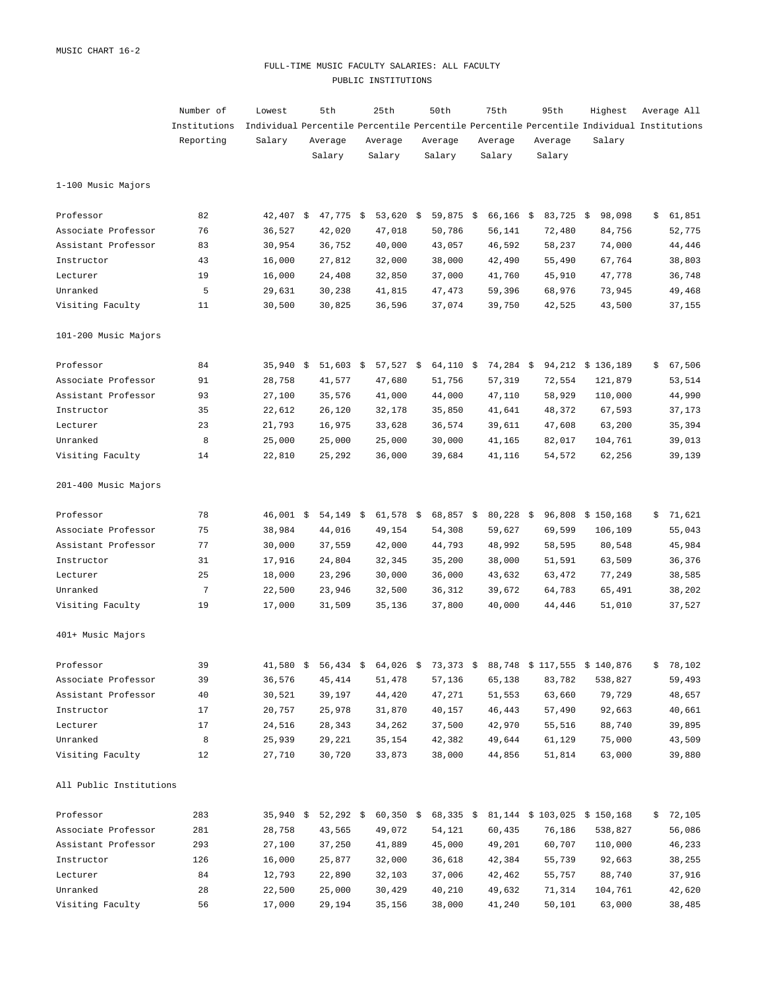## FULL-TIME MUSIC FACULTY SALARIES: ALL FACULTY PUBLIC INSTITUTIONS

|                         | Number of      | Lowest                                                                                    | 5th         | 25th        | 50th        | 75th        | 95th        | Highest                                                              | Average All  |
|-------------------------|----------------|-------------------------------------------------------------------------------------------|-------------|-------------|-------------|-------------|-------------|----------------------------------------------------------------------|--------------|
|                         | Institutions   | Individual Percentile Percentile Percentile Percentile Percentile Individual Institutions |             |             |             |             |             |                                                                      |              |
|                         | Reporting      | Salary                                                                                    | Average     | Average     | Average     | Average     | Average     | Salary                                                               |              |
|                         |                |                                                                                           | Salary      | Salary      | Salary      | Salary      | Salary      |                                                                      |              |
| 1-100 Music Majors      |                |                                                                                           |             |             |             |             |             |                                                                      |              |
| Professor               | 82             | $42,407$ \$                                                                               | $47,775$ \$ | 53,620 \$   | $59,875$ \$ | $66,166$ \$ | $83,725$ \$ | 98,098                                                               | \$<br>61,851 |
| Associate Professor     | 76             | 36,527                                                                                    | 42,020      | 47,018      | 50,786      | 56,141      | 72,480      | 84,756                                                               | 52,775       |
| Assistant Professor     | 83             | 30,954                                                                                    | 36,752      | 40,000      | 43,057      | 46,592      | 58,237      | 74,000                                                               | 44,446       |
| Instructor              | 43             | 16,000                                                                                    | 27,812      | 32,000      | 38,000      | 42,490      | 55,490      | 67,764                                                               | 38,803       |
| Lecturer                | 19             | 16,000                                                                                    | 24,408      | 32,850      | 37,000      | 41,760      | 45,910      | 47,778                                                               | 36,748       |
| Unranked                | 5              | 29,631                                                                                    | 30,238      | 41,815      | 47,473      | 59,396      | 68,976      | 73,945                                                               | 49,468       |
| Visiting Faculty        | 11             | 30,500                                                                                    | 30,825      | 36,596      | 37,074      | 39,750      | 42,525      | 43,500                                                               | 37,155       |
| 101-200 Music Majors    |                |                                                                                           |             |             |             |             |             |                                                                      |              |
| Professor               | 84             | $35,940$ \$                                                                               | $51,603$ \$ | $57,527$ \$ | $64,110$ \$ | 74,284 \$   |             | 94,212 \$ 136,189                                                    | \$<br>67,506 |
| Associate Professor     | 91             | 28,758                                                                                    | 41,577      | 47,680      | 51,756      | 57,319      | 72,554      | 121,879                                                              | 53,514       |
| Assistant Professor     | 93             | 27,100                                                                                    | 35,576      | 41,000      | 44,000      | 47,110      | 58,929      | 110,000                                                              | 44,990       |
| Instructor              | 35             | 22,612                                                                                    | 26,120      | 32,178      | 35,850      | 41,641      | 48,372      | 67,593                                                               | 37,173       |
| Lecturer                | 23             | 21,793                                                                                    | 16,975      | 33,628      | 36,574      | 39,611      | 47,608      | 63,200                                                               | 35,394       |
| Unranked                | 8              | 25,000                                                                                    | 25,000      | 25,000      | 30,000      | 41,165      | 82,017      | 104,761                                                              | 39,013       |
| Visiting Faculty        | 14             | 22,810                                                                                    | 25,292      | 36,000      | 39,684      | 41,116      | 54,572      | 62,256                                                               | 39,139       |
| 201-400 Music Majors    |                |                                                                                           |             |             |             |             |             |                                                                      |              |
| Professor               | 78             | 46,001 \$                                                                                 | 54,149 \$   | $61,578$ \$ | $68,857$ \$ | $80,228$ \$ |             | 96,808 \$150,168                                                     | \$<br>71,621 |
| Associate Professor     | 75             | 38,984                                                                                    | 44,016      | 49,154      | 54,308      | 59,627      | 69,599      | 106,109                                                              | 55,043       |
| Assistant Professor     | 77             | 30,000                                                                                    | 37,559      | 42,000      | 44,793      | 48,992      | 58,595      | 80,548                                                               | 45,984       |
| Instructor              | 31             | 17,916                                                                                    | 24,804      | 32,345      | 35,200      | 38,000      | 51,591      | 63,509                                                               | 36,376       |
| Lecturer                | 25             | 18,000                                                                                    | 23,296      | 30,000      | 36,000      | 43,632      | 63,472      | 77,249                                                               | 38,585       |
| Unranked                | $\overline{7}$ | 22,500                                                                                    | 23,946      | 32,500      | 36,312      | 39,672      | 64,783      | 65,491                                                               | 38,202       |
| Visiting Faculty        | 19             | 17,000                                                                                    | 31,509      | 35,136      | 37,800      | 40,000      | 44,446      | 51,010                                                               | 37,527       |
| 401+ Music Majors       |                |                                                                                           |             |             |             |             |             |                                                                      |              |
| Professor               | 39             |                                                                                           |             |             |             |             |             | 41,580 \$ 56,434 \$ 64,026 \$ 73,373 \$ 88,748 \$ 117,555 \$ 140,876 | \$78,102     |
| Associate Professor     | 39             | 36,576                                                                                    | 45,414      | 51,478      | 57,136      | 65,138      | 83,782      | 538,827                                                              | 59,493       |
| Assistant Professor     | 40             | 30,521                                                                                    | 39,197      | 44,420      | 47,271      | 51,553      | 63,660      | 79,729                                                               | 48,657       |
| Instructor              | 17             | 20,757                                                                                    | 25,978      | 31,870      | 40,157      | 46,443      | 57,490      | 92,663                                                               | 40,661       |
| Lecturer                | 17             | 24,516                                                                                    | 28,343      | 34,262      | 37,500      | 42,970      | 55,516      | 88,740                                                               | 39,895       |
| Unranked                | 8              | 25,939                                                                                    | 29,221      | 35,154      | 42,382      | 49,644      | 61,129      | 75,000                                                               | 43,509       |
| Visiting Faculty        | 12             | 27,710                                                                                    | 30,720      | 33,873      | 38,000      | 44,856      | 51,814      | 63,000                                                               | 39,880       |
| All Public Institutions |                |                                                                                           |             |             |             |             |             |                                                                      |              |
| Professor               | 283            |                                                                                           |             |             |             |             |             | 35,940 \$ 52,292 \$ 60,350 \$ 68,335 \$ 81,144 \$ 103,025 \$ 150,168 | \$72,105     |
| Associate Professor     | 281            | 28,758                                                                                    | 43,565      | 49,072      | 54,121      | 60,435      | 76,186      | 538,827                                                              | 56,086       |
| Assistant Professor     | 293            | 27,100                                                                                    | 37,250      | 41,889      | 45,000      | 49,201      | 60,707      | 110,000                                                              | 46,233       |
| Instructor              | 126            | 16,000                                                                                    | 25,877      | 32,000      | 36,618      | 42,384      | 55,739      | 92,663                                                               | 38,255       |
| Lecturer                | 84             | 12,793                                                                                    | 22,890      | 32,103      | 37,006      | 42,462      | 55,757      | 88,740                                                               | 37,916       |
| Unranked                | 28             | 22,500                                                                                    | 25,000      | 30,429      | 40,210      | 49,632      | 71,314      | 104,761                                                              | 42,620       |
| Visiting Faculty        | 56             | 17,000                                                                                    | 29,194      | 35,156      | 38,000      | 41,240      | 50,101      | 63,000                                                               | 38,485       |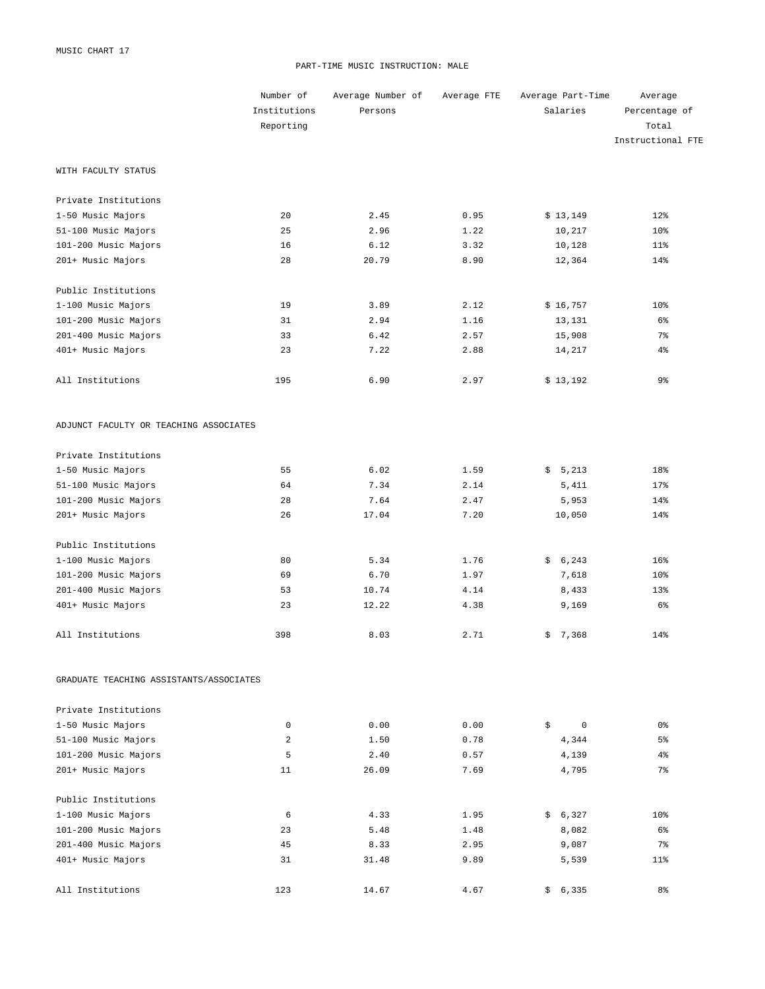#### PART-TIME MUSIC INSTRUCTION: MALE

|                                         | Number of    | Average Number of | Average FTE | Average Part-Time | Average           |
|-----------------------------------------|--------------|-------------------|-------------|-------------------|-------------------|
|                                         | Institutions | Persons           |             | Salaries          | Percentage of     |
|                                         | Reporting    |                   |             |                   | Total             |
|                                         |              |                   |             |                   | Instructional FTE |
| WITH FACULTY STATUS                     |              |                   |             |                   |                   |
| Private Institutions                    |              |                   |             |                   |                   |
| 1-50 Music Majors                       | 20           | 2.45              | 0.95        | \$13,149          | 12%               |
| 51-100 Music Majors                     | 25           | 2.96              | 1.22        | 10,217            | 10 <sup>8</sup>   |
| 101-200 Music Majors                    | 16           | 6.12              | 3.32        | 10,128            | $11$ %            |
| 201+ Music Majors                       | 28           | 20.79             | 8.90        | 12,364            | 14%               |
| Public Institutions                     |              |                   |             |                   |                   |
| 1-100 Music Majors                      | 19           | 3.89              | 2.12        | \$16,757          | 10 <sup>8</sup>   |
| 101-200 Music Majors                    | 31           | 2.94              | 1.16        | 13,131            | 6%                |
| 201-400 Music Majors                    | 33           | 6.42              | 2.57        | 15,908            | $7\%$             |
| 401+ Music Majors                       | 23           | 7.22              | 2.88        | 14,217            | $4\%$             |
| All Institutions                        | 195          | 6.90              | 2.97        | \$13,192          | 9%                |
| ADJUNCT FACULTY OR TEACHING ASSOCIATES  |              |                   |             |                   |                   |
| Private Institutions                    |              |                   |             |                   |                   |
| 1-50 Music Majors                       | 55           | 6.02              | 1.59        | \$5,213           | 18%               |
| 51-100 Music Majors                     | 64           | 7.34              | 2.14        | 5,411             | 17%               |
| 101-200 Music Majors                    | 28           | 7.64              | 2.47        | 5,953             | 14%               |
| 201+ Music Majors                       | 26           | 17.04             | 7.20        | 10,050            | 14%               |
| Public Institutions                     |              |                   |             |                   |                   |
| 1-100 Music Majors                      | 80           | 5.34              | 1.76        | \$6,243           | 16%               |
| 101-200 Music Majors                    | 69           | 6.70              | 1.97        | 7,618             | 10 <sup>8</sup>   |
| 201-400 Music Majors                    | 53           | 10.74             | 4.14        | 8,433             | 13%               |
| 401+ Music Majors                       | 23           | 12.22             | 4.38        | 9,169             | $6\%$             |
| All Institutions                        | 398          | 8.03              | 2.71        | \$7,368           | 14%               |
| GRADUATE TEACHING ASSISTANTS/ASSOCIATES |              |                   |             |                   |                   |
| Private Institutions                    |              |                   |             |                   |                   |
| 1-50 Music Majors                       | $\mathbf 0$  | 0.00              | 0.00        | \$<br>$\mathbf 0$ | 0 %               |
| 51-100 Music Majors                     | 2            | 1.50              | 0.78        | 4,344             | 5%                |
| 101-200 Music Majors                    | 5            | 2.40              | 0.57        | 4,139             | $4\,$             |
| 201+ Music Majors                       | 11           | 26.09             | 7.69        | 4,795             | $7\%$             |
| Public Institutions                     |              |                   |             |                   |                   |
| 1-100 Music Majors                      | 6            | 4.33              | 1.95        | \$6,327           | 10 <sup>8</sup>   |
| 101-200 Music Majors                    | 23           | 5.48              | 1.48        | 8,082             | 6%                |
| 201-400 Music Majors                    | 45           | 8.33              | 2.95        | 9,087             | $7\%$             |
| 401+ Music Majors                       | 31           | 31.48             | 9.89        | 5,539             | $11$ %            |
| All Institutions                        | 123          | 14.67             | 4.67        | \$6,335           | 8 <sup>°</sup>    |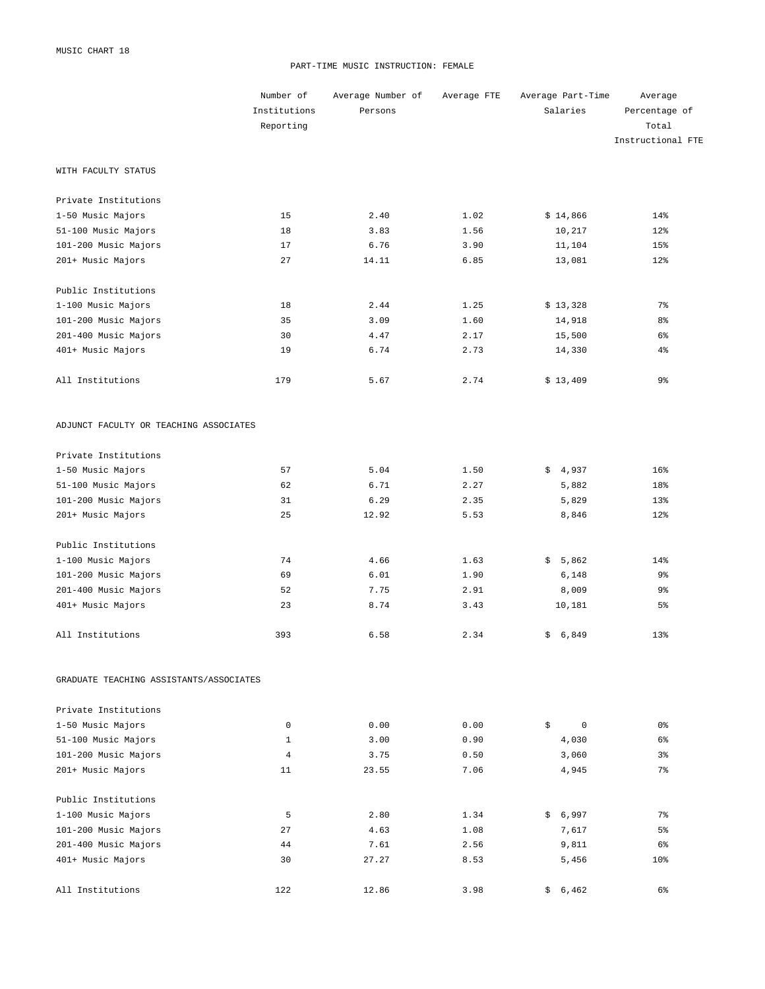#### PART-TIME MUSIC INSTRUCTION: FEMALE

|                                         | Number of    | Average Number of | Average FTE | Average Part-Time | Average           |
|-----------------------------------------|--------------|-------------------|-------------|-------------------|-------------------|
|                                         | Institutions | Persons           |             | Salaries          | Percentage of     |
|                                         | Reporting    |                   |             |                   | Total             |
|                                         |              |                   |             |                   | Instructional FTE |
| WITH FACULTY STATUS                     |              |                   |             |                   |                   |
| Private Institutions                    |              |                   |             |                   |                   |
| 1-50 Music Majors                       | 15           | 2.40              | 1.02        | \$14,866          | 14%               |
| 51-100 Music Majors                     | 18           | 3.83              | 1.56        | 10,217            | 12%               |
| 101-200 Music Majors                    | 17           | 6.76              | 3.90        | 11,104            | 15%               |
| 201+ Music Majors                       | 27           | 14.11             | 6.85        | 13,081            | 12%               |
| Public Institutions                     |              |                   |             |                   |                   |
| 1-100 Music Majors                      | 18           | 2.44              | 1.25        | \$13,328          | $7\%$             |
| 101-200 Music Majors                    | 35           | 3.09              | 1.60        | 14,918            | 8 <sup>°</sup>    |
| 201-400 Music Majors                    | 30           | 4.47              | 2.17        | 15,500            | $6\%$             |
| 401+ Music Majors                       | 19           | 6.74              | 2.73        | 14,330            | $4\%$             |
| All Institutions                        | 179          | 5.67              | 2.74        | \$13,409          | 9%                |
| ADJUNCT FACULTY OR TEACHING ASSOCIATES  |              |                   |             |                   |                   |
| Private Institutions                    |              |                   |             |                   |                   |
| 1-50 Music Majors                       | 57           | 5.04              | 1.50        | \$4,937           | 16%               |
| 51-100 Music Majors                     | 62           | 6.71              | 2.27        | 5,882             | 18%               |
| 101-200 Music Majors                    | 31           | 6.29              | 2.35        | 5,829             | 13%               |
| 201+ Music Majors                       | 25           | 12.92             | 5.53        | 8,846             | 12%               |
| Public Institutions                     |              |                   |             |                   |                   |
| 1-100 Music Majors                      | 74           | 4.66              | 1.63        | \$5,862           | 14%               |
| 101-200 Music Majors                    | 69           | 6.01              | 1.90        | 6,148             | 9%                |
| 201-400 Music Majors                    | 52           | 7.75              | 2.91        | 8,009             | 9%                |
| 401+ Music Majors                       | 23           | 8.74              | 3.43        | 10,181            | 5 <sup>°</sup>    |
| All Institutions                        | 393          | 6.58              | 2.34        | \$6,849           | 13%               |
| GRADUATE TEACHING ASSISTANTS/ASSOCIATES |              |                   |             |                   |                   |
| Private Institutions                    |              |                   |             |                   |                   |
| 1-50 Music Majors                       | $\mathbf 0$  | 0.00              | 0.00        | \$<br>0           | 0 %               |
| 51-100 Music Majors                     | 1            | 3.00              | 0.90        | 4,030             | 6%                |
| 101-200 Music Majors                    | 4            | 3.75              | 0.50        | 3,060             | 3%                |
| 201+ Music Majors                       | 11           | 23.55             | 7.06        | 4,945             | $7\%$             |
| Public Institutions                     |              |                   |             |                   |                   |
| 1-100 Music Majors                      | 5            | 2.80              | 1.34        | \$6,997           | 7%                |
| 101-200 Music Majors                    | 27           | 4.63              | 1.08        | 7,617             | 5%                |
| 201-400 Music Majors                    | 44           | 7.61              | 2.56        | 9,811             | 6%                |
| 401+ Music Majors                       | 30           | 27.27             | 8.53        | 5,456             | 10 <sub>8</sub>   |
| All Institutions                        | 122          | 12.86             | 3.98        | 6,462<br>\$       | 6%                |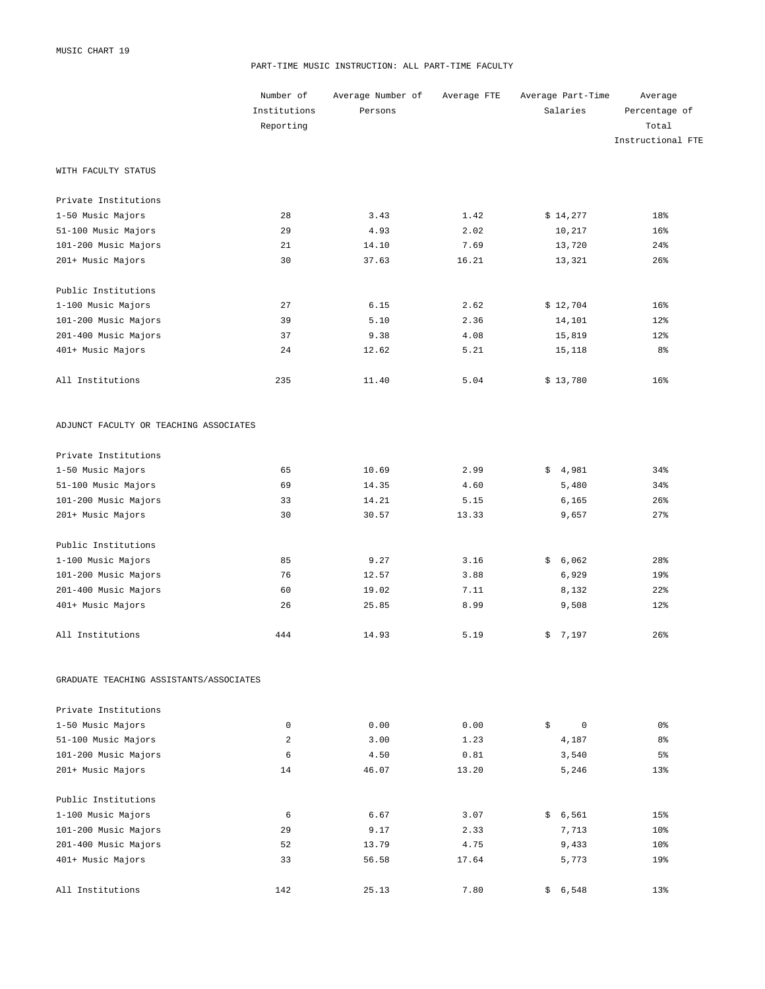#### PART-TIME MUSIC INSTRUCTION: ALL PART-TIME FACULTY

|                                         | Number of               | Average Number of | Average FTE | Average Part-Time | Average           |
|-----------------------------------------|-------------------------|-------------------|-------------|-------------------|-------------------|
|                                         | Institutions            | Persons           |             | Salaries          | Percentage of     |
|                                         | Reporting               |                   |             |                   | Total             |
|                                         |                         |                   |             |                   | Instructional FTE |
| WITH FACULTY STATUS                     |                         |                   |             |                   |                   |
| Private Institutions                    |                         |                   |             |                   |                   |
| 1-50 Music Majors                       | 28                      | 3.43              | 1.42        | \$14,277          | 18%               |
| 51-100 Music Majors                     | 29                      | 4.93              | 2.02        | 10,217            | 16%               |
| 101-200 Music Majors                    | 21                      | 14.10             | 7.69        | 13,720            | 24%               |
| 201+ Music Majors                       | 30                      | 37.63             | 16.21       | 13,321            | 26%               |
| Public Institutions                     |                         |                   |             |                   |                   |
| 1-100 Music Majors                      | 27                      | 6.15              | 2.62        | \$12,704          | 16%               |
| 101-200 Music Majors                    | 39                      | 5.10              | 2.36        | 14,101            | 12%               |
| 201-400 Music Majors                    | 37                      | 9.38              | 4.08        | 15,819            | 12%               |
| 401+ Music Majors                       | 24                      | 12.62             | 5.21        | 15,118            | 8 <sup>°</sup>    |
| All Institutions                        | 235                     | 11.40             | 5.04        | \$13,780          | 16%               |
| ADJUNCT FACULTY OR TEACHING ASSOCIATES  |                         |                   |             |                   |                   |
| Private Institutions                    |                         |                   |             |                   |                   |
| 1-50 Music Majors                       | 65                      | 10.69             | 2.99        | \$4,981           | 34%               |
| 51-100 Music Majors                     | 69                      | 14.35             | 4.60        | 5,480             | 34%               |
| 101-200 Music Majors                    | 33                      | 14.21             | 5.15        | 6,165             | 26%               |
| 201+ Music Majors                       | 30                      | 30.57             | 13.33       | 9,657             | 27%               |
| Public Institutions                     |                         |                   |             |                   |                   |
| 1-100 Music Majors                      | 85                      | 9.27              | 3.16        | \$6,062           | 28%               |
| 101-200 Music Majors                    | 76                      | 12.57             | 3.88        | 6,929             | 19%               |
| 201-400 Music Majors                    | 60                      | 19.02             | 7.11        | 8,132             | 22%               |
| 401+ Music Majors                       | 26                      | 25.85             | 8.99        | 9,508             | 12%               |
| All Institutions                        | 444                     | 14.93             | 5.19        | \$7,197           | 26%               |
| GRADUATE TEACHING ASSISTANTS/ASSOCIATES |                         |                   |             |                   |                   |
| Private Institutions                    |                         |                   |             |                   |                   |
| 1-50 Music Majors                       | 0                       | 0.00              | 0.00        | \$<br>$\circ$     | 0 %               |
| 51-100 Music Majors                     | $\overline{\mathbf{c}}$ | 3.00              | 1.23        | 4,187             | 8 <sup>°</sup>    |
| 101-200 Music Majors                    | 6                       | 4.50              | 0.81        | 3,540             | 5%                |
| 201+ Music Majors                       | 14                      | 46.07             | 13.20       | 5,246             | 13%               |
| Public Institutions                     |                         |                   |             |                   |                   |
| 1-100 Music Majors                      | 6                       | 6.67              | 3.07        | \$6,561           | 15%               |
| 101-200 Music Majors                    | 29                      | 9.17              | 2.33        | 7,713             | 10%               |
| 201-400 Music Majors                    | 52                      | 13.79             | 4.75        | 9,433             | 10%               |
| 401+ Music Majors                       | 33                      | 56.58             | 17.64       | 5,773             | 19%               |
| All Institutions                        | 142                     | 25.13             | 7.80        | \$6,548           | 13%               |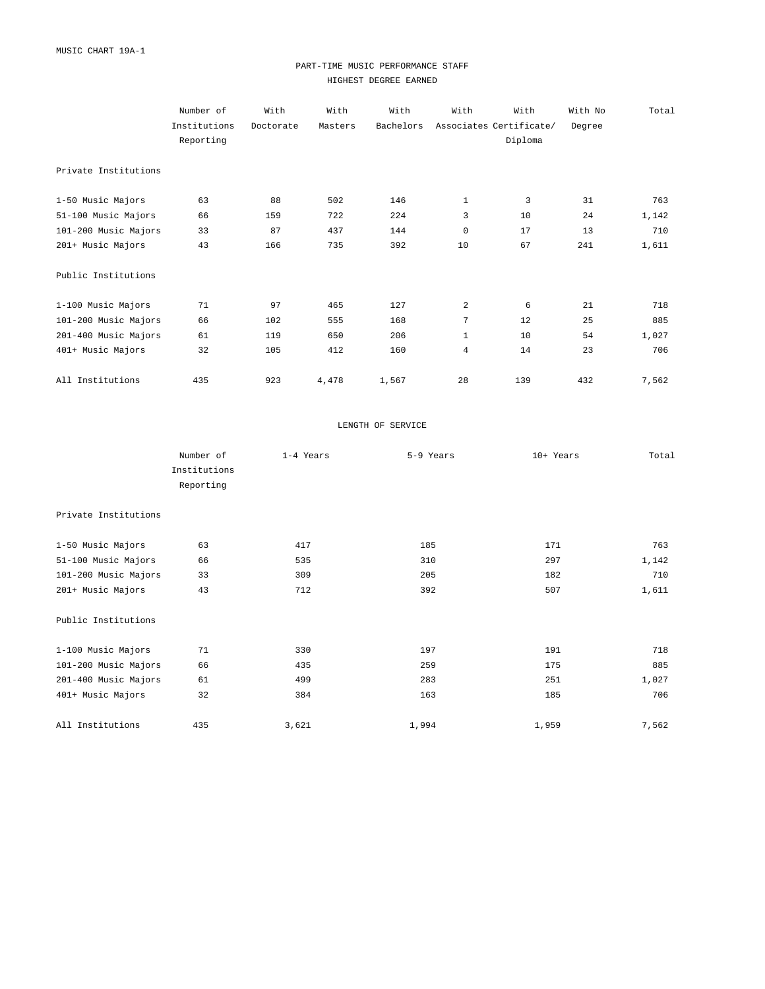## PART-TIME MUSIC PERFORMANCE STAFF HIGHEST DEGREE EARNED

|                      | Number of    | With      | With    | With      | With           | With                    | With No | Total |
|----------------------|--------------|-----------|---------|-----------|----------------|-------------------------|---------|-------|
|                      | Institutions | Doctorate | Masters | Bachelors |                | Associates Certificate/ | Degree  |       |
|                      | Reporting    |           |         |           |                | Diploma                 |         |       |
|                      |              |           |         |           |                |                         |         |       |
| Private Institutions |              |           |         |           |                |                         |         |       |
|                      |              |           |         |           |                |                         |         |       |
| 1-50 Music Majors    | 63           | 88        | 502     | 146       | $\mathbf{1}$   | 3                       | 31      | 763   |
| 51-100 Music Majors  | 66           | 159       | 722     | 224       | 3              | 10                      | 24      | 1,142 |
| 101-200 Music Majors | 33           | 87        | 437     | 144       | 0              | 17                      | 13      | 710   |
| 201+ Music Majors    | 43           | 166       | 735     | 392       | 10             | 67                      | 241     | 1,611 |
|                      |              |           |         |           |                |                         |         |       |
| Public Institutions  |              |           |         |           |                |                         |         |       |
|                      |              |           |         |           |                |                         |         |       |
| 1-100 Music Majors   | 71           | 97        | 465     | 127       | 2              | 6                       | 21      | 718   |
| 101-200 Music Majors | 66           | 102       | 555     | 168       | 7              | 12                      | 25      | 885   |
| 201-400 Music Majors | 61           | 119       | 650     | 206       | $\mathbf{1}$   | 10                      | 54      | 1,027 |
| 401+ Music Majors    | 32           | 105       | 412     | 160       | $\overline{4}$ | 14                      | 23      | 706   |
|                      |              |           |         |           |                |                         |         |       |
| All Institutions     | 435          | 923       | 4,478   | 1,567     | 28             | 139                     | 432     | 7,562 |

#### LENGTH OF SERVICE

|                      | Number of    | 1-4 Years | 5-9 Years | 10+ Years | Total |
|----------------------|--------------|-----------|-----------|-----------|-------|
|                      | Institutions |           |           |           |       |
|                      | Reporting    |           |           |           |       |
| Private Institutions |              |           |           |           |       |
| 1-50 Music Majors    | 63           | 417       | 185       | 171       | 763   |
| 51-100 Music Majors  | 66           | 535       | 310       | 297       | 1,142 |
| 101-200 Music Majors | 33           | 309       | 205       | 182       | 710   |
| 201+ Music Majors    | 43           | 712       | 392       | 507       | 1,611 |
| Public Institutions  |              |           |           |           |       |
| 1-100 Music Majors   | 71           | 330       | 197       | 191       | 718   |
| 101-200 Music Majors | 66           | 435       | 259       | 175       | 885   |
| 201-400 Music Majors | 61           | 499       | 283       | 251       | 1,027 |
| 401+ Music Majors    | 32           | 384       | 163       | 185       | 706   |
| All Institutions     | 435          | 3,621     | 1,994     | 1,959     | 7,562 |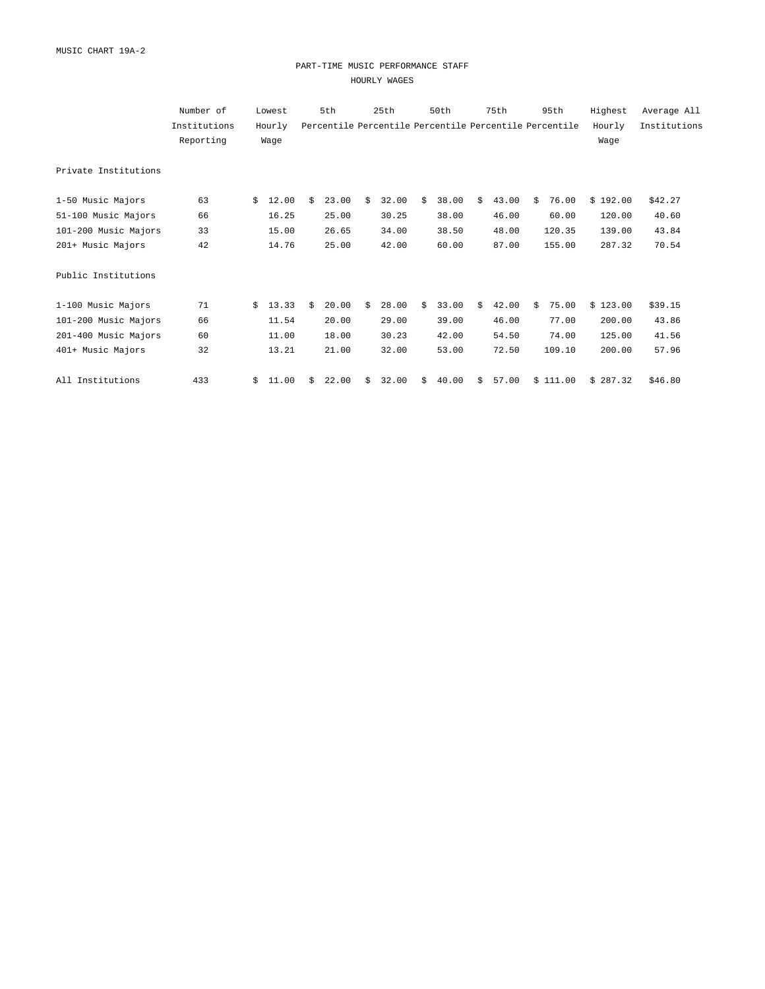#### PART-TIME MUSIC PERFORMANCE STAFF HOURLY WAGES

|                      | Number of    |    | Lowest |    | 5th                                                    |    | 25th  |    | 50th  |    | 75th  |    | 95th     | Highest  | Average All  |
|----------------------|--------------|----|--------|----|--------------------------------------------------------|----|-------|----|-------|----|-------|----|----------|----------|--------------|
|                      | Institutions |    | Hourly |    | Percentile Percentile Percentile Percentile Percentile |    |       |    |       |    |       |    |          | Hourly   | Institutions |
|                      | Reporting    |    | Wage   |    |                                                        |    |       |    |       |    |       |    |          | Wage     |              |
| Private Institutions |              |    |        |    |                                                        |    |       |    |       |    |       |    |          |          |              |
| 1-50 Music Majors    | 63           | Ŝ. | 12.00  | \$ | 23.00                                                  | Ŝ. | 32.00 | Ŝ. | 38.00 | Ŝ. | 43.00 | Ŝ. | 76.00    | \$192.00 | \$42.27      |
| 51-100 Music Majors  | 66           |    | 16.25  |    | 25.00                                                  |    | 30.25 |    | 38.00 |    | 46.00 |    | 60.00    | 120.00   | 40.60        |
| 101-200 Music Majors | 33           |    | 15.00  |    | 26.65                                                  |    | 34.00 |    | 38.50 |    | 48.00 |    | 120.35   | 139.00   | 43.84        |
| 201+ Music Majors    | 42           |    | 14.76  |    | 25.00                                                  |    | 42.00 |    | 60.00 |    | 87.00 |    | 155.00   | 287.32   | 70.54        |
| Public Institutions  |              |    |        |    |                                                        |    |       |    |       |    |       |    |          |          |              |
| 1-100 Music Majors   | 71           | Ŝ. | 13.33  | Ŝ. | 20.00                                                  | Ŝ. | 28.00 | Ŝ. | 33.00 | Ŝ. | 42.00 | Ŝ. | 75.00    | \$123.00 | \$39.15      |
| 101-200 Music Majors | 66           |    | 11.54  |    | 20.00                                                  |    | 29.00 |    | 39.00 |    | 46.00 |    | 77.00    | 200.00   | 43.86        |
| 201-400 Music Majors | 60           |    | 11.00  |    | 18.00                                                  |    | 30.23 |    | 42.00 |    | 54.50 |    | 74.00    | 125.00   | 41.56        |
| 401+ Music Majors    | 32           |    | 13.21  |    | 21.00                                                  |    | 32.00 |    | 53.00 |    | 72.50 |    | 109.10   | 200.00   | 57.96        |
| All Institutions     | 433          | \$ | 11.00  | Ŝ  | 22.00                                                  | Ŝ. | 32.00 | \$ | 40.00 | \$ | 57.00 |    | \$111.00 | \$287.32 | \$46.80      |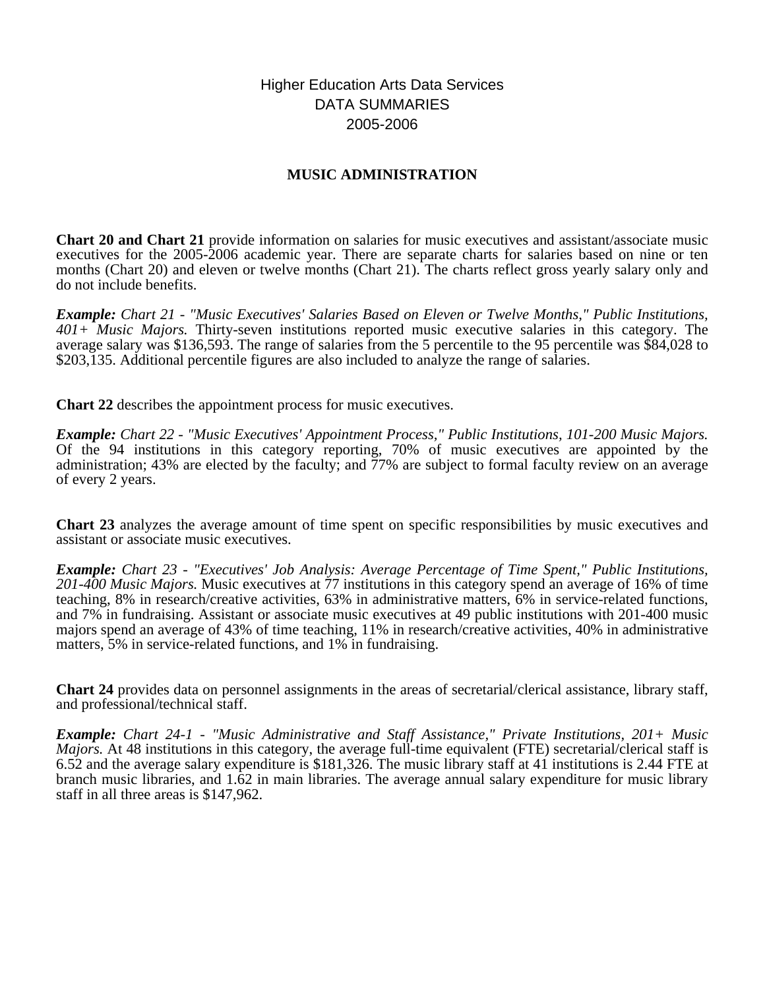# Higher Education Arts Data Services DATA SUMMARIES 2005-2006

# **MUSIC ADMINISTRATION**

**Chart 20 and Chart 21** provide information on salaries for music executives and assistant/associate music executives for the 2005-2006 academic year. There are separate charts for salaries based on nine or ten months (Chart 20) and eleven or twelve months (Chart 21). The charts reflect gross yearly salary only and do not include benefits.

*Example: Chart 21 - "Music Executives' Salaries Based on Eleven or Twelve Months," Public Institutions, 401+ Music Majors.* Thirty-seven institutions reported music executive salaries in this category. The average salary was \$136,593. The range of salaries from the 5 percentile to the 95 percentile was \$84,028 to \$203,135. Additional percentile figures are also included to analyze the range of salaries.

**Chart 22** describes the appointment process for music executives.

*Example: Chart 22 - "Music Executives' Appointment Process," Public Institutions, 101-200 Music Majors.* Of the 94 institutions in this category reporting, 70% of music executives are appointed by the administration; 43% are elected by the faculty; and 77% are subject to formal faculty review on an average of every 2 years.

**Chart 23** analyzes the average amount of time spent on specific responsibilities by music executives and assistant or associate music executives.

*Example: Chart 23 - "Executives' Job Analysis: Average Percentage of Time Spent," Public Institutions, 201-400 Music Majors.* Music executives at 77 institutions in this category spend an average of 16% of time teaching, 8% in research/creative activities, 63% in administrative matters, 6% in service-related functions, and 7% in fundraising. Assistant or associate music executives at 49 public institutions with 201-400 music majors spend an average of 43% of time teaching, 11% in research/creative activities, 40% in administrative matters, 5% in service-related functions, and 1% in fundraising.

**Chart 24** provides data on personnel assignments in the areas of secretarial/clerical assistance, library staff, and professional/technical staff.

*Example: Chart 24-1 - "Music Administrative and Staff Assistance," Private Institutions, 201+ Music Majors.* At 48 institutions in this category, the average full-time equivalent (FTE) secretarial/clerical staff is 6.52 and the average salary expenditure is \$181,326. The music library staff at 41 institutions is 2.44 FTE at branch music libraries, and 1.62 in main libraries. The average annual salary expenditure for music library staff in all three areas is \$147,962.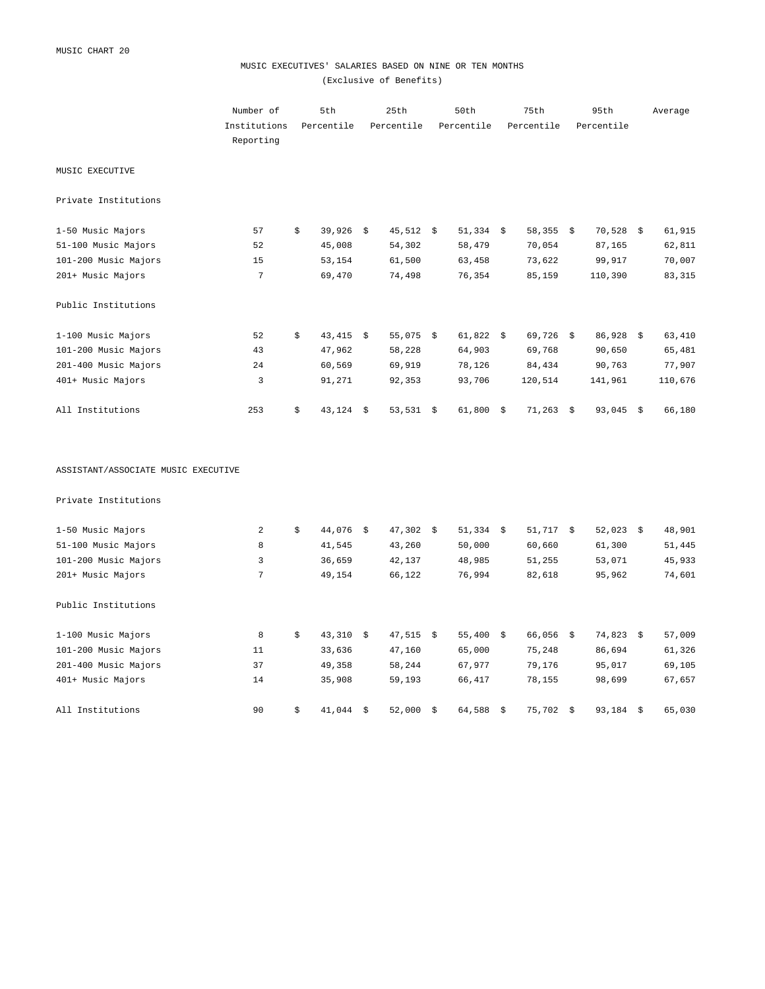## MUSIC EXECUTIVES' SALARIES BASED ON NINE OR TEN MONTHS (Exclusive of Benefits)

|                                     | Number of<br>Institutions<br>Reporting | 5th<br>Percentile |      | 25th<br>Percentile | 50th<br>Percentile | 75th<br>Percentile | 95th<br>Percentile | Average |
|-------------------------------------|----------------------------------------|-------------------|------|--------------------|--------------------|--------------------|--------------------|---------|
| MUSIC EXECUTIVE                     |                                        |                   |      |                    |                    |                    |                    |         |
| Private Institutions                |                                        |                   |      |                    |                    |                    |                    |         |
| 1-50 Music Majors                   | 57                                     | \$<br>$39,926$ \$ |      | $45,512$ \$        | $51,334$ \$        | 58,355 \$          | $70,528$ \$        | 61,915  |
| 51-100 Music Majors                 | 52                                     | 45,008            |      | 54,302             | 58,479             | 70,054             | 87,165             | 62,811  |
| 101-200 Music Majors                | 15                                     | 53,154            |      | 61,500             | 63,458             | 73,622             | 99,917             | 70,007  |
| 201+ Music Majors                   | 7                                      | 69,470            |      | 74,498             | 76,354             | 85,159             | 110,390            | 83, 315 |
| Public Institutions                 |                                        |                   |      |                    |                    |                    |                    |         |
| 1-100 Music Majors                  | 52                                     | \$<br>$43,415$ \$ |      | $55,075$ \$        | $61,822$ \$        | $69,726$ \$        | $86,928$ \$        | 63,410  |
| 101-200 Music Majors                | 43                                     | 47,962            |      | 58,228             | 64,903             | 69,768             | 90,650             | 65,481  |
| 201-400 Music Majors                | 24                                     | 60,569            |      | 69,919             | 78,126             | 84,434             | 90,763             | 77,907  |
| 401+ Music Majors                   | 3                                      | 91,271            |      | 92,353             | 93,706             | 120,514            | 141,961            | 110,676 |
| All Institutions                    | 253                                    | \$<br>$43,124$ \$ |      | $53,531$ \$        | $61,800$ \$        | $71,263$ \$        | $93,045$ \$        | 66,180  |
| ASSISTANT/ASSOCIATE MUSIC EXECUTIVE |                                        |                   |      |                    |                    |                    |                    |         |
| Private Institutions                |                                        |                   |      |                    |                    |                    |                    |         |
| 1-50 Music Majors                   | 2                                      | \$<br>$44,076$ \$ |      | $47,302$ \$        | $51,334$ \$        | $51,717$ \$        | $52,023$ \$        | 48,901  |
| 51-100 Music Majors                 | 8                                      | 41,545            |      | 43,260             | 50,000             | 60,660             | 61,300             | 51,445  |
| 101-200 Music Majors                | 3                                      | 36,659            |      | 42,137             | 48,985             | 51,255             | 53,071             | 45,933  |
| 201+ Music Majors                   | 7                                      | 49,154            |      | 66,122             | 76,994             | 82,618             | 95,962             | 74,601  |
| Public Institutions                 |                                        |                   |      |                    |                    |                    |                    |         |
| 1-100 Music Majors                  | 8                                      | \$<br>43,310      | - \$ | 47,515 \$          | 55,400 \$          | $66,056$ \$        | 74,823 \$          | 57,009  |
| 101-200 Music Majors                | 11                                     | 33,636            |      | 47,160             | 65,000             | 75,248             | 86,694             | 61,326  |
| 201-400 Music Majors                | 37                                     | 49,358            |      | 58,244             | 67,977             | 79,176             | 95,017             | 69,105  |
| 401+ Music Majors                   | 14                                     | 35,908            |      | 59,193             | 66,417             | 78,155             | 98,699             | 67,657  |

All Institutions 65,030 \$ 41,044 \$ 52,000 \$ 64,588 \$ 75,702 \$ 93,184 \$ 65,030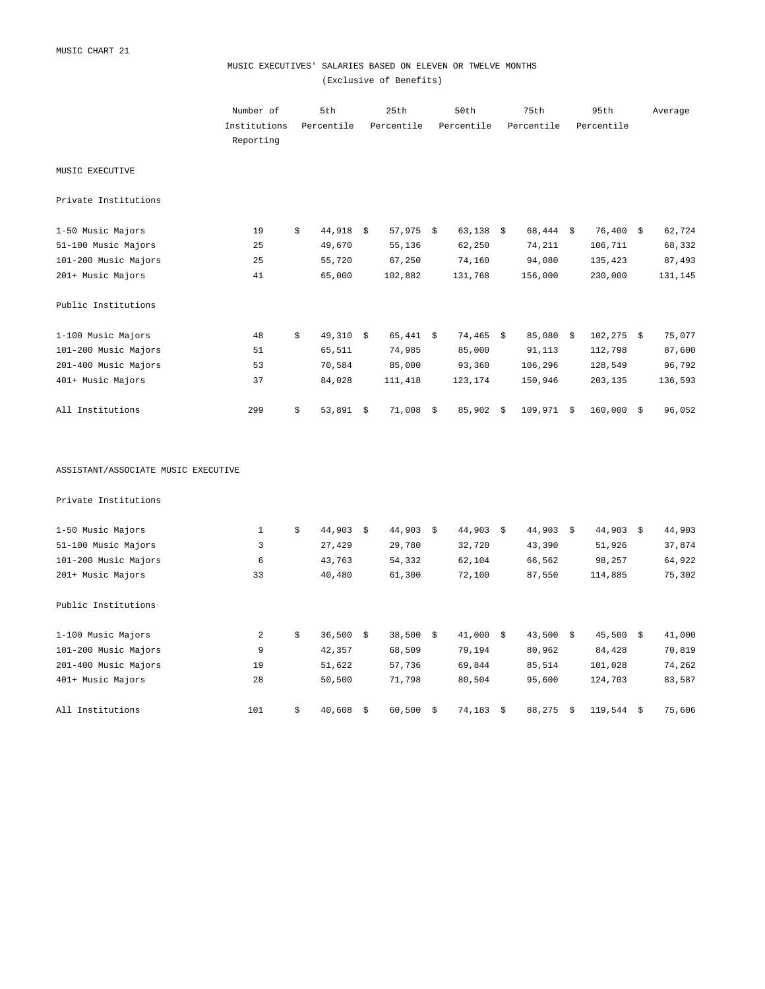## MUSIC EXECUTIVES' SALARIES BASED ON ELEVEN OR TWELVE MONTHS (Exclusive of Benefits)

|                                     | Number of<br>Institutions | 5th<br>Percentile | 25th<br>Percentile |      | 50th<br>Percentile | 75th<br>Percentile | 95th<br>Percentile |      | Average |
|-------------------------------------|---------------------------|-------------------|--------------------|------|--------------------|--------------------|--------------------|------|---------|
|                                     | Reporting                 |                   |                    |      |                    |                    |                    |      |         |
| MUSIC EXECUTIVE                     |                           |                   |                    |      |                    |                    |                    |      |         |
| Private Institutions                |                           |                   |                    |      |                    |                    |                    |      |         |
| 1-50 Music Majors                   | 19                        | \$<br>$44,918$ \$ | $57,975$ \$        |      | $63,138$ \$        | $68,444$ \$        | $76,400$ \$        |      | 62,724  |
| 51-100 Music Majors                 | 25                        | 49,670            | 55,136             |      | 62,250             | 74,211             | 106,711            |      | 68,332  |
| 101-200 Music Majors                | 25                        | 55,720            | 67,250             |      | 74,160             | 94,080             | 135,423            |      | 87,493  |
| 201+ Music Majors                   | 41                        | 65,000            | 102,882            |      | 131,768            | 156,000            | 230,000            |      | 131,145 |
| Public Institutions                 |                           |                   |                    |      |                    |                    |                    |      |         |
| 1-100 Music Majors                  | 48                        | \$<br>49,310 \$   | $65,441$ \$        |      | 74,465 \$          | 85,080 \$          | $102, 275$ \$      |      | 75,077  |
| 101-200 Music Majors                | 51                        | 65,511            | 74,985             |      | 85,000             | 91,113             | 112,798            |      | 87,600  |
| 201-400 Music Majors                | 53                        | 70,584            | 85,000             |      | 93,360             | 106,296            | 128,549            |      | 96,792  |
| 401+ Music Majors                   | 37                        | 84,028            | 111,418            |      | 123,174            | 150,946            | 203,135            |      | 136,593 |
| All Institutions                    | 299                       | \$<br>$53,891$ \$ | 71,008             | - \$ | 85,902 \$          | $109,971$ \$       | $160,000$ \$       |      | 96,052  |
| ASSISTANT/ASSOCIATE MUSIC EXECUTIVE |                           |                   |                    |      |                    |                    |                    |      |         |
| Private Institutions                |                           |                   |                    |      |                    |                    |                    |      |         |
| 1-50 Music Majors                   | 1                         | \$<br>$44,903$ \$ | $44,903$ \$        |      | $44,903$ \$        | $44,903$ \$        | $44,903$ \$        |      | 44,903  |
| 51-100 Music Majors                 | 3                         | 27,429            | 29,780             |      | 32,720             | 43,390             | 51,926             |      | 37,874  |
| 101-200 Music Majors                | 6                         | 43,763            | 54,332             |      | 62,104             | 66,562             | 98,257             |      | 64,922  |
| 201+ Music Majors                   | 33                        | 40,480            | 61,300             |      | 72,100             | 87,550             | 114,885            |      | 75,302  |
| Public Institutions                 |                           |                   |                    |      |                    |                    |                    |      |         |
| 1-100 Music Majors                  | 2                         | \$<br>36,500      | \$<br>38,500       | \$   | $41,000$ \$        | $43,500$ \$        | $45,500$ \$        |      | 41,000  |
| 101-200 Music Majors                | 9                         | 42,357            | 68,509             |      | 79,194             | 80,962             | 84,428             |      | 70,819  |
| 201-400 Music Majors                | 19                        | 51,622            | 57,736             |      | 69,844             | 85,514             | 101,028            |      | 74,262  |
| 401+ Music Majors                   | 28                        | 50,500            | 71,798             |      | 80,504             | 95,600             | 124,703            |      | 83,587  |
| All Institutions                    | 101                       | \$<br>40,608      | \$<br>60,500       | \$   | $74,183$ \$        | 88,275             | \$<br>119,544      | - \$ | 75,606  |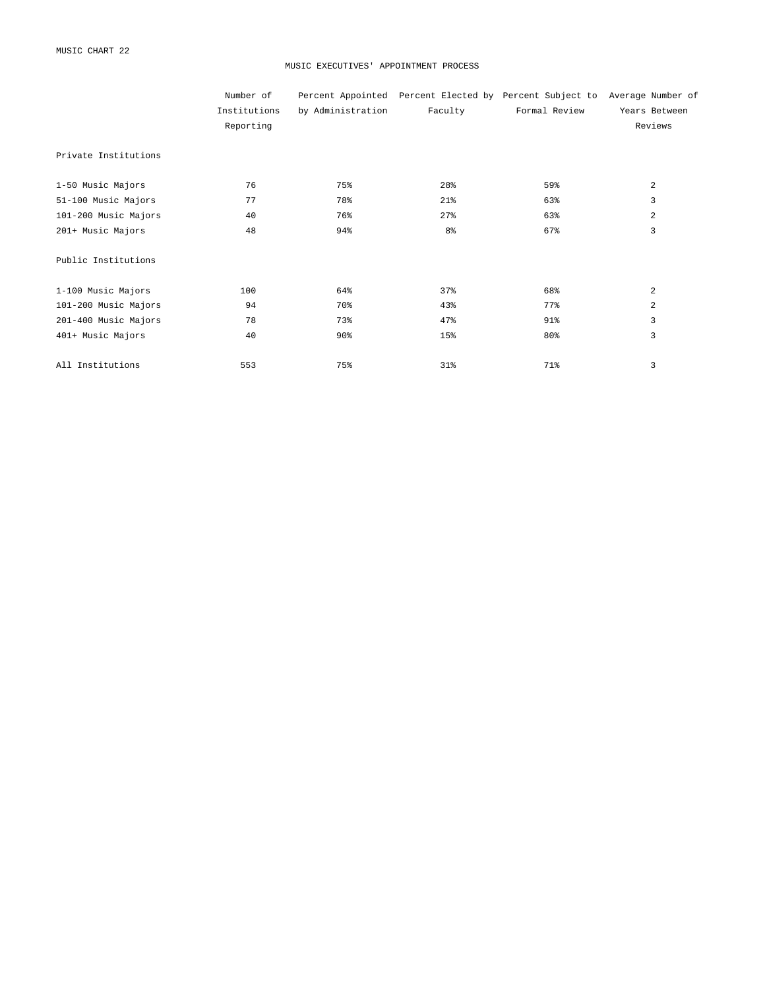#### MUSIC EXECUTIVES' APPOINTMENT PROCESS

|                      | Number of    |                   |                | Percent Appointed Percent Elected by Percent Subject to Average Number of |                |
|----------------------|--------------|-------------------|----------------|---------------------------------------------------------------------------|----------------|
|                      | Institutions | by Administration | Faculty        | Formal Review                                                             | Years Between  |
|                      | Reporting    |                   |                |                                                                           | Reviews        |
| Private Institutions |              |                   |                |                                                                           |                |
| 1-50 Music Majors    | 76           | 75%               | 28%            | 59%                                                                       | 2              |
| 51-100 Music Majors  | 77           | 78%               | 21%            | 63%                                                                       | 3              |
| 101-200 Music Majors | 40           | 76%               | 27%            | 63%                                                                       | 2              |
| 201+ Music Majors    | 48           | 94%               | 8 <sup>°</sup> | 67%                                                                       | 3              |
| Public Institutions  |              |                   |                |                                                                           |                |
| 1-100 Music Majors   | 100          | 64%               | 37%            | 68%                                                                       | $\overline{a}$ |
| 101-200 Music Majors | 94           | 70%               | 43%            | 77%                                                                       | $\overline{a}$ |
| 201-400 Music Majors | 78           | 73%               | 47%            | 91%                                                                       | 3              |
| 401+ Music Majors    | 40           | 90 <sub>8</sub>   | 15%            | 80%                                                                       | 3              |
| All Institutions     | 553          | 75%               | 31%            | 71%                                                                       | 3              |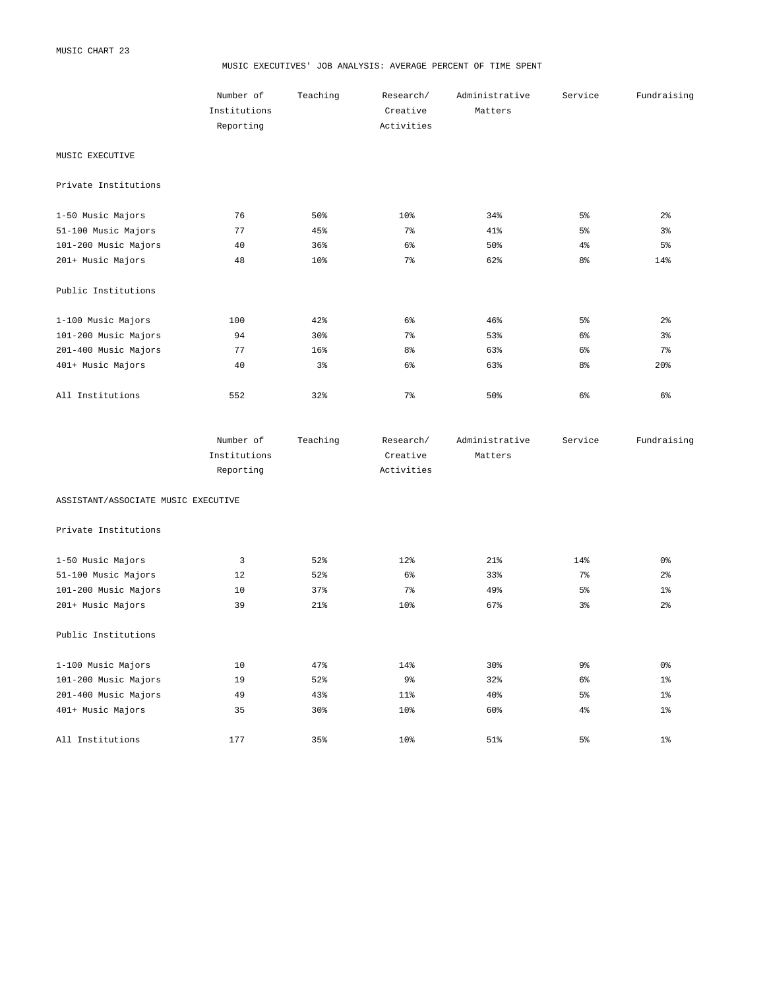#### MUSIC EXECUTIVES' JOB ANALYSIS: AVERAGE PERCENT OF TIME SPENT

|                      | Number of<br>Institutions<br>Reporting | Teaching       | Research/<br>Creative<br>Activities | Administrative<br>Matters | Service        | Fundraising     |
|----------------------|----------------------------------------|----------------|-------------------------------------|---------------------------|----------------|-----------------|
| MUSIC EXECUTIVE      |                                        |                |                                     |                           |                |                 |
| Private Institutions |                                        |                |                                     |                           |                |                 |
| 1-50 Music Majors    | 76                                     | 50%            | 10%                                 | 34%                       | 5 <sup>°</sup> | 2 <sup>°</sup>  |
| 51-100 Music Majors  | 77                                     | 45%            | 7 <sup>8</sup>                      | $41\%$                    | 5 <sup>°</sup> | 3 <sup>°</sup>  |
| 101-200 Music Majors | 40                                     | 36%            | 6 <sup>°</sup>                      | 50%                       | 4 <sup>°</sup> | 5 <sup>°</sup>  |
| 201+ Music Majors    | 48                                     | 10%            | 7 <sup>8</sup>                      | 62%                       | 8 <sup>°</sup> | 14%             |
| Public Institutions  |                                        |                |                                     |                           |                |                 |
| 1-100 Music Majors   | 100                                    | 42%            | 6 <sup>°</sup>                      | 46%                       | 5 <sup>°</sup> | 2 <sup>°</sup>  |
| 101-200 Music Majors | 94                                     | 30%            | 7 <sup>8</sup>                      | 53%                       | 6 <sup>°</sup> | $3\frac{6}{9}$  |
| 201-400 Music Majors | 77                                     | 16%            | 8 <sup>°</sup>                      | 63%                       | 6 <sup>°</sup> | 7 <sup>8</sup>  |
| 401+ Music Majors    | 40                                     | $3\frac{6}{9}$ | 6 <sup>°</sup>                      | 63%                       | 8 <sup>°</sup> | 20 <sup>8</sup> |
| All Institutions     | 552                                    | 32%            | 7%                                  | 50%                       | 6%             | 6%              |

| Number of    | Teaching | Research/  | Administrative | Service | Fundraising |
|--------------|----------|------------|----------------|---------|-------------|
| Institutions |          | Creative   | Matters        |         |             |
| Reporting    |          | Activities |                |         |             |

ASSISTANT/ASSOCIATE MUSIC EXECUTIVE

Private Institutions

| 1-50 Music Majors    | 3   | 52% | 12%            | 21%             | 14%            | 0 <sub>8</sub> |
|----------------------|-----|-----|----------------|-----------------|----------------|----------------|
| 51-100 Music Majors  | 12  | 52% | 6 <sup>°</sup> | 33%             | 7 <sup>°</sup> | 2 <sup>°</sup> |
| 101-200 Music Majors | 10  | 37% | 7 <sup>8</sup> | 49%             | 5 <sup>°</sup> | 1 <sup>°</sup> |
| 201+ Music Majors    | 39  | 21% | 10%            | 67%             | $3\frac{6}{6}$ | 2 <sup>°</sup> |
|                      |     |     |                |                 |                |                |
| Public Institutions  |     |     |                |                 |                |                |
|                      |     |     |                |                 |                |                |
| 1-100 Music Majors   | 10  | 47% | 14%            | 30 <sup>8</sup> | 9 <sub>8</sub> | 0 %            |
| 101-200 Music Majors | 19  | 52% | 9 <sub>8</sub> | 32%             | 6 <sup>°</sup> | 1 <sup>°</sup> |
| 201-400 Music Majors | 49  | 43% | $11$ %         | 40%             | 5 <sup>°</sup> | 1 <sup>°</sup> |
| 401+ Music Majors    | 35  | 30% | 10%            | 60%             | 4 <sup>°</sup> | 1 <sup>°</sup> |
|                      |     |     |                |                 |                |                |
| All Institutions     | 177 | 35% | 10%            | 51%             | $5\%$          | $1\%$          |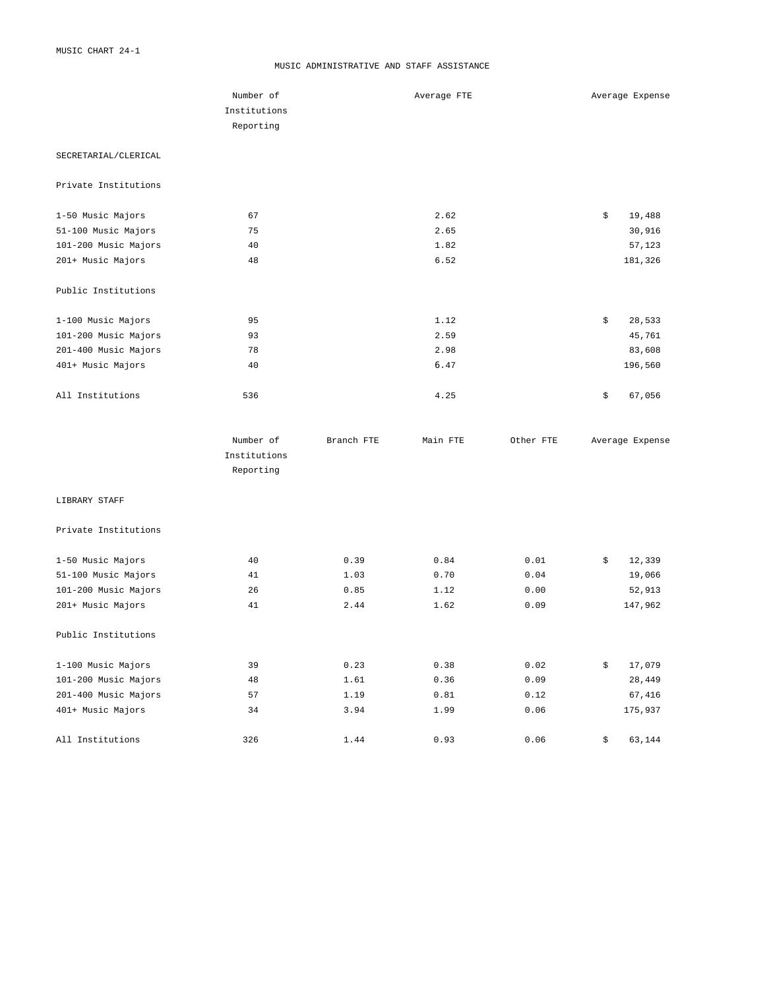#### MUSIC ADMINISTRATIVE AND STAFF ASSISTANCE

|                      | Number of                 |            | Average FTE |           | Average Expense |
|----------------------|---------------------------|------------|-------------|-----------|-----------------|
|                      | Institutions              |            |             |           |                 |
|                      | Reporting                 |            |             |           |                 |
| SECRETARIAL/CLERICAL |                           |            |             |           |                 |
| Private Institutions |                           |            |             |           |                 |
| 1-50 Music Majors    | 67                        |            | 2.62        |           | \$<br>19,488    |
| 51-100 Music Majors  | 75                        |            | 2.65        |           | 30,916          |
| 101-200 Music Majors | 40                        |            | 1.82        |           | 57,123          |
| 201+ Music Majors    | 48                        |            | 6.52        |           | 181,326         |
| Public Institutions  |                           |            |             |           |                 |
| 1-100 Music Majors   | 95                        |            | 1.12        |           | \$<br>28,533    |
| 101-200 Music Majors | 93                        |            | 2.59        |           | 45,761          |
| 201-400 Music Majors | 78                        |            | 2.98        |           | 83,608          |
| 401+ Music Majors    | 40                        |            | 6.47        |           | 196,560         |
| All Institutions     | 536                       |            | 4.25        |           | \$<br>67,056    |
|                      | Number of                 | Branch FTE | Main FTE    | Other FTE | Average Expense |
|                      | Institutions<br>Reporting |            |             |           |                 |
| LIBRARY STAFF        |                           |            |             |           |                 |
| Private Institutions |                           |            |             |           |                 |
| 1-50 Music Majors    | 40                        | 0.39       | 0.84        | 0.01      | \$<br>12,339    |
| 51-100 Music Majors  | 41                        | 1.03       | 0.70        | 0.04      | 19,066          |
| 101-200 Music Majors | 26                        | 0.85       | 1.12        | 0.00      | 52,913          |
| 201+ Music Majors    | 41                        | 2.44       | 1.62        | 0.09      | 147,962         |
| Public Institutions  |                           |            |             |           |                 |
| 1-100 Music Majors   | 39                        | 0.23       | 0.38        | 0.02      | \$<br>17,079    |
| 101-200 Music Majors | 48                        | 1.61       | 0.36        | 0.09      | 28,449          |
| 201-400 Music Majors | 57                        | 1.19       | 0.81        | 0.12      | 67,416          |
| 401+ Music Majors    | 34                        | 3.94       | 1.99        | 0.06      | 175,937         |
| All Institutions     | 326                       | 1.44       | 0.93        | 0.06      | \$<br>63,144    |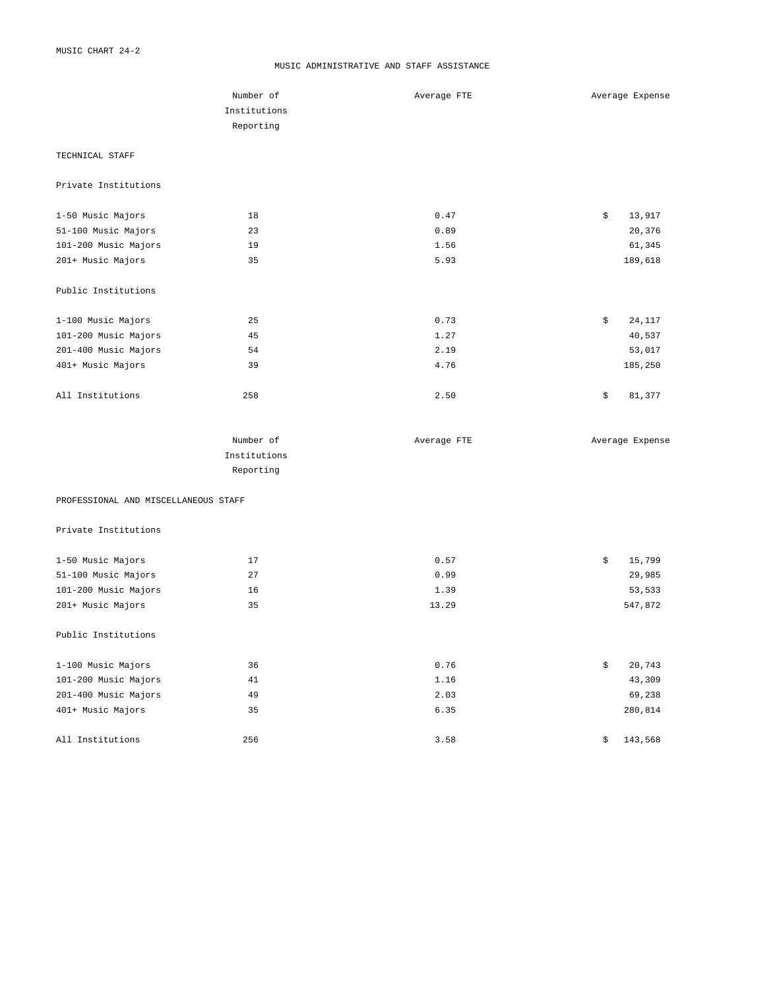#### MUSIC ADMINISTRATIVE AND STAFF ASSISTANCE

|                                      | Number of    | Average FTE | Average Expense |
|--------------------------------------|--------------|-------------|-----------------|
|                                      |              |             |                 |
|                                      | Institutions |             |                 |
|                                      | Reporting    |             |                 |
| TECHNICAL STAFF                      |              |             |                 |
| Private Institutions                 |              |             |                 |
| 1-50 Music Majors                    | 18           | 0.47        | \$<br>13,917    |
| 51-100 Music Majors                  | 23           | 0.89        | 20,376          |
| 101-200 Music Majors                 | 19           | 1.56        | 61,345          |
| 201+ Music Majors                    | 35           | 5.93        | 189,618         |
| Public Institutions                  |              |             |                 |
| 1-100 Music Majors                   | 25           | 0.73        | \$<br>24,117    |
| 101-200 Music Majors                 | 45           | 1.27        | 40,537          |
| 201-400 Music Majors                 | 54           | 2.19        | 53,017          |
| 401+ Music Majors                    | 39           | 4.76        | 185,250         |
| All Institutions                     | 258          | 2.50        | \$<br>81,377    |
|                                      | Number of    | Average FTE | Average Expense |
|                                      | Institutions |             |                 |
|                                      | Reporting    |             |                 |
| PROFESSIONAL AND MISCELLANEOUS STAFF |              |             |                 |
| Private Institutions                 |              |             |                 |
| 1-50 Music Majors                    | 17           | 0.57        | \$<br>15,799    |
| 51-100 Music Majors                  | 27           | 0.99        | 29,985          |
| 101-200 Music Majors                 | 16           | 1.39        | 53,533          |
| 201+ Music Majors                    | 35           | 13.29       | 547,872         |
| Public Institutions                  |              |             |                 |
| 1-100 Music Majors                   | 36           | 0.76        | \$<br>20,743    |
| 101-200 Music Majors                 | 41           | 1.16        | 43,309          |
| 201-400 Music Majors                 | 49           | 2.03        | 69,238          |
| 401+ Music Majors                    | 35           | 6.35        | 280,814         |
| All Institutions                     | 256          | 3.58        | \$<br>143,568   |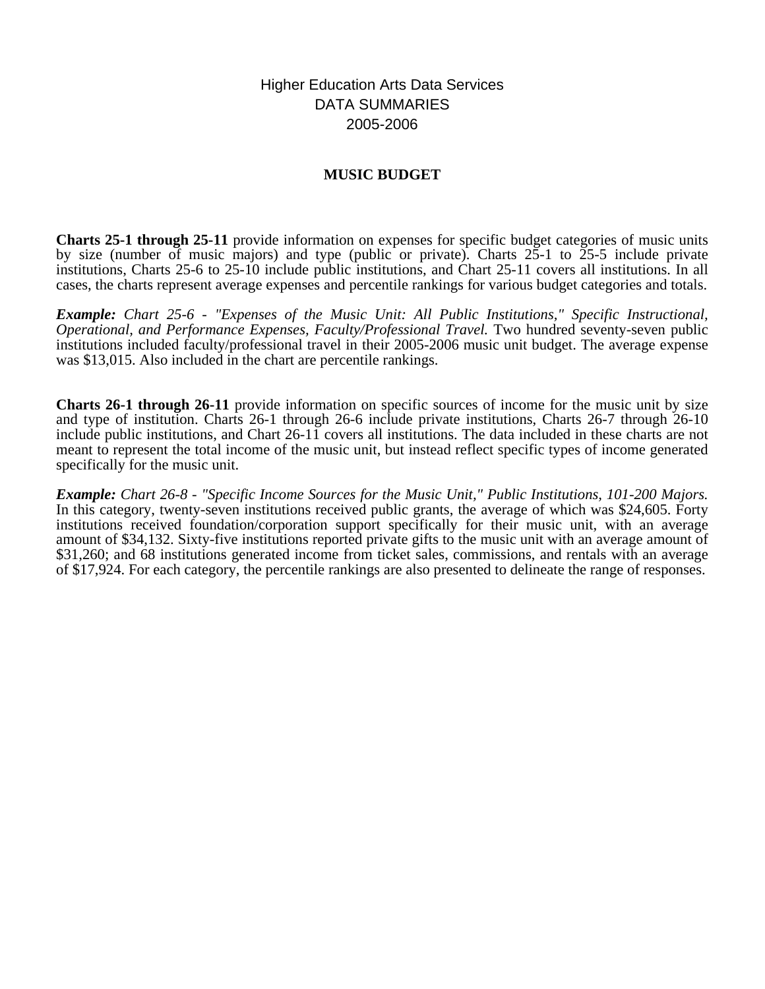Higher Education Arts Data Services DATA SUMMARIES 2005-2006

# **MUSIC BUDGET**

**Charts 25-1 through 25-11** provide information on expenses for specific budget categories of music units by size (number of music majors) and type (public or private). Charts 25-1 to 25-5 include private institutions, Charts 25-6 to 25-10 include public institutions, and Chart 25-11 covers all institutions. In all cases, the charts represent average expenses and percentile rankings for various budget categories and totals.

*Example: Chart 25-6 - "Expenses of the Music Unit: All Public Institutions," Specific Instructional, Operational, and Performance Expenses, Faculty/Professional Travel. Two hundred seventy-seven public* institutions included faculty/professional travel in their 2005-2006 music unit budget. The average expense was \$13,015. Also included in the chart are percentile rankings.

**Charts 26-1 through 26-11** provide information on specific sources of income for the music unit by size and type of institution. Charts 26-1 through 26-6 include private institutions, Charts 26-7 through 26-10 include public institutions, and Chart 26-11 covers all institutions. The data included in these charts are not meant to represent the total income of the music unit, but instead reflect specific types of income generated specifically for the music unit.

*Example: Chart 26-8 - "Specific Income Sources for the Music Unit," Public Institutions, 101-200 Majors.* In this category, twenty-seven institutions received public grants, the average of which was \$24,605. Forty institutions received foundation/corporation support specifically for their music unit, with an average amount of \$34,132. Sixty-five institutions reported private gifts to the music unit with an average amount of \$31,260; and 68 institutions generated income from ticket sales, commissions, and rentals with an average of \$17,924. For each category, the percentile rankings are also presented to delineate the range of responses.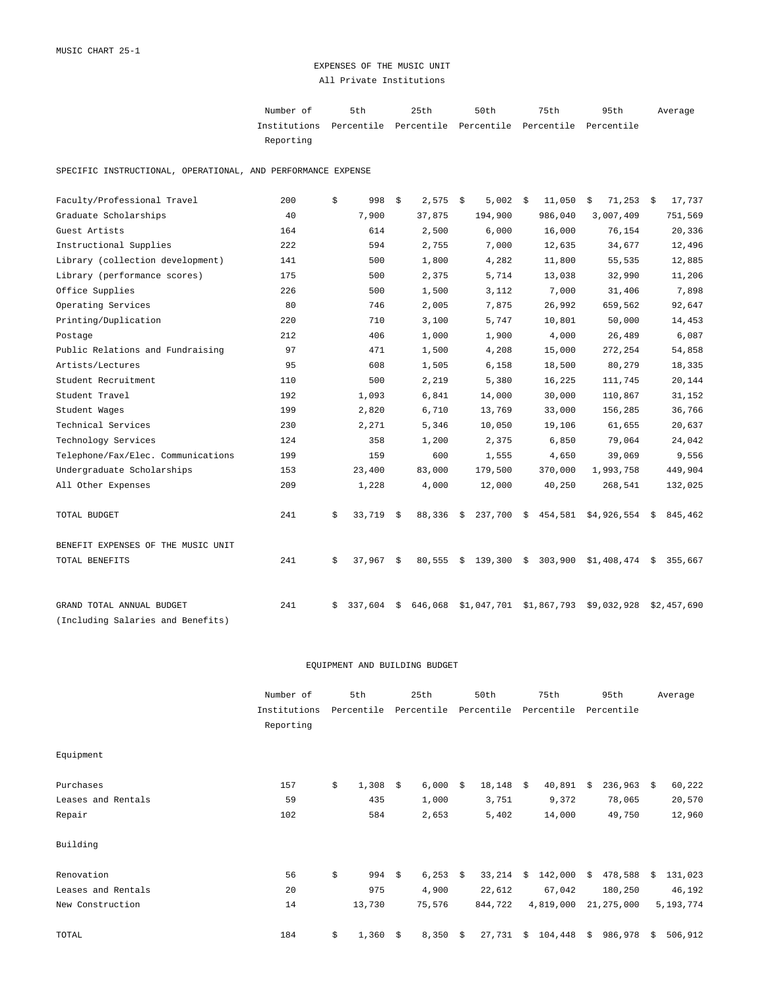## EXPENSES OF THE MUSIC UNIT All Private Institutions

| Number of                                                           | 5th | 25th | 50 t.h | 75th | 95th | Average |
|---------------------------------------------------------------------|-----|------|--------|------|------|---------|
| Institutions Percentile Percentile Percentile Percentile Percentile |     |      |        |      |      |         |
| Reporting                                                           |     |      |        |      |      |         |

SPECIFIC INSTRUCTIONAL, OPERATIONAL, AND PERFORMANCE EXPENSE

| Faculty/Professional Travel        | 200 | \$<br>998     | \$   | 2,575   | - \$ | 5,002       | \$<br>11,050       | $71,253$ \$<br>\$        |    | 17,737      |
|------------------------------------|-----|---------------|------|---------|------|-------------|--------------------|--------------------------|----|-------------|
| Graduate Scholarships              | 40  | 7,900         |      | 37,875  |      | 194,900     | 986,040            | 3,007,409                |    | 751,569     |
| Guest Artists                      | 164 | 614           |      | 2,500   |      | 6,000       | 16,000             | 76,154                   |    | 20,336      |
| Instructional Supplies             | 222 | 594           |      | 2,755   |      | 7,000       | 12,635             | 34,677                   |    | 12,496      |
| Library (collection development)   | 141 | 500           |      | 1,800   |      | 4,282       | 11,800             | 55,535                   |    | 12,885      |
| Library (performance scores)       | 175 | 500           |      | 2,375   |      | 5,714       | 13,038             | 32,990                   |    | 11,206      |
| Office Supplies                    | 226 | 500           |      | 1,500   |      | 3,112       | 7,000              | 31,406                   |    | 7,898       |
| Operating Services                 | 80  | 746           |      | 2,005   |      | 7,875       | 26,992             | 659,562                  |    | 92,647      |
| Printing/Duplication               | 220 | 710           |      | 3,100   |      | 5,747       | 10,801             | 50,000                   |    | 14,453      |
| Postage                            | 212 | 406           |      | 1,000   |      | 1,900       | 4,000              | 26,489                   |    | 6,087       |
| Public Relations and Fundraising   | 97  | 471           |      | 1,500   |      | 4,208       | 15,000             | 272,254                  |    | 54,858      |
| Artists/Lectures                   | 95  | 608           |      | 1,505   |      | 6,158       | 18,500             | 80,279                   |    | 18,335      |
| Student Recruitment                | 110 | 500           |      | 2,219   |      | 5,380       | 16,225             | 111,745                  |    | 20,144      |
| Student Travel                     | 192 | 1,093         |      | 6,841   |      | 14,000      | 30,000             | 110,867                  |    | 31,152      |
| Student Wages                      | 199 | 2,820         |      | 6,710   |      | 13,769      | 33,000             | 156,285                  |    | 36,766      |
| Technical Services                 | 230 | 2,271         |      | 5,346   |      | 10,050      | 19,106             | 61,655                   |    | 20,637      |
| Technology Services                | 124 | 358           |      | 1,200   |      | 2,375       | 6,850              | 79,064                   |    | 24,042      |
| Telephone/Fax/Elec. Communications | 199 | 159           |      | 600     |      | 1,555       | 4,650              | 39,069                   |    | 9,556       |
| Undergraduate Scholarships         | 153 | 23,400        |      | 83,000  |      | 179,500     | 370,000            | 1,993,758                |    | 449,904     |
| All Other Expenses                 | 209 | 1,228         |      | 4,000   |      | 12,000      | 40,250             | 268,541                  |    | 132,025     |
| TOTAL BUDGET                       | 241 | \$<br>33,719  | - S  | 88,336  | - \$ |             | 237,700 \$ 454,581 | \$4,926,554              | S. | 845,462     |
| BENEFIT EXPENSES OF THE MUSIC UNIT |     |               |      |         |      |             |                    |                          |    |             |
| TOTAL BENEFITS                     | 241 | \$<br>37,967  | - \$ | 80,555  | \$   | 139,300 \$  | 303,900            | $$1,408,474 \t$ 355,667$ |    |             |
| GRAND TOTAL ANNUAL BUDGET          | 241 | \$<br>337,604 | \$   | 646,068 |      | \$1,047,701 | \$1,867,793        | \$9,032,928              |    | \$2,457,690 |
| (Including Salaries and Benefits)  |     |               |      |         |      |             |                    |                          |    |             |

#### EQUIPMENT AND BUILDING BUDGET

|                    | Number of    | 5th         |    | 25th       |    | 50th       |    | 75th       |      | 95th       |    | Average   |
|--------------------|--------------|-------------|----|------------|----|------------|----|------------|------|------------|----|-----------|
|                    | Institutions | Percentile  |    | Percentile |    | Percentile |    | Percentile |      | Percentile |    |           |
|                    | Reporting    |             |    |            |    |            |    |            |      |            |    |           |
| Equipment          |              |             |    |            |    |            |    |            |      |            |    |           |
| Purchases          | 157          | \$<br>1,308 | -Ŝ | 6,000      | Ŝ. | 18,148     | \$ | 40,891     | Ŝ.   | 236,963    | S. | 60,222    |
| Leases and Rentals | 59           | 435         |    | 1,000      |    | 3,751      |    | 9,372      |      | 78,065     |    | 20,570    |
| Repair             | 102          | 584         |    | 2,653      |    | 5,402      |    | 14,000     |      | 49,750     |    | 12,960    |
| Building           |              |             |    |            |    |            |    |            |      |            |    |           |
| Renovation         | 56           | \$<br>994   | \$ | $6,253$ \$ |    | 33,214     | Ŝ. | 142,000    | - \$ | 478,588    | S. | 131,023   |
| Leases and Rentals | 20           | 975         |    | 4,900      |    | 22,612     |    | 67,042     |      | 180,250    |    | 46,192    |
| New Construction   | 14           | 13,730      |    | 75,576     |    | 844,722    |    | 4,819,000  |      | 21,275,000 |    | 5,193,774 |
| TOTAL              | 184          | \$<br>1,360 | \$ | 8,350      | \$ | 27,731     | \$ | 104,448    | \$   | 986,978    | \$ | 506,912   |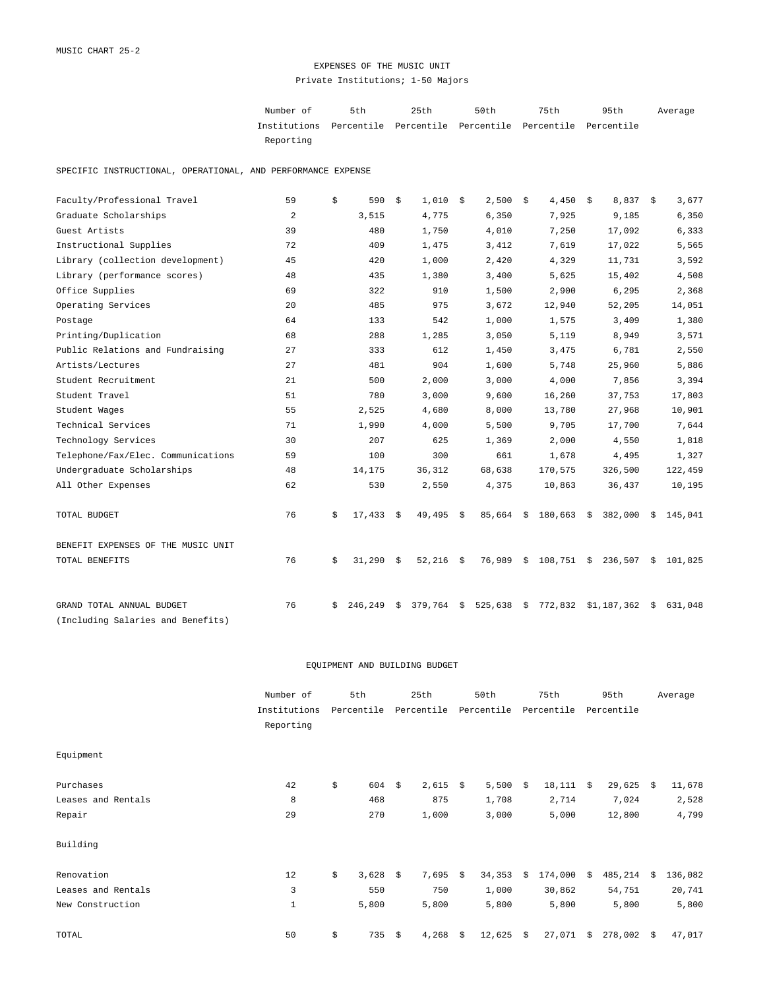## EXPENSES OF THE MUSIC UNIT Private Institutions; 1-50 Majors

Number of 5th 25th 50th 75th 95th Institutions Percentile Percentile Percentile Percentile Percentile Reporting Average

SPECIFIC INSTRUCTIONAL, OPERATIONAL, AND PERFORMANCE EXPENSE

| Faculty/Professional Travel        | 59 | \$ | 590     | \$ | 1,010       | - \$ | $2,500$ \$  | 4,450         | \$<br>$8,837$ \$       |    | 3,677   |
|------------------------------------|----|----|---------|----|-------------|------|-------------|---------------|------------------------|----|---------|
| Graduate Scholarships              | 2  |    | 3,515   |    | 4,775       |      | 6,350       | 7,925         | 9,185                  |    | 6,350   |
| Guest Artists                      | 39 |    | 480     |    | 1,750       |      | 4,010       | 7,250         | 17,092                 |    | 6,333   |
| Instructional Supplies             | 72 |    | 409     |    | 1,475       |      | 3,412       | 7,619         | 17,022                 |    | 5,565   |
| Library (collection development)   | 45 |    | 420     |    | 1,000       |      | 2,420       | 4,329         | 11,731                 |    | 3,592   |
| Library (performance scores)       | 48 |    | 435     |    | 1,380       |      | 3,400       | 5,625         | 15,402                 |    | 4,508   |
| Office Supplies                    | 69 |    | 322     |    | 910         |      | 1,500       | 2,900         | 6,295                  |    | 2,368   |
| Operating Services                 | 20 |    | 485     |    | 975         |      | 3,672       | 12,940        | 52,205                 |    | 14,051  |
| Postage                            | 64 |    | 133     |    | 542         |      | 1,000       | 1,575         | 3,409                  |    | 1,380   |
| Printing/Duplication               | 68 |    | 288     |    | 1,285       |      | 3,050       | 5,119         | 8,949                  |    | 3,571   |
| Public Relations and Fundraising   | 27 |    | 333     |    | 612         |      | 1,450       | 3,475         | 6,781                  |    | 2,550   |
| Artists/Lectures                   | 27 |    | 481     |    | 904         |      | 1,600       | 5,748         | 25,960                 |    | 5,886   |
| Student Recruitment                | 21 |    | 500     |    | 2,000       |      | 3,000       | 4,000         | 7,856                  |    | 3,394   |
| Student Travel                     | 51 |    | 780     |    | 3,000       |      | 9,600       | 16,260        | 37,753                 |    | 17,803  |
| Student Wages                      | 55 |    | 2,525   |    | 4,680       |      | 8,000       | 13,780        | 27,968                 |    | 10,901  |
| Technical Services                 | 71 |    | 1,990   |    | 4,000       |      | 5,500       | 9,705         | 17,700                 |    | 7,644   |
| Technology Services                | 30 |    | 207     |    | 625         |      | 1,369       | 2,000         | 4,550                  |    | 1,818   |
| Telephone/Fax/Elec. Communications | 59 |    | 100     |    | 300         |      | 661         | 1,678         | 4,495                  |    | 1,327   |
| Undergraduate Scholarships         | 48 |    | 14,175  |    | 36,312      |      | 68,638      | 170,575       | 326,500                |    | 122,459 |
| All Other Expenses                 | 62 |    | 530     |    | 2,550       |      | 4,375       | 10,863        | 36,437                 |    | 10,195  |
| TOTAL BUDGET                       | 76 | Ŝ. | 17,433  | S. | $49,495$ \$ |      | $85,664$ \$ | 180,663       | $$382,000$$ \$ 145,041 |    |         |
| BENEFIT EXPENSES OF THE MUSIC UNIT |    |    |         |    |             |      |             |               |                        |    |         |
| TOTAL BENEFITS                     | 76 | \$ | 31,290  | \$ | $52,216$ \$ |      | 76,989      | \$<br>108,751 | \$236,507              | \$ | 101,825 |
| GRAND TOTAL ANNUAL BUDGET          | 76 | S. | 246,249 | Ŝ. | 379,764     |      | \$525,638   | \$<br>772,832 | \$1,187,362            | Ŝ. | 631,048 |
| (Including Salaries and Benefits)  |    |    |         |    |             |      |             |               |                        |    |         |

## EQUIPMENT AND BUILDING BUDGET

|                    | Number of    | 5th         |    | 25th       |      | 50th       |    | 75th       |     | 95th       |    | Average |
|--------------------|--------------|-------------|----|------------|------|------------|----|------------|-----|------------|----|---------|
|                    | Institutions | Percentile  |    | Percentile |      | Percentile |    | Percentile |     | Percentile |    |         |
|                    | Reporting    |             |    |            |      |            |    |            |     |            |    |         |
| Equipment          |              |             |    |            |      |            |    |            |     |            |    |         |
| Purchases          | 42           | \$<br>604   | -Ŝ | 2,615      | - \$ | 5,500      | \$ | 18,111     | - Š | 29,625     | S. | 11,678  |
| Leases and Rentals | 8            | 468         |    | 875        |      | 1,708      |    | 2,714      |     | 7,024      |    | 2,528   |
| Repair             | 29           | 270         |    | 1,000      |      | 3,000      |    | 5,000      |     | 12,800     |    | 4,799   |
| Building           |              |             |    |            |      |            |    |            |     |            |    |         |
| Renovation         | 12           | \$<br>3,628 | S. | $7,695$ \$ |      | 34,353     | Ŝ. | 174,000    | Ŝ.  | 485,214    | Ŝ. | 136,082 |
| Leases and Rentals | 3            | 550         |    | 750        |      | 1,000      |    | 30,862     |     | 54,751     |    | 20,741  |
| New Construction   | $\mathbf 1$  | 5,800       |    | 5,800      |      | 5,800      |    | 5,800      |     | 5,800      |    | 5,800   |
| TOTAL              | 50           | \$<br>735   | \$ | 4,268      | \$   | 12,625     | \$ | 27,071     | \$  | 278,002    | \$ | 47,017  |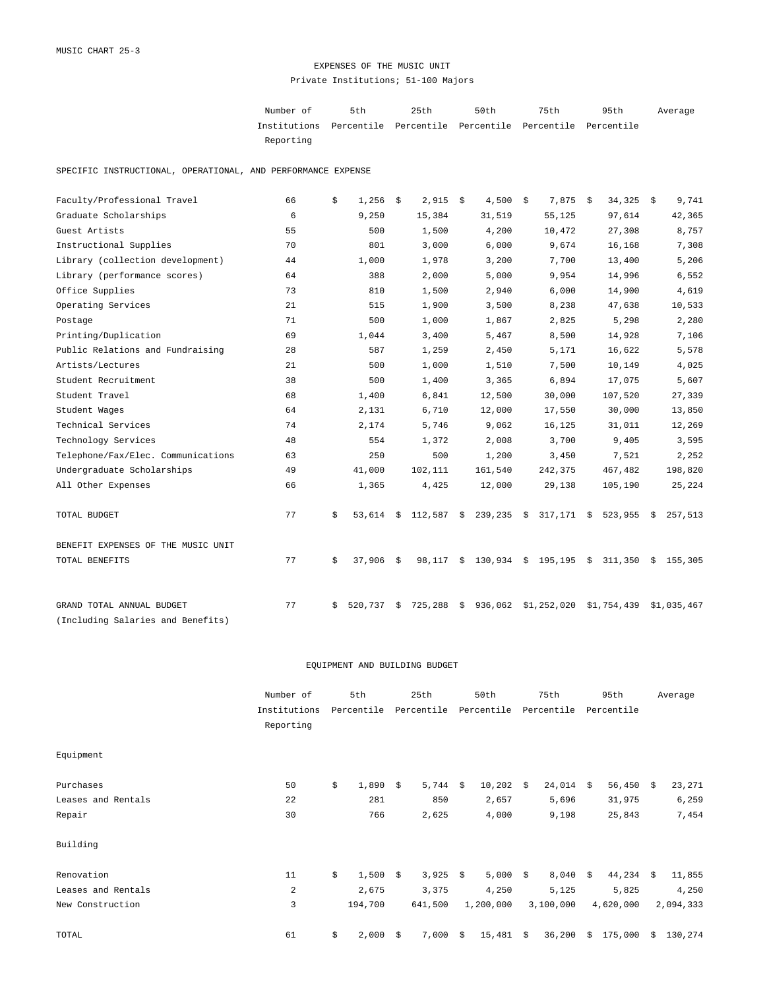## EXPENSES OF THE MUSIC UNIT Private Institutions; 51-100 Majors

| Number of                                                           | 5th | 25th | 50 t.h | 75th | 95th | Average |
|---------------------------------------------------------------------|-----|------|--------|------|------|---------|
| Institutions Percentile Percentile Percentile Percentile Percentile |     |      |        |      |      |         |
| Reporting                                                           |     |      |        |      |      |         |

SPECIFIC INSTRUCTIONAL, OPERATIONAL, AND PERFORMANCE EXPENSE

| Faculty/Professional Travel        | 66 | \$ | 1,256   | \$ | $2,915$ \$ | $4,500$ \$               | 7,875        | \$<br>$34,325$ \$ |    | 9,741       |
|------------------------------------|----|----|---------|----|------------|--------------------------|--------------|-------------------|----|-------------|
| Graduate Scholarships              | 6  |    | 9,250   |    | 15,384     | 31,519                   | 55,125       | 97,614            |    | 42,365      |
| Guest Artists                      | 55 |    | 500     |    | 1,500      | 4,200                    | 10,472       | 27,308            |    | 8,757       |
| Instructional Supplies             | 70 |    | 801     |    | 3,000      | 6,000                    | 9,674        | 16,168            |    | 7,308       |
| Library (collection development)   | 44 |    | 1,000   |    | 1,978      | 3,200                    | 7,700        | 13,400            |    | 5,206       |
| Library (performance scores)       | 64 |    | 388     |    | 2,000      | 5,000                    | 9,954        | 14,996            |    | 6,552       |
| Office Supplies                    | 73 |    | 810     |    | 1,500      | 2,940                    | 6,000        | 14,900            |    | 4,619       |
| Operating Services                 | 21 |    | 515     |    | 1,900      | 3,500                    | 8,238        | 47,638            |    | 10,533      |
| Postage                            | 71 |    | 500     |    | 1,000      | 1,867                    | 2,825        | 5,298             |    | 2,280       |
| Printing/Duplication               | 69 |    | 1,044   |    | 3,400      | 5,467                    | 8,500        | 14,928            |    | 7,106       |
| Public Relations and Fundraising   | 28 |    | 587     |    | 1,259      | 2,450                    | 5,171        | 16,622            |    | 5,578       |
| Artists/Lectures                   | 21 |    | 500     |    | 1,000      | 1,510                    | 7,500        | 10,149            |    | 4,025       |
| Student Recruitment                | 38 |    | 500     |    | 1,400      | 3,365                    | 6,894        | 17,075            |    | 5,607       |
| Student Travel                     | 68 |    | 1,400   |    | 6,841      | 12,500                   | 30,000       | 107,520           |    | 27,339      |
| Student Wages                      | 64 |    | 2,131   |    | 6,710      | 12,000                   | 17,550       | 30,000            |    | 13,850      |
| Technical Services                 | 74 |    | 2,174   |    | 5,746      | 9,062                    | 16,125       | 31,011            |    | 12,269      |
| Technology Services                | 48 |    | 554     |    | 1,372      | 2,008                    | 3,700        | 9,405             |    | 3,595       |
| Telephone/Fax/Elec. Communications | 63 |    | 250     |    | 500        | 1,200                    | 3,450        | 7,521             |    | 2,252       |
| Undergraduate Scholarships         | 49 |    | 41,000  |    | 102,111    | 161,540                  | 242,375      | 467,482           |    | 198,820     |
| All Other Expenses                 | 66 |    | 1,365   |    | 4,425      | 12,000                   | 29,138       | 105,190           |    | 25,224      |
| TOTAL BUDGET                       | 77 | \$ | 53,614  |    |            | $$112,587$ \$ 239,235 \$ | $317,171$ \$ | 523,955           | S. | 257,513     |
| BENEFIT EXPENSES OF THE MUSIC UNIT |    |    |         |    |            |                          |              |                   |    |             |
| TOTAL BENEFITS                     | 77 | \$ | 37,906  | S. | 98,117     | \$<br>130,934 \$         | 195,195      | \$311,350         |    | \$155,305   |
| GRAND TOTAL ANNUAL BUDGET          | 77 | Ŝ. | 520,737 | \$ | 725,288    | \$<br>936,062            | \$1,252,020  | \$1,754,439       |    | \$1,035,467 |
| (Including Salaries and Benefits)  |    |    |         |    |            |                          |              |                   |    |             |

#### EQUIPMENT AND BUILDING BUDGET

|                    | Number of<br>Institutions |    | 5th<br>Percentile |      | 25th<br>Percentile |    | 50th<br>Percentile |    | 75th       |            | 95th      |    | Average   |  |
|--------------------|---------------------------|----|-------------------|------|--------------------|----|--------------------|----|------------|------------|-----------|----|-----------|--|
|                    |                           |    |                   |      |                    |    |                    |    | Percentile | Percentile |           |    |           |  |
|                    | Reporting                 |    |                   |      |                    |    |                    |    |            |            |           |    |           |  |
| Equipment          |                           |    |                   |      |                    |    |                    |    |            |            |           |    |           |  |
| Purchases          | 50                        | \$ | 1,890             | - \$ | 5,744 \$           |    | 10,202             | \$ | 24,014     | - Š        | 56,450    | Ŝ. | 23,271    |  |
| Leases and Rentals | 22                        |    | 281               |      | 850                |    | 2,657              |    | 5,696      |            | 31,975    |    | 6,259     |  |
| Repair             | 30                        |    | 766               |      | 2,625              |    | 4,000              |    | 9,198      |            | 25,843    |    | 7,454     |  |
| Building           |                           |    |                   |      |                    |    |                    |    |            |            |           |    |           |  |
| Renovation         | 11                        | \$ | 1,500             | \$   | $3,925$ \$         |    | $5,000$ \$         |    | 8,040      | S.         | 44,234    | S. | 11,855    |  |
| Leases and Rentals | $\overline{a}$            |    | 2,675             |      | 3,375              |    | 4,250              |    | 5,125      |            | 5,825     |    | 4,250     |  |
| New Construction   | 3                         |    | 194,700           |      | 641,500            |    | 1,200,000          |    | 3,100,000  |            | 4,620,000 |    | 2,094,333 |  |
| TOTAL              | 61                        | \$ | 2,000             | -Ŝ   | 7,000              | \$ | 15,481             | \$ | 36,200     | Ŝ.         | 175,000   | Ŝ. | 130,274   |  |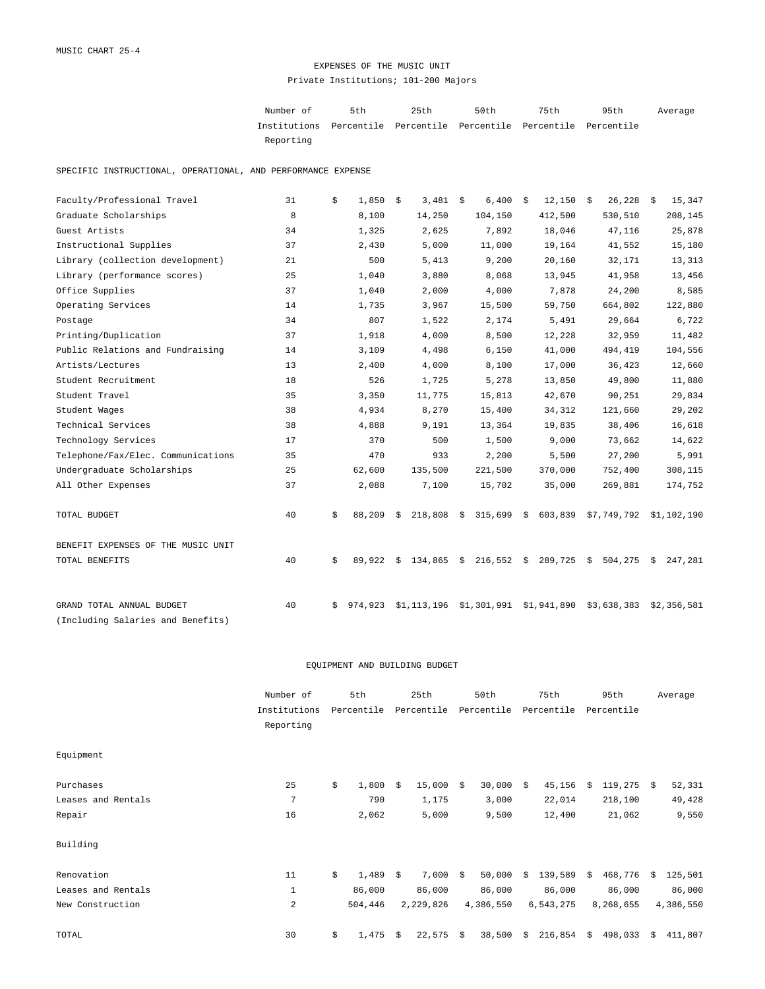## EXPENSES OF THE MUSIC UNIT Private Institutions; 101-200 Majors

Number of 5th 25th 50th 75th 95th Institutions Percentile Percentile Percentile Percentile Percentile Reporting Average

SPECIFIC INSTRUCTIONAL, OPERATIONAL, AND PERFORMANCE EXPENSE

| Faculty/Professional Travel        | 31 | \$ | 1,850   | \$ | 3,481       | - \$ | 6,400       | \$<br>12,150                                          | \$<br>$26,228$ \$ |    | 15,347      |
|------------------------------------|----|----|---------|----|-------------|------|-------------|-------------------------------------------------------|-------------------|----|-------------|
| Graduate Scholarships              | 8  |    | 8,100   |    | 14,250      |      | 104,150     | 412,500                                               | 530,510           |    | 208,145     |
| Guest Artists                      | 34 |    | 1,325   |    | 2,625       |      | 7,892       | 18,046                                                | 47,116            |    | 25,878      |
| Instructional Supplies             | 37 |    | 2,430   |    | 5,000       |      | 11,000      | 19,164                                                | 41,552            |    | 15,180      |
| Library (collection development)   | 21 |    | 500     |    | 5,413       |      | 9,200       | 20,160                                                | 32,171            |    | 13,313      |
| Library (performance scores)       | 25 |    | 1,040   |    | 3,880       |      | 8,068       | 13,945                                                | 41,958            |    | 13,456      |
| Office Supplies                    | 37 |    | 1,040   |    | 2,000       |      | 4,000       | 7,878                                                 | 24,200            |    | 8,585       |
| Operating Services                 | 14 |    | 1,735   |    | 3,967       |      | 15,500      | 59,750                                                | 664,802           |    | 122,880     |
| Postage                            | 34 |    | 807     |    | 1,522       |      | 2,174       | 5,491                                                 | 29,664            |    | 6,722       |
| Printing/Duplication               | 37 |    | 1,918   |    | 4,000       |      | 8,500       | 12,228                                                | 32,959            |    | 11,482      |
| Public Relations and Fundraising   | 14 |    | 3,109   |    | 4,498       |      | 6,150       | 41,000                                                | 494,419           |    | 104,556     |
| Artists/Lectures                   | 13 |    | 2,400   |    | 4,000       |      | 8,100       | 17,000                                                | 36,423            |    | 12,660      |
| Student Recruitment                | 18 |    | 526     |    | 1,725       |      | 5,278       | 13,850                                                | 49,800            |    | 11,880      |
| Student Travel                     | 35 |    | 3,350   |    | 11,775      |      | 15,813      | 42,670                                                | 90,251            |    | 29,834      |
| Student Wages                      | 38 |    | 4,934   |    | 8,270       |      | 15,400      | 34,312                                                | 121,660           |    | 29,202      |
| Technical Services                 | 38 |    | 4,888   |    | 9,191       |      | 13,364      | 19,835                                                | 38,406            |    | 16,618      |
| Technology Services                | 17 |    | 370     |    | 500         |      | 1,500       | 9,000                                                 | 73,662            |    | 14,622      |
| Telephone/Fax/Elec. Communications | 35 |    | 470     |    | 933         |      | 2,200       | 5,500                                                 | 27,200            |    | 5,991       |
| Undergraduate Scholarships         | 25 |    | 62,600  |    | 135,500     |      | 221,500     | 370,000                                               | 752,400           |    | 308,115     |
| All Other Expenses                 | 37 |    | 2,088   |    | 7,100       |      | 15,702      | 35,000                                                | 269,881           |    | 174,752     |
| TOTAL BUDGET                       | 40 | Ŝ. | 88,209  | Ŝ. |             |      |             | 218,808 \$ 315,699 \$ 603,839 \$7,749,792 \$1,102,190 |                   |    |             |
| BENEFIT EXPENSES OF THE MUSIC UNIT |    |    |         |    |             |      |             |                                                       |                   |    |             |
| TOTAL BENEFITS                     | 40 | \$ | 89,922  | \$ | 134,865     | \$   | 216,552     | \$<br>289,725                                         | \$<br>504,275     | S. | 247,281     |
| GRAND TOTAL ANNUAL BUDGET          | 40 | S. | 974,923 |    | \$1,113,196 |      | \$1,301,991 | \$1,941,890                                           | \$3,638,383       |    | \$2,356,581 |
| (Including Salaries and Benefits)  |    |    |         |    |             |      |             |                                                       |                   |    |             |

|                    | Number of      | 5th         |     | 25th        |    | 50th       |    | 75th       |    | 95th       |            | Average   |
|--------------------|----------------|-------------|-----|-------------|----|------------|----|------------|----|------------|------------|-----------|
|                    | Institutions   | Percentile  |     | Percentile  |    | Percentile |    | Percentile |    | Percentile |            |           |
|                    | Reporting      |             |     |             |    |            |    |            |    |            |            |           |
| Equipment          |                |             |     |             |    |            |    |            |    |            |            |           |
| Purchases          | 25             | \$<br>1,800 | -Ŝ  | 15,000      | Ŝ. | 30,000     | \$ | 45,156     | S. | 119,275    | $\ddot{s}$ | 52,331    |
| Leases and Rentals | 7              | 790         |     | 1,175       |    | 3,000      |    | 22,014     |    | 218,100    |            | 49,428    |
| Repair             | 16             | 2,062       |     | 5,000       |    | 9,500      |    | 12,400     |    | 21,062     |            | 9,550     |
| Building           |                |             |     |             |    |            |    |            |    |            |            |           |
| Renovation         | 11             | \$<br>1,489 | - S | $7,000 \pm$ |    | 50,000     | Ŝ. | 139,589    | Ŝ. | 468,776    | Ŝ.         | 125,501   |
| Leases and Rentals | $\mathbf{1}$   | 86,000      |     | 86,000      |    | 86,000     |    | 86,000     |    | 86,000     |            | 86,000    |
| New Construction   | $\overline{a}$ | 504,446     |     | 2,229,826   |    | 4,386,550  |    | 6,543,275  |    | 8,268,655  |            | 4,386,550 |
| TOTAL              | 30             | \$<br>1,475 | \$  | 22,575      | \$ | 38,500     | \$ | 216,854    | \$ | 498,033    | \$         | 411,807   |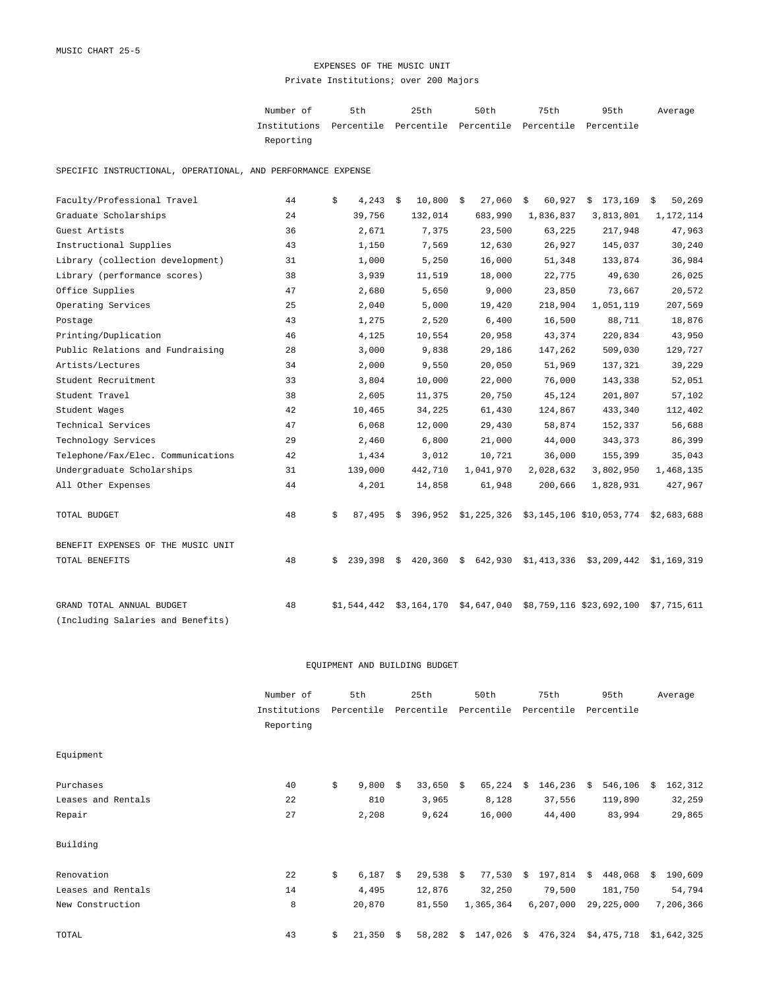## EXPENSES OF THE MUSIC UNIT Private Institutions; over 200 Majors

Number of 5th 25th 50th 75th 95th Institutions Percentile Percentile Percentile Percentile Percentile Reporting Average

SPECIFIC INSTRUCTIONAL, OPERATIONAL, AND PERFORMANCE EXPENSE

| Faculty/Professional Travel        | 44 | 4,243<br>\$   | 10,800<br>\$  | 27,060<br>- \$ | 60,927<br>\$ | 173,169<br>\$                                            | 50,269<br>\$ |
|------------------------------------|----|---------------|---------------|----------------|--------------|----------------------------------------------------------|--------------|
| Graduate Scholarships              | 24 | 39,756        | 132,014       | 683,990        | 1,836,837    | 3,813,801                                                | 1,172,114    |
| Guest Artists                      | 36 | 2,671         | 7,375         | 23,500         | 63,225       | 217,948                                                  | 47,963       |
| Instructional Supplies             | 43 | 1,150         | 7,569         | 12,630         | 26,927       | 145,037                                                  | 30,240       |
| Library (collection development)   | 31 | 1,000         | 5,250         | 16,000         | 51,348       | 133,874                                                  | 36,984       |
| Library (performance scores)       | 38 | 3,939         | 11,519        | 18,000         | 22,775       | 49,630                                                   | 26,025       |
| Office Supplies                    | 47 | 2,680         | 5,650         | 9,000          | 23,850       | 73,667                                                   | 20,572       |
| Operating Services                 | 25 | 2,040         | 5,000         | 19,420         | 218,904      | 1,051,119                                                | 207,569      |
| Postage                            | 43 | 1,275         | 2,520         | 6,400          | 16,500       | 88,711                                                   | 18,876       |
| Printing/Duplication               | 46 | 4,125         | 10,554        | 20,958         | 43,374       | 220,834                                                  | 43,950       |
| Public Relations and Fundraising   | 28 | 3,000         | 9,838         | 29,186         | 147,262      | 509,030                                                  | 129,727      |
| Artists/Lectures                   | 34 | 2,000         | 9,550         | 20,050         | 51,969       | 137,321                                                  | 39,229       |
| Student Recruitment                | 33 | 3,804         | 10,000        | 22,000         | 76,000       | 143,338                                                  | 52,051       |
| Student Travel                     | 38 | 2,605         | 11,375        | 20,750         | 45,124       | 201,807                                                  | 57,102       |
| Student Wages                      | 42 | 10,465        | 34,225        | 61,430         | 124,867      | 433,340                                                  | 112,402      |
| Technical Services                 | 47 | 6,068         | 12,000        | 29,430         | 58,874       | 152,337                                                  | 56,688       |
| Technology Services                | 29 | 2,460         | 6,800         | 21,000         | 44,000       | 343,373                                                  | 86,399       |
| Telephone/Fax/Elec. Communications | 42 | 1,434         | 3,012         | 10,721         | 36,000       | 155,399                                                  | 35,043       |
| Undergraduate Scholarships         | 31 | 139,000       | 442,710       | 1,041,970      | 2,028,632    | 3,802,950                                                | 1,468,135    |
| All Other Expenses                 | 44 | 4,201         | 14,858        | 61,948         | 200,666      | 1,828,931                                                | 427,967      |
| TOTAL BUDGET                       | 48 | \$<br>87,495  | \$            |                |              | 396,952 \$1,225,326 \$3,145,106 \$10,053,774 \$2,683,688 |              |
| BENEFIT EXPENSES OF THE MUSIC UNIT |    |               |               |                |              |                                                          |              |
| TOTAL BENEFITS                     | 48 | 239,398<br>Ŝ. | 420,360<br>Ŝ. | 642,930<br>\$  |              | $$1,413,336$ $$3,209,442$ $$1,169,319$                   |              |
| GRAND TOTAL ANNUAL BUDGET          | 48 | \$1,544,442   | \$3,164,170   | \$4,647,040    |              | \$8,759,116 \$23,692,100                                 | \$7,715,611  |
| (Including Salaries and Benefits)  |    |               |               |                |              |                                                          |              |

|                    | Number of    | 5th              |    | 25th        | 50th          |    | 75th        |     | 95th        |    | Average     |
|--------------------|--------------|------------------|----|-------------|---------------|----|-------------|-----|-------------|----|-------------|
|                    | Institutions | Percentile       |    | Percentile  | Percentile    |    | Percentile  |     | Percentile  |    |             |
|                    | Reporting    |                  |    |             |               |    |             |     |             |    |             |
| Equipment          |              |                  |    |             |               |    |             |     |             |    |             |
| Purchases          | 40           | \$<br>9,800      | -Ŝ | $33,650$ \$ | 65,224        | Ŝ. | 146,236     | - S | 546,106     | Ŝ. | 162,312     |
| Leases and Rentals | 22           | 810              |    | 3,965       | 8,128         |    | 37,556      |     | 119,890     |    | 32,259      |
| Repair             | 27           | 2,208            |    | 9,624       | 16,000        |    | 44,400      |     | 83,994      |    | 29,865      |
| Building           |              |                  |    |             |               |    |             |     |             |    |             |
| Renovation         | 22           | \$<br>$6,187$ \$ |    | $29,538$ \$ | 77,530        | \$ | 197,814     | S.  | 448,068     | S. | 190,609     |
| Leases and Rentals | 14           | 4,495            |    | 12,876      | 32,250        |    | 79,500      |     | 181,750     |    | 54,794      |
| New Construction   | 8            | 20,870           |    | 81,550      | 1,365,364     |    | 6, 207, 000 |     | 29,225,000  |    | 7,206,366   |
| TOTAL              | 43           | \$<br>21,350     | \$ | 58,282      | \$<br>147,026 |    | \$476,324   |     | \$4,475,718 |    | \$1,642,325 |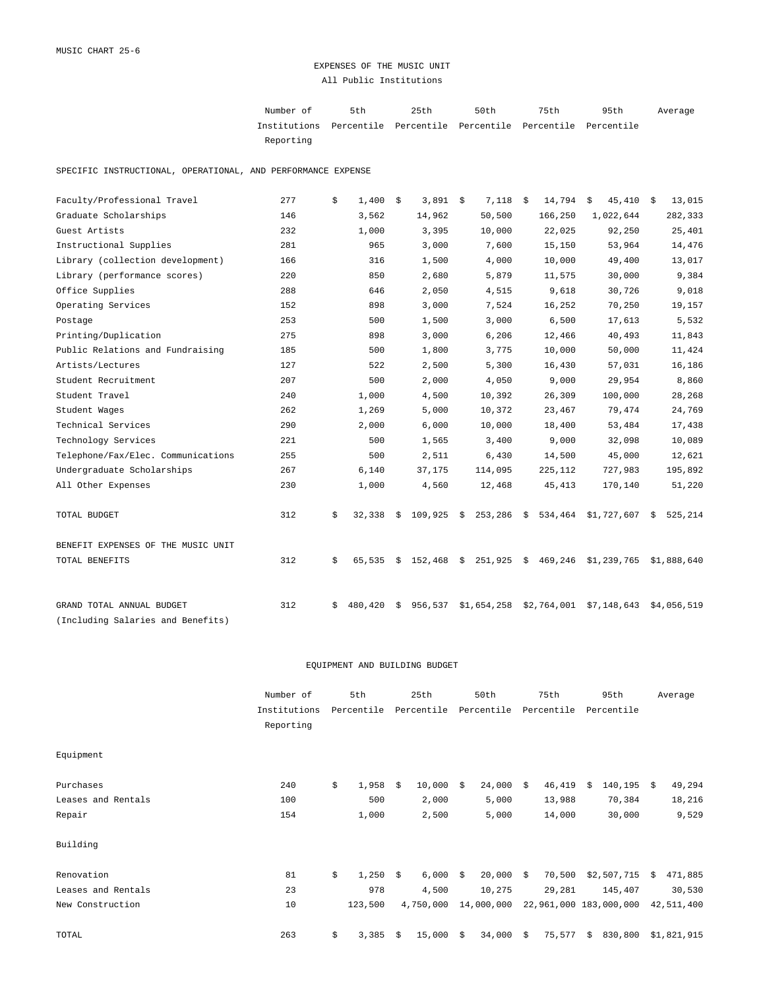## EXPENSES OF THE MUSIC UNIT All Public Institutions

| Number of                                                           | 5th | 25th | 50 t.h | 75th | 95th | Average |
|---------------------------------------------------------------------|-----|------|--------|------|------|---------|
| Institutions Percentile Percentile Percentile Percentile Percentile |     |      |        |      |      |         |
| Reporting                                                           |     |      |        |      |      |         |

SPECIFIC INSTRUCTIONAL, OPERATIONAL, AND PERFORMANCE EXPENSE

| Faculty/Professional Travel        | 277 | \$ | 1,400   | \$ | $3,891$ \$ | 7,118         | \$   | 14,794      | 45,410<br>\$              | - \$ | 13,015      |
|------------------------------------|-----|----|---------|----|------------|---------------|------|-------------|---------------------------|------|-------------|
| Graduate Scholarships              | 146 |    | 3,562   |    | 14,962     | 50,500        |      | 166,250     | 1,022,644                 |      | 282,333     |
| Guest Artists                      | 232 |    | 1,000   |    | 3,395      | 10,000        |      | 22,025      | 92,250                    |      | 25,401      |
| Instructional Supplies             | 281 |    | 965     |    | 3,000      | 7,600         |      | 15,150      | 53,964                    |      | 14,476      |
| Library (collection development)   | 166 |    | 316     |    | 1,500      | 4,000         |      | 10,000      | 49,400                    |      | 13,017      |
| Library (performance scores)       | 220 |    | 850     |    | 2,680      | 5,879         |      | 11,575      | 30,000                    |      | 9,384       |
| Office Supplies                    | 288 |    | 646     |    | 2,050      | 4,515         |      | 9,618       | 30,726                    |      | 9,018       |
| Operating Services                 | 152 |    | 898     |    | 3,000      | 7,524         |      | 16,252      | 70,250                    |      | 19,157      |
| Postage                            | 253 |    | 500     |    | 1,500      | 3,000         |      | 6,500       | 17,613                    |      | 5,532       |
| Printing/Duplication               | 275 |    | 898     |    | 3,000      | 6,206         |      | 12,466      | 40,493                    |      | 11,843      |
| Public Relations and Fundraising   | 185 |    | 500     |    | 1,800      | 3,775         |      | 10,000      | 50,000                    |      | 11,424      |
| Artists/Lectures                   | 127 |    | 522     |    | 2,500      | 5,300         |      | 16,430      | 57,031                    |      | 16,186      |
| Student Recruitment                | 207 |    | 500     |    | 2,000      | 4,050         |      | 9,000       | 29,954                    |      | 8,860       |
| Student Travel                     | 240 |    | 1,000   |    | 4,500      | 10,392        |      | 26,309      | 100,000                   |      | 28,268      |
| Student Wages                      | 262 |    | 1,269   |    | 5,000      | 10,372        |      | 23,467      | 79,474                    |      | 24,769      |
| Technical Services                 | 290 |    | 2,000   |    | 6,000      | 10,000        |      | 18,400      | 53,484                    |      | 17,438      |
| Technology Services                | 221 |    | 500     |    | 1,565      | 3,400         |      | 9,000       | 32,098                    |      | 10,089      |
| Telephone/Fax/Elec. Communications | 255 |    | 500     |    | 2,511      | 6,430         |      | 14,500      | 45,000                    |      | 12,621      |
| Undergraduate Scholarships         | 267 |    | 6,140   |    | 37,175     | 114,095       |      | 225,112     | 727,983                   |      | 195,892     |
| All Other Expenses                 | 230 |    | 1,000   |    | 4,560      | 12,468        |      | 45, 413     | 170,140                   |      | 51,220      |
| TOTAL BUDGET                       | 312 | \$ | 32,338  | Ŝ. | 109,925    | \$253,286     | - \$ | 534,464     | \$1,727,607               | \$   | 525,214     |
| BENEFIT EXPENSES OF THE MUSIC UNIT |     |    |         |    |            |               |      |             |                           |      |             |
| TOTAL BENEFITS                     | 312 | \$ | 65,535  | S. | 152,468    | \$<br>251,925 | \$   | 469,246     | $$1,239,765$ $$1,888,640$ |      |             |
| GRAND TOTAL ANNUAL BUDGET          | 312 | Ŝ. | 480,420 | \$ | 956,537    | \$1,654,258   |      | \$2,764,001 | \$7,148,643               |      | \$4,056,519 |
| (Including Salaries and Benefits)  |     |    |         |    |            |               |      |             |                           |      |             |

|                    | Number of    | 5th         |    | 25th                  |    | 50th       |    | 75th       |      | 95th                   |    | Average     |
|--------------------|--------------|-------------|----|-----------------------|----|------------|----|------------|------|------------------------|----|-------------|
|                    | Institutions | Percentile  |    | Percentile Percentile |    |            |    | Percentile |      | Percentile             |    |             |
|                    | Reporting    |             |    |                       |    |            |    |            |      |                        |    |             |
| Equipment          |              |             |    |                       |    |            |    |            |      |                        |    |             |
| Purchases          | 240          | \$<br>1,958 | S. | 10,000                | Ŝ. | 24,000     | \$ | 46,419     | - \$ | 140,195                | S. | 49,294      |
| Leases and Rentals | 100          | 500         |    | 2,000                 |    | 5,000      |    | 13,988     |      | 70,384                 |    | 18,216      |
| Repair             | 154          | 1,000       |    | 2,500                 |    | 5,000      |    | 14,000     |      | 30,000                 |    | 9,529       |
| Building           |              |             |    |                       |    |            |    |            |      |                        |    |             |
| Renovation         | 81           | \$<br>1,250 | S. | $6,000$ \$            |    | 20,000     | Ŝ. | 70,500     |      | \$2,507,715            | Ŝ. | 471,885     |
| Leases and Rentals | 23           | 978         |    | 4,500                 |    | 10,275     |    | 29,281     |      | 145,407                |    | 30,530      |
| New Construction   | 10           | 123,500     |    | 4,750,000             |    | 14,000,000 |    |            |      | 22,961,000 183,000,000 |    | 42,511,400  |
| TOTAL              | 263          | \$<br>3,385 | Ŝ. | 15,000                | \$ | 34,000     | \$ | 75,577     | \$   | 830,800                |    | \$1,821,915 |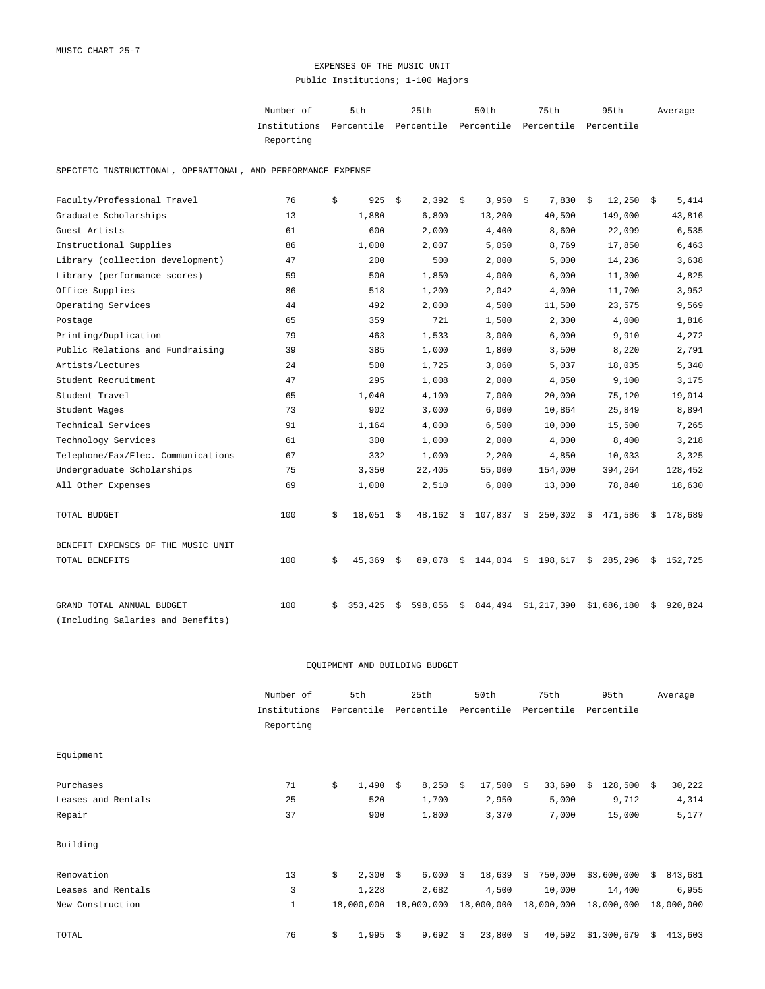## EXPENSES OF THE MUSIC UNIT Public Institutions; 1-100 Majors

| Number of                                                           | 5th | 25th | 50 t.h | 75th | 95th | Average |
|---------------------------------------------------------------------|-----|------|--------|------|------|---------|
| Institutions Percentile Percentile Percentile Percentile Percentile |     |      |        |      |      |         |
| Reporting                                                           |     |      |        |      |      |         |

SPECIFIC INSTRUCTIONAL, OPERATIONAL, AND PERFORMANCE EXPENSE

| Faculty/Professional Travel        | 76  | \$ | 925     | \$ | 2,392            | - \$ | 3,950   | - \$ | 7,830       | \$<br>$12,250$ \$ |    | 5,414   |
|------------------------------------|-----|----|---------|----|------------------|------|---------|------|-------------|-------------------|----|---------|
| Graduate Scholarships              | 13  |    | 1,880   |    | 6,800            |      | 13,200  |      | 40,500      | 149,000           |    | 43,816  |
| Guest Artists                      | 61  |    | 600     |    | 2,000            |      | 4,400   |      | 8,600       | 22,099            |    | 6,535   |
| Instructional Supplies             | 86  |    | 1,000   |    | 2,007            |      | 5,050   |      | 8,769       | 17,850            |    | 6,463   |
| Library (collection development)   | 47  |    | 200     |    | 500              |      | 2,000   |      | 5,000       | 14,236            |    | 3,638   |
| Library (performance scores)       | 59  |    | 500     |    | 1,850            |      | 4,000   |      | 6,000       | 11,300            |    | 4,825   |
| Office Supplies                    | 86  |    | 518     |    | 1,200            |      | 2,042   |      | 4,000       | 11,700            |    | 3,952   |
| Operating Services                 | 44  |    | 492     |    | 2,000            |      | 4,500   |      | 11,500      | 23,575            |    | 9,569   |
| Postage                            | 65  |    | 359     |    | 721              |      | 1,500   |      | 2,300       | 4,000             |    | 1,816   |
| Printing/Duplication               | 79  |    | 463     |    | 1,533            |      | 3,000   |      | 6,000       | 9,910             |    | 4,272   |
| Public Relations and Fundraising   | 39  |    | 385     |    | 1,000            |      | 1,800   |      | 3,500       | 8,220             |    | 2,791   |
| Artists/Lectures                   | 24  |    | 500     |    | 1,725            |      | 3,060   |      | 5,037       | 18,035            |    | 5,340   |
| Student Recruitment                | 47  |    | 295     |    | 1,008            |      | 2,000   |      | 4,050       | 9,100             |    | 3,175   |
| Student Travel                     | 65  |    | 1,040   |    | 4,100            |      | 7,000   |      | 20,000      | 75,120            |    | 19,014  |
| Student Wages                      | 73  |    | 902     |    | 3,000            |      | 6,000   |      | 10,864      | 25,849            |    | 8,894   |
| Technical Services                 | 91  |    | 1,164   |    | 4,000            |      | 6,500   |      | 10,000      | 15,500            |    | 7,265   |
| Technology Services                | 61  |    | 300     |    | 1,000            |      | 2,000   |      | 4,000       | 8,400             |    | 3,218   |
| Telephone/Fax/Elec. Communications | 67  |    | 332     |    | 1,000            |      | 2,200   |      | 4,850       | 10,033            |    | 3,325   |
| Undergraduate Scholarships         | 75  |    | 3,350   |    | 22,405           |      | 55,000  |      | 154,000     | 394,264           |    | 128,452 |
| All Other Expenses                 | 69  |    | 1,000   |    | 2,510            |      | 6,000   |      | 13,000      | 78,840            |    | 18,630  |
| TOTAL BUDGET                       | 100 | \$ | 18,051  | S. | $48,162 \quad $$ |      | 107,837 | - \$ | 250,302     | \$<br>471,586     | S. | 178,689 |
| BENEFIT EXPENSES OF THE MUSIC UNIT |     |    |         |    |                  |      |         |      |             |                   |    |         |
| TOTAL BENEFITS                     | 100 | \$ | 45,369  | Ŝ. | 89,078           | \$   | 144,034 | - \$ | 198,617     | \$<br>285,296     | S. | 152,725 |
| GRAND TOTAL ANNUAL BUDGET          | 100 | S. | 353,425 | Ŝ. | 598,056          | \$   | 844,494 |      | \$1,217,390 | \$1,686,180       | \$ | 920,824 |
| (Including Salaries and Benefits)  |     |    |         |    |                  |      |         |      |             |                   |    |         |

|                    | Number of    | 5th          |            | 25th                  | 50th              | 75th         |    | 95th          |    | Average    |
|--------------------|--------------|--------------|------------|-----------------------|-------------------|--------------|----|---------------|----|------------|
|                    | Institutions | Percentile   |            | Percentile Percentile |                   | Percentile   |    | Percentile    |    |            |
|                    | Reporting    |              |            |                       |                   |              |    |               |    |            |
| Equipment          |              |              |            |                       |                   |              |    |               |    |            |
| Purchases          | 71           | \$<br>1,490S |            | 8,250                 | \$<br>$17,500$ \$ | 33,690       | -Ŝ | $128,500 \t5$ |    | 30,222     |
| Leases and Rentals | 25           | 520          |            | 1,700                 | 2,950             | 5,000        |    | 9,712         |    | 4,314      |
| Repair             | 37           | 900          |            | 1,800                 | 3,370             | 7,000        |    | 15,000        |    | 5,177      |
| Building           |              |              |            |                       |                   |              |    |               |    |            |
| Renovation         | 13           | \$<br>2,300  | $\ddot{s}$ | $6,000$ \$            | $18,639$ \$       | 750,000      |    | \$3,600,000   | S. | 843,681    |
| Leases and Rentals | 3            | 1,228        |            | 2,682                 | 4,500             | 10,000       |    | 14,400        |    | 6,955      |
| New Construction   | $\mathbf{1}$ | 18,000,000   |            | 18,000,000            | 18,000,000        | 18,000,000   |    | 18,000,000    |    | 18,000,000 |
| TOTAL              | 76           | \$<br>1,995  | \$         | 9,692                 | \$<br>23,800      | \$<br>40,592 |    | \$1,300,679   | \$ | 413,603    |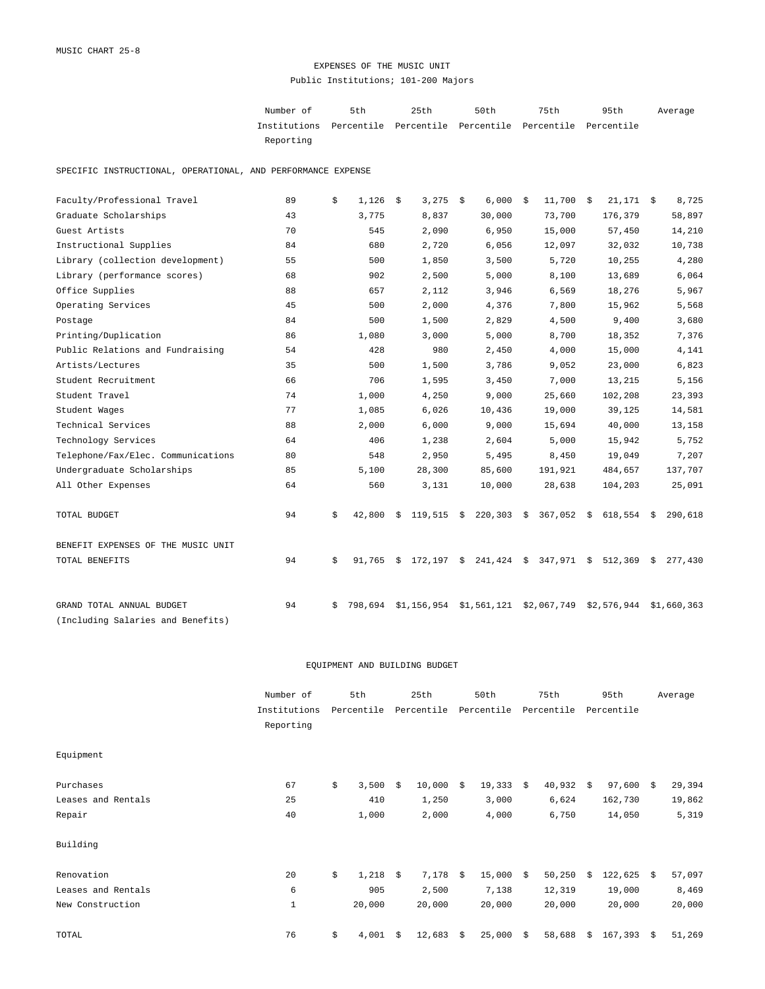## EXPENSES OF THE MUSIC UNIT Public Institutions; 101-200 Majors

| Number of                                                           | 5th | 25th | 50 t.h | 75th | 95th | Average |
|---------------------------------------------------------------------|-----|------|--------|------|------|---------|
| Institutions Percentile Percentile Percentile Percentile Percentile |     |      |        |      |      |         |
| Reporting                                                           |     |      |        |      |      |         |

SPECIFIC INSTRUCTIONAL, OPERATIONAL, AND PERFORMANCE EXPENSE

| Faculty/Professional Travel        | 89 | \$ | 1,126   | - \$ | $3,275$ \$   | 6,000                     | - \$ | 11,700      | \$<br>$21,171$ \$                           |    | 8,725       |
|------------------------------------|----|----|---------|------|--------------|---------------------------|------|-------------|---------------------------------------------|----|-------------|
| Graduate Scholarships              | 43 |    | 3,775   |      | 8,837        | 30,000                    |      | 73,700      | 176,379                                     |    | 58,897      |
| Guest Artists                      | 70 |    | 545     |      | 2,090        | 6,950                     |      | 15,000      | 57,450                                      |    | 14,210      |
| Instructional Supplies             | 84 |    | 680     |      | 2,720        | 6,056                     |      | 12,097      | 32,032                                      |    | 10,738      |
| Library (collection development)   | 55 |    | 500     |      | 1,850        | 3,500                     |      | 5,720       | 10,255                                      |    | 4,280       |
| Library (performance scores)       | 68 |    | 902     |      | 2,500        | 5,000                     |      | 8,100       | 13,689                                      |    | 6,064       |
| Office Supplies                    | 88 |    | 657     |      | 2,112        | 3,946                     |      | 6,569       | 18,276                                      |    | 5,967       |
| Operating Services                 | 45 |    | 500     |      | 2,000        | 4,376                     |      | 7,800       | 15,962                                      |    | 5,568       |
| Postage                            | 84 |    | 500     |      | 1,500        | 2,829                     |      | 4,500       | 9,400                                       |    | 3,680       |
| Printing/Duplication               | 86 |    | 1,080   |      | 3,000        | 5,000                     |      | 8,700       | 18,352                                      |    | 7,376       |
| Public Relations and Fundraising   | 54 |    | 428     |      | 980          | 2,450                     |      | 4,000       | 15,000                                      |    | 4,141       |
| Artists/Lectures                   | 35 |    | 500     |      | 1,500        | 3,786                     |      | 9,052       | 23,000                                      |    | 6,823       |
| Student Recruitment                | 66 |    | 706     |      | 1,595        | 3,450                     |      | 7,000       | 13,215                                      |    | 5,156       |
| Student Travel                     | 74 |    | 1,000   |      | 4,250        | 9,000                     |      | 25,660      | 102,208                                     |    | 23,393      |
| Student Wages                      | 77 |    | 1,085   |      | 6,026        | 10,436                    |      | 19,000      | 39,125                                      |    | 14,581      |
| Technical Services                 | 88 |    | 2,000   |      | 6,000        | 9,000                     |      | 15,694      | 40,000                                      |    | 13,158      |
| Technology Services                | 64 |    | 406     |      | 1,238        | 2,604                     |      | 5,000       | 15,942                                      |    | 5,752       |
| Telephone/Fax/Elec. Communications | 80 |    | 548     |      | 2,950        | 5,495                     |      | 8,450       | 19,049                                      |    | 7,207       |
| Undergraduate Scholarships         | 85 |    | 5,100   |      | 28,300       | 85,600                    |      | 191,921     | 484,657                                     |    | 137,707     |
| All Other Expenses                 | 64 |    | 560     |      | 3,131        | 10,000                    |      | 28,638      | 104,203                                     |    | 25,091      |
| TOTAL BUDGET                       | 94 | \$ | 42,800  | Ŝ.   | $119,515$ \$ | $220,303$ \$              |      | 367,052     | \$<br>618,554                               | S. | 290,618     |
| BENEFIT EXPENSES OF THE MUSIC UNIT |    |    |         |      |              |                           |      |             |                                             |    |             |
| TOTAL BENEFITS                     | 94 | \$ | 91,765  |      |              |                           |      |             | $$172,197$ \$ 241,424 \$ 347,971 \$ 512,369 | \$ | 277,430     |
| GRAND TOTAL ANNUAL BUDGET          | 94 |    |         |      |              |                           |      |             | \$2,576,944                                 |    | \$1,660,363 |
| (Including Salaries and Benefits)  |    | Ŝ. | 798.694 |      |              | $$1,156,954$ $$1,561,121$ |      | \$2,067,749 |                                             |    |             |
|                                    |    |    |         |      |              |                           |      |             |                                             |    |             |

|                    | Number of    | 5th         |                     | 25th       |    | 50th       |      | 75th       |      | 95th         |      | Average |
|--------------------|--------------|-------------|---------------------|------------|----|------------|------|------------|------|--------------|------|---------|
|                    | Institutions | Percentile  |                     | Percentile |    | Percentile |      | Percentile |      | Percentile   |      |         |
|                    | Reporting    |             |                     |            |    |            |      |            |      |              |      |         |
| Equipment          |              |             |                     |            |    |            |      |            |      |              |      |         |
| Purchases          | 67           | \$<br>3,500 | Ŝ.                  | 10,000     | S. | 19,333     | \$   | 40,932     | - \$ | 97,600       | - \$ | 29,394  |
| Leases and Rentals | 25           | 410         |                     | 1,250      |    | 3,000      |      | 6,624      |      | 162,730      |      | 19,862  |
| Repair             | 40           | 1,000       |                     | 2,000      |    | 4,000      |      | 6,750      |      | 14,050       |      | 5,319   |
| Building           |              |             |                     |            |    |            |      |            |      |              |      |         |
| Renovation         | 20           | \$<br>1,218 | $\ddot{\mathbf{s}}$ | $7,178$ \$ |    | 15,000     | - \$ | 50,250     | Ŝ.   | $122,625$ \$ |      | 57,097  |
| Leases and Rentals | 6            | 905         |                     | 2,500      |    | 7,138      |      | 12,319     |      | 19,000       |      | 8,469   |
| New Construction   | $1\,$        | 20,000      |                     | 20,000     |    | 20,000     |      | 20,000     |      | 20,000       |      | 20,000  |
| TOTAL              | 76           | \$<br>4,001 | Ŝ.                  | 12,683     | \$ | 25,000     | \$   | 58,688     | \$   | 167,393      | \$   | 51,269  |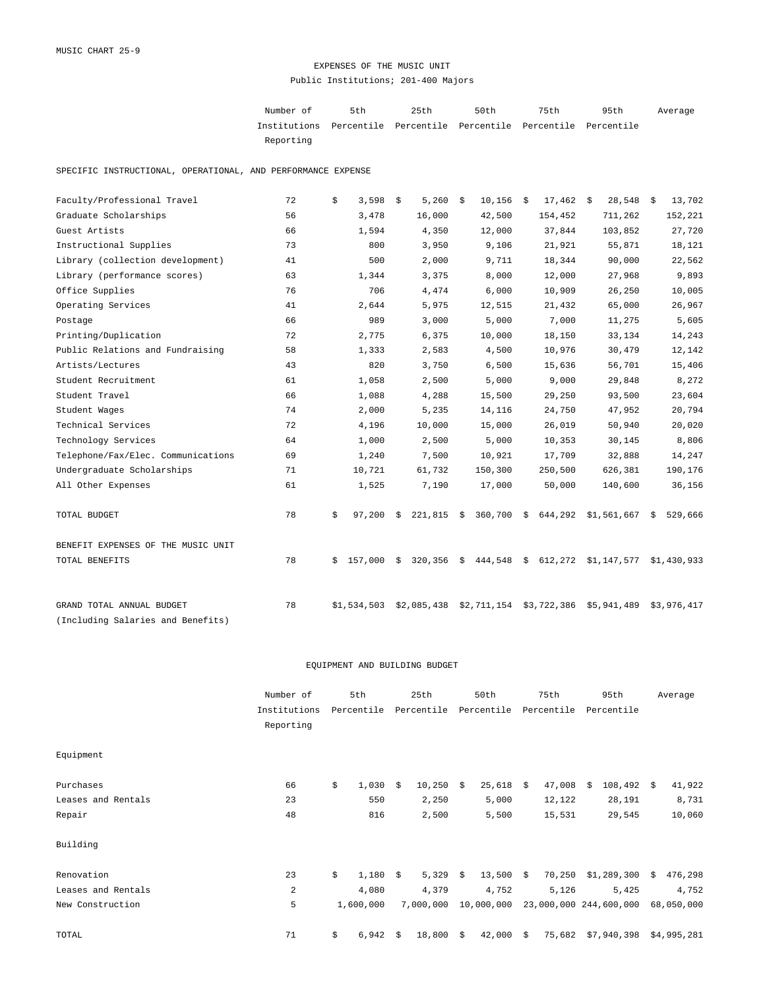## EXPENSES OF THE MUSIC UNIT Public Institutions; 201-400 Majors

| Number of                                                           | 5th | 25th | 50 t.h | 75th | 95th | Average |
|---------------------------------------------------------------------|-----|------|--------|------|------|---------|
| Institutions Percentile Percentile Percentile Percentile Percentile |     |      |        |      |      |         |
| Reporting                                                           |     |      |        |      |      |         |

SPECIFIC INSTRUCTIONAL, OPERATIONAL, AND PERFORMANCE EXPENSE

| Faculty/Professional Travel        | 72 | \$ | 3,598       | \$ | 5,260        | - \$ | 10,156                        | - \$ | 17,462                                 | \$<br>$28,548$ \$         | 13,702      |
|------------------------------------|----|----|-------------|----|--------------|------|-------------------------------|------|----------------------------------------|---------------------------|-------------|
| Graduate Scholarships              | 56 |    | 3,478       |    | 16,000       |      | 42,500                        |      | 154,452                                | 711,262                   | 152,221     |
| Guest Artists                      | 66 |    | 1,594       |    | 4,350        |      | 12,000                        |      | 37,844                                 | 103,852                   | 27,720      |
| Instructional Supplies             | 73 |    | 800         |    | 3,950        |      | 9,106                         |      | 21,921                                 | 55,871                    | 18,121      |
| Library (collection development)   | 41 |    | 500         |    | 2,000        |      | 9,711                         |      | 18,344                                 | 90,000                    | 22,562      |
| Library (performance scores)       | 63 |    | 1,344       |    | 3,375        |      | 8,000                         |      | 12,000                                 | 27,968                    | 9,893       |
| Office Supplies                    | 76 |    | 706         |    | 4,474        |      | 6,000                         |      | 10,909                                 | 26,250                    | 10,005      |
| Operating Services                 | 41 |    | 2,644       |    | 5,975        |      | 12,515                        |      | 21,432                                 | 65,000                    | 26,967      |
| Postage                            | 66 |    | 989         |    | 3,000        |      | 5,000                         |      | 7,000                                  | 11,275                    | 5,605       |
| Printing/Duplication               | 72 |    | 2,775       |    | 6,375        |      | 10,000                        |      | 18,150                                 | 33,134                    | 14,243      |
| Public Relations and Fundraising   | 58 |    | 1,333       |    | 2,583        |      | 4,500                         |      | 10,976                                 | 30,479                    | 12,142      |
| Artists/Lectures                   | 43 |    | 820         |    | 3,750        |      | 6,500                         |      | 15,636                                 | 56,701                    | 15,406      |
| Student Recruitment                | 61 |    | 1,058       |    | 2,500        |      | 5,000                         |      | 9,000                                  | 29,848                    | 8,272       |
| Student Travel                     | 66 |    | 1,088       |    | 4,288        |      | 15,500                        |      | 29,250                                 | 93,500                    | 23,604      |
| Student Wages                      | 74 |    | 2,000       |    | 5,235        |      | 14,116                        |      | 24,750                                 | 47,952                    | 20,794      |
| Technical Services                 | 72 |    | 4,196       |    | 10,000       |      | 15,000                        |      | 26,019                                 | 50,940                    | 20,020      |
| Technology Services                | 64 |    | 1,000       |    | 2,500        |      | 5,000                         |      | 10,353                                 | 30,145                    | 8,806       |
| Telephone/Fax/Elec. Communications | 69 |    | 1,240       |    | 7,500        |      | 10,921                        |      | 17,709                                 | 32,888                    | 14,247      |
| Undergraduate Scholarships         | 71 |    | 10,721      |    | 61,732       |      | 150,300                       |      | 250,500                                | 626,381                   | 190,176     |
| All Other Expenses                 | 61 |    | 1,525       |    | 7,190        |      | 17,000                        |      | 50,000                                 | 140,600                   | 36,156      |
| TOTAL BUDGET                       | 78 | \$ | 97,200      | Ŝ. |              |      | 221,815 \$ 360,700 \$ 644,292 |      |                                        | \$1,561,667 \$            | 529,666     |
| BENEFIT EXPENSES OF THE MUSIC UNIT |    |    |             |    |              |      |                               |      |                                        |                           |             |
| TOTAL BENEFITS                     | 78 | Ŝ. | 157,000     | Ŝ. | $320,356$ \$ |      | 444,548                       | \$   | 612,272                                | $$1,147,577$ $$1,430,933$ |             |
| GRAND TOTAL ANNUAL BUDGET          | 78 |    | \$1,534,503 |    | \$2,085,438  |      |                               |      | $$2,711,154$ $$3,722,386$ $$5,941,489$ |                           | \$3,976,417 |
| (Including Salaries and Benefits)  |    |    |             |    |              |      |                               |      |                                        |                           |             |

|                    | Number of                 | 5th              |    | 25th        | 50th         |    | 75th                   |    | 95th        |    | Average     |
|--------------------|---------------------------|------------------|----|-------------|--------------|----|------------------------|----|-------------|----|-------------|
|                    | Institutions<br>Reporting | Percentile       |    | Percentile  | Percentile   |    | Percentile             |    | Percentile  |    |             |
| Equipment          |                           |                  |    |             |              |    |                        |    |             |    |             |
| Purchases          | 66                        | \$<br>1,030      | -Ŝ | $10,250$ \$ | 25,618       | S. | 47,008                 | Ŝ. | 108,492     | S. | 41,922      |
| Leases and Rentals | 23                        | 550              |    | 2,250       | 5,000        |    | 12,122                 |    | 28,191      |    | 8,731       |
| Repair             | 48                        | 816              |    | 2,500       | 5,500        |    | 15,531                 |    | 29,545      |    | 10,060      |
| Building           |                           |                  |    |             |              |    |                        |    |             |    |             |
| Renovation         | 23                        | \$<br>$1,180$ \$ |    | $5,329$ \$  | $13,500$ \$  |    | 70,250                 |    | \$1,289,300 | Ŝ. | 476,298     |
| Leases and Rentals | $\overline{a}$            | 4,080            |    | 4,379       | 4,752        |    | 5,126                  |    | 5,425       |    | 4,752       |
| New Construction   | 5                         | 1,600,000        |    | 7,000,000   | 10,000,000   |    | 23,000,000 244,600,000 |    |             |    | 68,050,000  |
| TOTAL              | 71                        | \$<br>6,942      | Ŝ. | 18,800      | \$<br>42,000 | \$ | 75,682                 |    | \$7,940,398 |    | \$4,995,281 |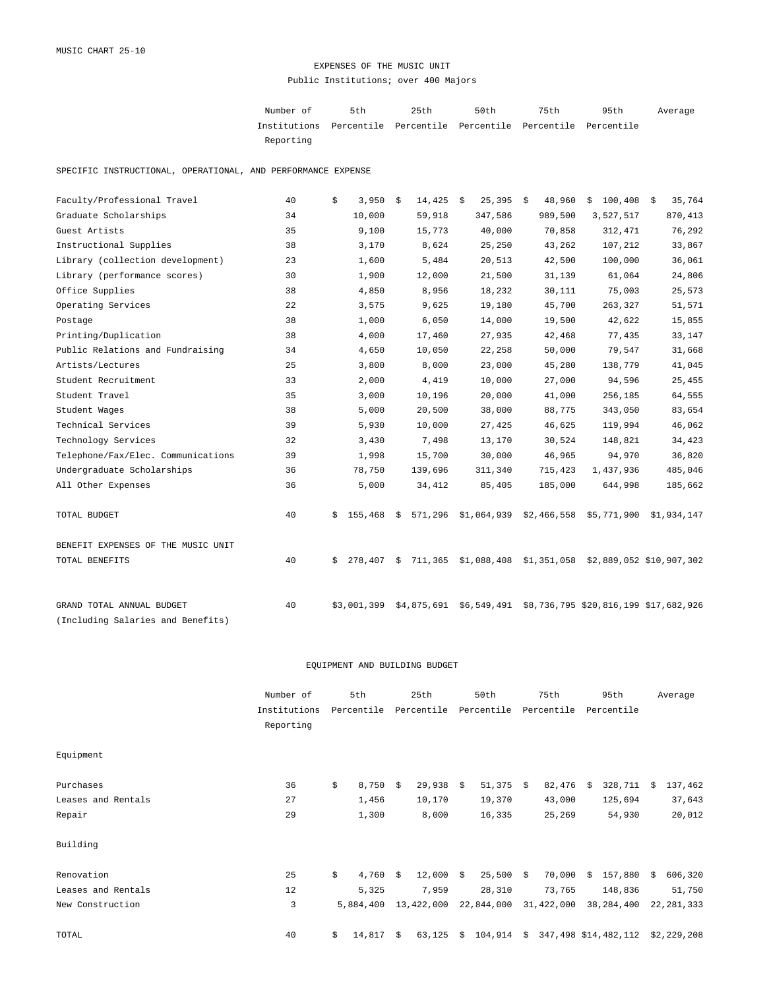## EXPENSES OF THE MUSIC UNIT Public Institutions; over 400 Majors

Number of 5th 25th 50th 75th 95th Institutions Percentile Percentile Percentile Percentile Percentile Reporting Average

SPECIFIC INSTRUCTIONAL, OPERATIONAL, AND PERFORMANCE EXPENSE

| Faculty/Professional Travel        | 40 | 3,950<br>\$   | 14,425<br>\$  | \$<br>25,395 | 48,960<br>- \$ | $100,408$ \$<br>\$                                      | 35,764  |
|------------------------------------|----|---------------|---------------|--------------|----------------|---------------------------------------------------------|---------|
| Graduate Scholarships              | 34 | 10,000        | 59,918        | 347,586      | 989,500        | 3,527,517                                               | 870,413 |
| Guest Artists                      | 35 | 9,100         | 15,773        | 40,000       | 70,858         | 312,471                                                 | 76,292  |
| Instructional Supplies             | 38 | 3,170         | 8,624         | 25,250       | 43,262         | 107,212                                                 | 33,867  |
| Library (collection development)   | 23 | 1,600         | 5,484         | 20,513       | 42,500         | 100,000                                                 | 36,061  |
| Library (performance scores)       | 30 | 1,900         | 12,000        | 21,500       | 31,139         | 61,064                                                  | 24,806  |
| Office Supplies                    | 38 | 4,850         | 8,956         | 18,232       | 30,111         | 75,003                                                  | 25,573  |
| Operating Services                 | 22 | 3,575         | 9,625         | 19,180       | 45,700         | 263,327                                                 | 51,571  |
| Postage                            | 38 | 1,000         | 6,050         | 14,000       | 19,500         | 42,622                                                  | 15,855  |
| Printing/Duplication               | 38 | 4,000         | 17,460        | 27,935       | 42,468         | 77,435                                                  | 33,147  |
| Public Relations and Fundraising   | 34 | 4,650         | 10,050        | 22,258       | 50,000         | 79,547                                                  | 31,668  |
| Artists/Lectures                   | 25 | 3,800         | 8,000         | 23,000       | 45,280         | 138,779                                                 | 41,045  |
| Student Recruitment                | 33 | 2,000         | 4,419         | 10,000       | 27,000         | 94,596                                                  | 25,455  |
| Student Travel                     | 35 | 3,000         | 10,196        | 20,000       | 41,000         | 256,185                                                 | 64,555  |
| Student Wages                      | 38 | 5,000         | 20,500        | 38,000       | 88,775         | 343,050                                                 | 83,654  |
| Technical Services                 | 39 | 5,930         | 10,000        | 27,425       | 46,625         | 119,994                                                 | 46,062  |
| Technology Services                | 32 | 3,430         | 7,498         | 13,170       | 30,524         | 148,821                                                 | 34,423  |
| Telephone/Fax/Elec. Communications | 39 | 1,998         | 15,700        | 30,000       | 46,965         | 94,970                                                  | 36,820  |
| Undergraduate Scholarships         | 36 | 78,750        | 139,696       | 311,340      | 715,423        | 1,437,936                                               | 485,046 |
| All Other Expenses                 | 36 | 5,000         | 34,412        | 85,405       | 185,000        | 644,998                                                 | 185,662 |
| TOTAL BUDGET                       | 40 | 155,468<br>Ŝ. | Ŝ.            |              |                | 571,296 \$1,064,939 \$2,466,558 \$5,771,900 \$1,934,147 |         |
| BENEFIT EXPENSES OF THE MUSIC UNIT |    |               |               |              |                |                                                         |         |
| TOTAL BENEFITS                     | 40 | 278,407<br>Ŝ. | 711,365<br>\$ | \$1,088,408  |                | \$1,351,058 \$2,889,052 \$10,907,302                    |         |
| GRAND TOTAL ANNUAL BUDGET          | 40 | \$3,001,399   | \$4,875,691   | \$6,549,491  |                | \$8,736,795 \$20,816,199 \$17,682,926                   |         |
| (Including Salaries and Benefits)  |    |               |               |              |                |                                                         |         |

|                    | Number of    | 5th              |    | 25th           |    | 50th        |      | 75th       |    | 95th                 |    | Average      |
|--------------------|--------------|------------------|----|----------------|----|-------------|------|------------|----|----------------------|----|--------------|
|                    | Institutions | Percentile       |    | Percentile     |    | Percentile  |      | Percentile |    | Percentile           |    |              |
|                    | Reporting    |                  |    |                |    |             |      |            |    |                      |    |              |
| Equipment          |              |                  |    |                |    |             |      |            |    |                      |    |              |
| Purchases          | 36           | \$<br>8,750      | -Ŝ | 29,938         | Ŝ. | 51,375      | - \$ | 82,476     | -Ŝ | 328,711              | S. | 137,462      |
| Leases and Rentals | 27           | 1,456            |    | 10,170         |    | 19,370      |      | 43,000     |    | 125,694              |    | 37,643       |
| Repair             | 29           | 1,300            |    | 8,000          |    | 16,335      |      | 25,269     |    | 54,930               |    | 20,012       |
| Building           |              |                  |    |                |    |             |      |            |    |                      |    |              |
| Renovation         | 25           | \$<br>$4,760$ \$ |    | $12,000 \t$ \$ |    | $25,500$ \$ |      | 70,000     | Ŝ. | 157,880              | Ŝ. | 606,320      |
| Leases and Rentals | 12           | 5,325            |    | 7,959          |    | 28,310      |      | 73,765     |    | 148,836              |    | 51,750       |
| New Construction   | 3            | 5,884,400        |    | 13,422,000     |    | 22,844,000  |      | 31,422,000 |    | 38,284,400           |    | 22, 281, 333 |
| TOTAL              | 40           | \$<br>14,817     | -Ŝ | 63,125         | Ŝ. | 104,914     | \$   |            |    | 347,498 \$14,482,112 |    | \$2,229,208  |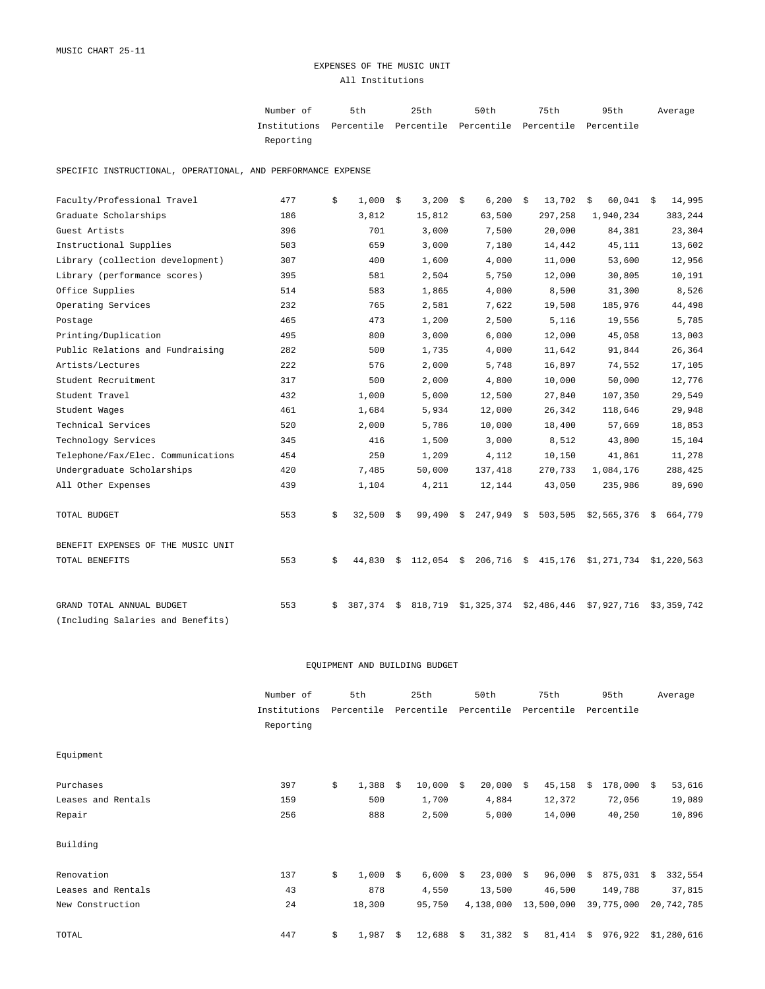## EXPENSES OF THE MUSIC UNIT All Institutions

Number of 5th 25th 50th 75th 95th Institutions Percentile Percentile Percentile Percentile Percentile Reporting Average

SPECIFIC INSTRUCTIONAL, OPERATIONAL, AND PERFORMANCE EXPENSE

| Faculty/Professional Travel        | 477 | \$ | 1,000   | \$ | 3,200        | - \$ | 6,200       | - \$ | 13,702      | $60,041$ \$<br>\$                          | 14,995      |
|------------------------------------|-----|----|---------|----|--------------|------|-------------|------|-------------|--------------------------------------------|-------------|
| Graduate Scholarships              | 186 |    | 3,812   |    | 15,812       |      | 63,500      |      | 297,258     | 1,940,234                                  | 383,244     |
| Guest Artists                      | 396 |    | 701     |    | 3,000        |      | 7,500       |      | 20,000      | 84,381                                     | 23,304      |
| Instructional Supplies             | 503 |    | 659     |    | 3,000        |      | 7,180       |      | 14,442      | 45,111                                     | 13,602      |
| Library (collection development)   | 307 |    | 400     |    | 1,600        |      | 4,000       |      | 11,000      | 53,600                                     | 12,956      |
| Library (performance scores)       | 395 |    | 581     |    | 2,504        |      | 5,750       |      | 12,000      | 30,805                                     | 10,191      |
| Office Supplies                    | 514 |    | 583     |    | 1,865        |      | 4,000       |      | 8,500       | 31,300                                     | 8,526       |
| Operating Services                 | 232 |    | 765     |    | 2,581        |      | 7,622       |      | 19,508      | 185,976                                    | 44,498      |
| Postage                            | 465 |    | 473     |    | 1,200        |      | 2,500       |      | 5,116       | 19,556                                     | 5,785       |
| Printing/Duplication               | 495 |    | 800     |    | 3,000        |      | 6,000       |      | 12,000      | 45,058                                     | 13,003      |
| Public Relations and Fundraising   | 282 |    | 500     |    | 1,735        |      | 4,000       |      | 11,642      | 91,844                                     | 26,364      |
| Artists/Lectures                   | 222 |    | 576     |    | 2,000        |      | 5,748       |      | 16,897      | 74,552                                     | 17,105      |
| Student Recruitment                | 317 |    | 500     |    | 2,000        |      | 4,800       |      | 10,000      | 50,000                                     | 12,776      |
| Student Travel                     | 432 |    | 1,000   |    | 5,000        |      | 12,500      |      | 27,840      | 107,350                                    | 29,549      |
| Student Wages                      | 461 |    | 1,684   |    | 5,934        |      | 12,000      |      | 26,342      | 118,646                                    | 29,948      |
| Technical Services                 | 520 |    | 2,000   |    | 5,786        |      | 10,000      |      | 18,400      | 57,669                                     | 18,853      |
| Technology Services                | 345 |    | 416     |    | 1,500        |      | 3,000       |      | 8,512       | 43,800                                     | 15,104      |
| Telephone/Fax/Elec. Communications | 454 |    | 250     |    | 1,209        |      | 4,112       |      | 10,150      | 41,861                                     | 11,278      |
| Undergraduate Scholarships         | 420 |    | 7,485   |    | 50,000       |      | 137,418     |      | 270,733     | 1,084,176                                  | 288,425     |
| All Other Expenses                 | 439 |    | 1,104   |    | 4,211        |      | 12,144      |      | 43,050      | 235,986                                    | 89,690      |
| TOTAL BUDGET                       | 553 | \$ | 32,500  | S. | 99,490       | \$   | 247,949     | - \$ | 503,505     | $$2,565,376$ \$                            | 664,779     |
| BENEFIT EXPENSES OF THE MUSIC UNIT |     |    |         |    |              |      |             |      |             |                                            |             |
| TOTAL BENEFITS                     | 553 | \$ | 44,830  | Ŝ. | $112,054$ \$ |      |             |      |             | 206,716 \$ 415,176 \$1,271,734 \$1,220,563 |             |
| GRAND TOTAL ANNUAL BUDGET          | 553 | Ŝ. | 387,374 | \$ | 818,719      |      | \$1,325,374 |      | \$2,486,446 | \$7,927,716                                | \$3,359,742 |
| (Including Salaries and Benefits)  |     |    |         |    |              |      |             |      |             |                                            |             |

|                    | Number of    | 5th         |    | 25th       |    | 50th       | 75th         |    | 95th       |     | Average     |
|--------------------|--------------|-------------|----|------------|----|------------|--------------|----|------------|-----|-------------|
|                    | Institutions | Percentile  |    | Percentile |    | Percentile | Percentile   |    | Percentile |     |             |
|                    | Reporting    |             |    |            |    |            |              |    |            |     |             |
| Equipment          |              |             |    |            |    |            |              |    |            |     |             |
| Purchases          | 397          | \$<br>1,388 | Ŝ. | 10,000     | Ŝ. | 20,000     | \$<br>45,158 | Ŝ. | 178,000    | - S | 53,616      |
| Leases and Rentals | 159          | 500         |    | 1,700      |    | 4,884      | 12,372       |    | 72,056     |     | 19,089      |
| Repair             | 256          | 888         |    | 2,500      |    | 5,000      | 14,000       |    | 40,250     |     | 10,896      |
| Building           |              |             |    |            |    |            |              |    |            |     |             |
| Renovation         | 137          | \$<br>1,000 | -Ŝ | 6,000      | \$ | 23,000     | \$<br>96,000 | \$ | 875,031    | Ŝ.  | 332,554     |
| Leases and Rentals | 43           | 878         |    | 4,550      |    | 13,500     | 46,500       |    | 149,788    |     | 37,815      |
| New Construction   | 24           | 18,300      |    | 95,750     |    | 4,138,000  | 13,500,000   |    | 39,775,000 |     | 20,742,785  |
| TOTAL              | 447          | \$<br>1,987 | Ŝ. | 12,688     | \$ | 31,382     | \$<br>81,414 | \$ | 976,922    |     | \$1,280,616 |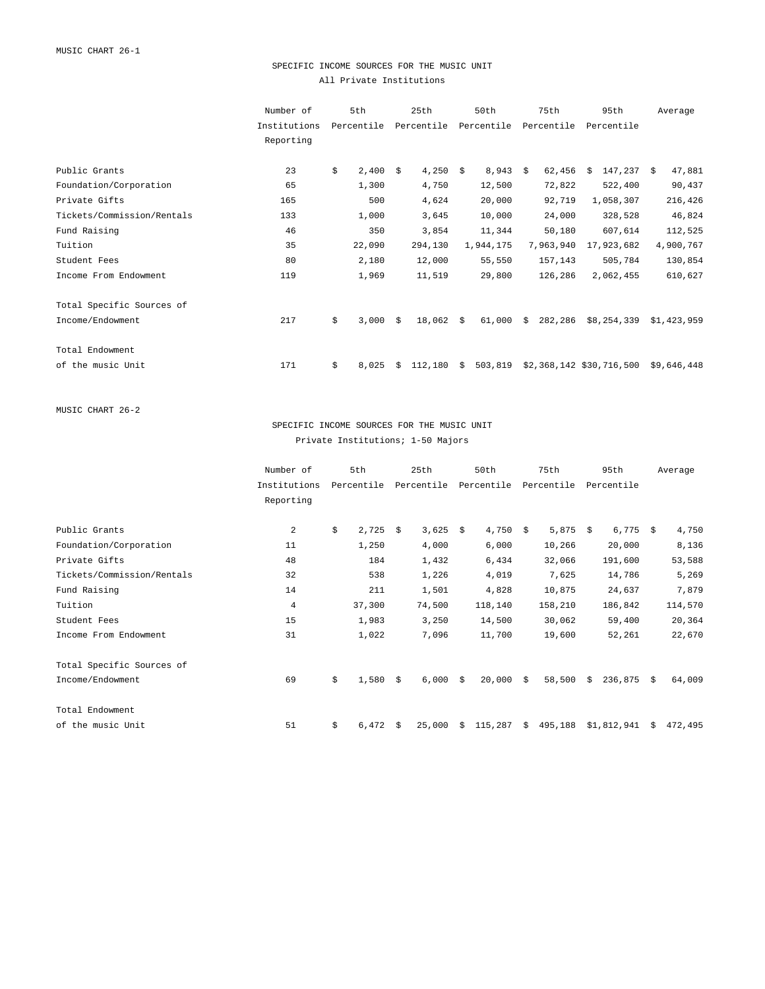## SPECIFIC INCOME SOURCES FOR THE MUSIC UNIT All Private Institutions

|                            | Number of    | 5th         |    | 25th             |    | 50th       |    | 75th       | 95th                     |    | Average     |
|----------------------------|--------------|-------------|----|------------------|----|------------|----|------------|--------------------------|----|-------------|
|                            | Institutions | Percentile  |    | Percentile       |    | Percentile |    | Percentile | Percentile               |    |             |
|                            | Reporting    |             |    |                  |    |            |    |            |                          |    |             |
| Public Grants              |              |             |    |                  |    |            |    |            | Ŝ.                       |    |             |
|                            | 23           | \$<br>2,400 | Ŝ. | $4,250$ \$       |    | $8,943$ \$ |    | 62,456     | 147,237                  | S. | 47,881      |
| Foundation/Corporation     | 65           | 1,300       |    | 4,750            |    | 12,500     |    | 72,822     | 522,400                  |    | 90,437      |
| Private Gifts              | 165          | 500         |    | 4,624            |    | 20,000     |    | 92,719     | 1,058,307                |    | 216,426     |
| Tickets/Commission/Rentals | 133          | 1,000       |    | 3,645            |    | 10,000     |    | 24,000     | 328,528                  |    | 46,824      |
| Fund Raising               | 46           | 350         |    | 3,854            |    | 11,344     |    | 50,180     | 607,614                  |    | 112,525     |
| Tuition                    | 35           | 22,090      |    | 294,130          |    | 1,944,175  |    | 7,963,940  | 17,923,682               |    | 4,900,767   |
| Student Fees               | 80           | 2,180       |    | 12,000           |    | 55,550     |    | 157,143    | 505,784                  |    | 130,854     |
| Income From Endowment      | 119          | 1,969       |    | 11,519           |    | 29,800     |    | 126,286    | 2,062,455                |    | 610,627     |
| Total Specific Sources of  |              |             |    |                  |    |            |    |            |                          |    |             |
| Income/Endowment           | 217          | \$<br>3,000 | Ŝ. | $18,062 \quad $$ |    | 61,000     | Ŝ. | 282,286    | \$8,254,339              |    | \$1,423,959 |
| Total Endowment            |              |             |    |                  |    |            |    |            |                          |    |             |
| of the music Unit          | 171          | \$<br>8,025 | Ŝ  | 112,180          | Ŝ. | 503,819    |    |            | \$2,368,142 \$30,716,500 |    | \$9,646,448 |

MUSIC CHART 26-2

SPECIFIC INCOME SOURCES FOR THE MUSIC UNIT Private Institutions; 1-50 Majors

|                            | Number of      | 5th         |    | 25th       |    | 50th       |    | 75th       |    | 95th        |    | Average |
|----------------------------|----------------|-------------|----|------------|----|------------|----|------------|----|-------------|----|---------|
|                            | Institutions   | Percentile  |    | Percentile |    | Percentile |    | Percentile |    | Percentile  |    |         |
|                            | Reporting      |             |    |            |    |            |    |            |    |             |    |         |
| Public Grants              | $\overline{2}$ | \$<br>2,725 | -Ŝ | $3,625$ \$ |    | 4,750      | Ŝ. | 5,875      | -Ŝ | $6,775$ \$  |    | 4,750   |
| Foundation/Corporation     | 11             | 1,250       |    | 4,000      |    | 6,000      |    | 10,266     |    | 20,000      |    | 8,136   |
| Private Gifts              | 48             | 184         |    | 1,432      |    | 6,434      |    | 32,066     |    | 191,600     |    | 53,588  |
| Tickets/Commission/Rentals | 32             | 538         |    | 1,226      |    | 4,019      |    | 7,625      |    | 14,786      |    | 5,269   |
| Fund Raising               | 14             | 211         |    | 1,501      |    | 4,828      |    | 10,875     |    | 24,637      |    | 7,879   |
| Tuition                    | $\overline{4}$ | 37,300      |    | 74,500     |    | 118,140    |    | 158,210    |    | 186,842     |    | 114,570 |
| Student Fees               | 15             | 1,983       |    | 3,250      |    | 14,500     |    | 30,062     |    | 59,400      |    | 20,364  |
| Income From Endowment      | 31             | 1,022       |    | 7,096      |    | 11,700     |    | 19,600     |    | 52,261      |    | 22,670  |
| Total Specific Sources of  |                |             |    |            |    |            |    |            |    |             |    |         |
| Income/Endowment           | 69             | \$<br>1,580 | -Ŝ | $6,000$ \$ |    | 20,000     | Ŝ. | 58,500     | \$ | 236,875     | Ŝ. | 64,009  |
| Total Endowment            |                |             |    |            |    |            |    |            |    |             |    |         |
| of the music Unit          | 51             | \$<br>6,472 | -S | 25,000     | Ŝ. | 115,287    | S. | 495,188    |    | \$1,812,941 | Ŝ. | 472,495 |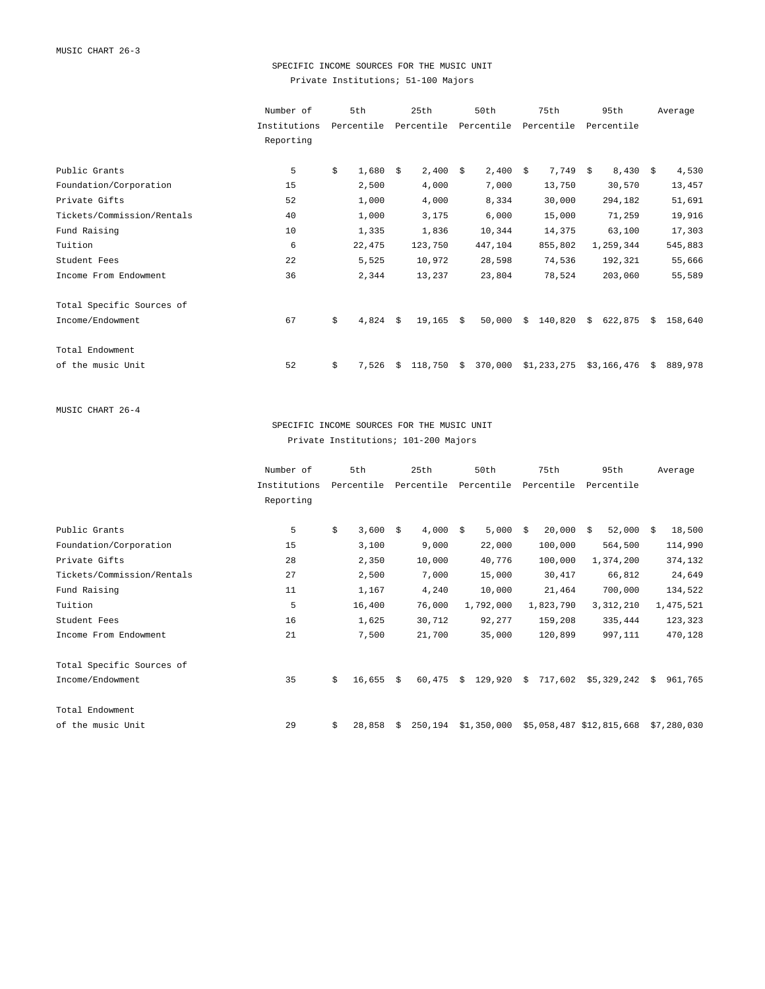## SPECIFIC INCOME SOURCES FOR THE MUSIC UNIT Private Institutions; 51-100 Majors

|                            | Number of    | 5th         |    | 25th       |    | 50th       |    | 75th        |    | 95th        |    | Average |
|----------------------------|--------------|-------------|----|------------|----|------------|----|-------------|----|-------------|----|---------|
|                            | Institutions | Percentile  |    | Percentile |    | Percentile |    | Percentile  |    | Percentile  |    |         |
|                            | Reporting    |             |    |            |    |            |    |             |    |             |    |         |
| Public Grants              | 5            | \$<br>1,680 | Ŝ. | $2,400$ \$ |    | 2,400      | Ŝ. | 7,749       | Ŝ. | $8,430$ \$  |    | 4,530   |
| Foundation/Corporation     | 15           | 2,500       |    | 4,000      |    | 7,000      |    | 13,750      |    | 30,570      |    | 13,457  |
| Private Gifts              | 52           | 1,000       |    | 4,000      |    | 8,334      |    | 30,000      |    | 294,182     |    | 51,691  |
| Tickets/Commission/Rentals | 40           | 1,000       |    | 3,175      |    | 6,000      |    | 15,000      |    | 71,259      |    | 19,916  |
| Fund Raising               | 10           | 1,335       |    | 1,836      |    | 10,344     |    | 14,375      |    | 63,100      |    | 17,303  |
| Tuition                    | 6            | 22,475      |    | 123,750    |    | 447,104    |    | 855,802     |    | 1,259,344   |    | 545,883 |
| Student Fees               | 22           | 5,525       |    | 10,972     |    | 28,598     |    | 74,536      |    | 192,321     |    | 55,666  |
| Income From Endowment      | 36           | 2,344       |    | 13,237     |    | 23,804     |    | 78,524      |    | 203,060     |    | 55,589  |
| Total Specific Sources of  |              |             |    |            |    |            |    |             |    |             |    |         |
| Income/Endowment           | 67           | \$<br>4,824 | Ŝ. | 19,165     | S. | 50,000     | Ŝ. | 140,820     | Ŝ. | 622,875     | S. | 158,640 |
| Total Endowment            |              |             |    |            |    |            |    |             |    |             |    |         |
| of the music Unit          | 52           | \$<br>7.526 | Ŝ. | 118,750    | S. | 370,000    |    | \$1,233,275 |    | \$3,166,476 | S. | 889,978 |

MUSIC CHART 26-4

## SPECIFIC INCOME SOURCES FOR THE MUSIC UNIT Private Institutions; 101-200 Majors

|                            | Number of    | 5th          |    | 25th       |    | 50th        |     | 75th       | 95th                     |      | Average     |
|----------------------------|--------------|--------------|----|------------|----|-------------|-----|------------|--------------------------|------|-------------|
|                            | Institutions | Percentile   |    | Percentile |    | Percentile  |     | Percentile | Percentile               |      |             |
|                            | Reporting    |              |    |            |    |             |     |            |                          |      |             |
|                            |              |              |    |            |    |             |     |            |                          |      |             |
| Public Grants              | 5            | \$<br>3,600  | Ŝ. | 4,000      | S. | 5,000       | - S | 20,000     | 52,000<br>Ŝ.             | - \$ | 18,500      |
| Foundation/Corporation     | 15           | 3,100        |    | 9,000      |    | 22,000      |     | 100,000    | 564,500                  |      | 114,990     |
| Private Gifts              | 28           | 2,350        |    | 10,000     |    | 40,776      |     | 100,000    | 1,374,200                |      | 374,132     |
| Tickets/Commission/Rentals | 27           | 2,500        |    | 7,000      |    | 15,000      |     | 30,417     | 66,812                   |      | 24,649      |
| Fund Raising               | 11           | 1,167        |    | 4,240      |    | 10,000      |     | 21,464     | 700,000                  |      | 134,522     |
| Tuition                    | 5            | 16,400       |    | 76,000     |    | 1,792,000   |     | 1,823,790  | 3, 312, 210              |      | 1,475,521   |
| Student Fees               | 16           | 1,625        |    | 30,712     |    | 92,277      |     | 159,208    | 335,444                  |      | 123,323     |
| Income From Endowment      | 21           | 7,500        |    | 21,700     |    | 35,000      |     | 120,899    | 997,111                  |      | 470,128     |
| Total Specific Sources of  |              |              |    |            |    |             |     |            |                          |      |             |
| Income/Endowment           | 35           | \$<br>16,655 | Ŝ  | 60,475     | Ŝ. | 129,920     | Ŝ.  | 717,602    | $$5,329,242$ \$          |      | 961,765     |
| Total Endowment            |              |              |    |            |    |             |     |            |                          |      |             |
| of the music Unit          | 29           | \$<br>28,858 | Ŝ. | 250,194    |    | \$1,350,000 |     |            | \$5,058,487 \$12,815,668 |      | \$7,280,030 |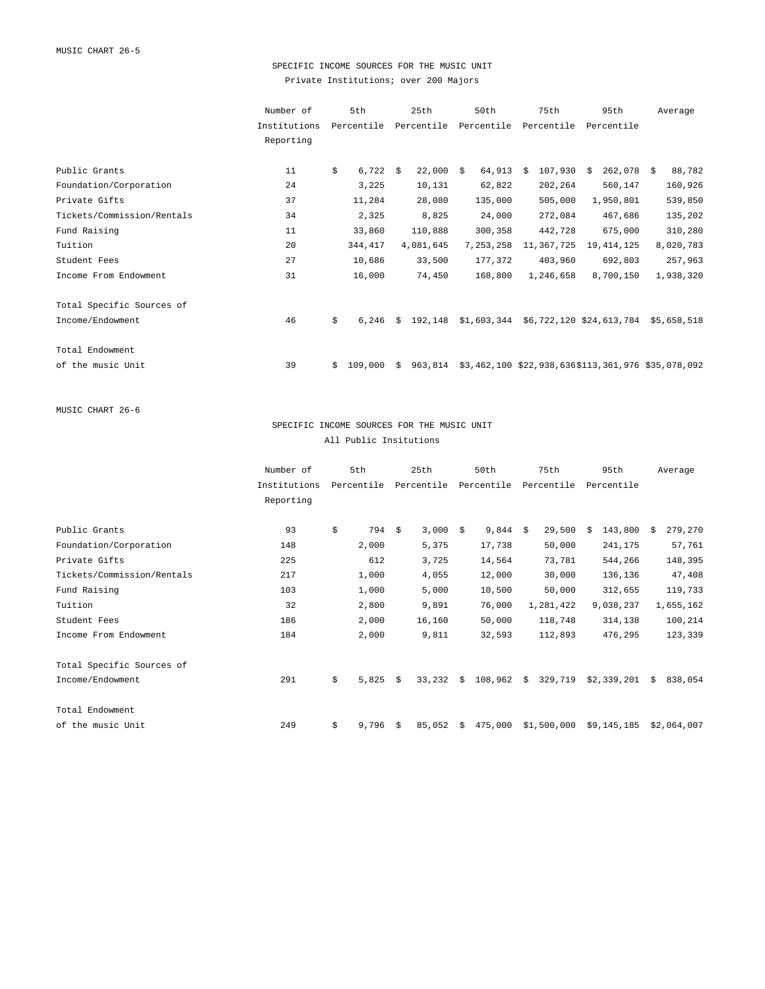## SPECIFIC INCOME SOURCES FOR THE MUSIC UNIT Private Institutions; over 200 Majors

|                            | Number of    |    | 5th        |    | 25th        | 50th       |    | 75th       | 95th                                                       | Average   |
|----------------------------|--------------|----|------------|----|-------------|------------|----|------------|------------------------------------------------------------|-----------|
|                            | Institutions |    | Percentile |    | Percentile  | Percentile |    | Percentile | Percentile                                                 |           |
|                            | Reporting    |    |            |    |             |            |    |            |                                                            |           |
|                            |              |    |            |    |             |            |    |            |                                                            |           |
| Public Grants              | 11           | \$ | 6,722      | S. | $22,000$ \$ | 64,913     | Ŝ. | 107,930    | $262,078$ \$<br>Ŝ.                                         | 88,782    |
| Foundation/Corporation     | 24           |    | 3,225      |    | 10,131      | 62,822     |    | 202,264    | 560,147                                                    | 160,926   |
| Private Gifts              | 37           |    | 11,284     |    | 28,080      | 135,000    |    | 505,000    | 1,950,801                                                  | 539,850   |
| Tickets/Commission/Rentals | 34           |    | 2,325      |    | 8,825       | 24,000     |    | 272,084    | 467,686                                                    | 135,202   |
| Fund Raising               | 11           |    | 33,860     |    | 110,888     | 300,358    |    | 442,728    | 675,000                                                    | 310,280   |
| Tuition                    | 20           |    | 344,417    |    | 4,081,645   | 7,253,258  |    | 11,367,725 | 19, 414, 125                                               | 8,020,783 |
| Student Fees               | 27           |    | 10,686     |    | 33,500      | 177,372    |    | 403,960    | 692,803                                                    | 257,963   |
| Income From Endowment      | 31           |    | 16,000     |    | 74,450      | 168,800    |    | 1,246,658  | 8,700,150                                                  | 1,938,320 |
| Total Specific Sources of  |              |    |            |    |             |            |    |            |                                                            |           |
| Income/Endowment           | 46           | \$ | 6,246      | Ŝ. | 192,148     |            |    |            | $$1,603,344$ $$6,722,120$ $$24,613,784$ $$5,658,518$       |           |
| Total Endowment            |              |    |            |    |             |            |    |            |                                                            |           |
| of the music Unit          | 39           | Ŝ. | 109,000    | Ŝ. |             |            |    |            | 963,814 \$3,462,100 \$22,938,636\$113,361,976 \$35,078,092 |           |

MUSIC CHART 26-6

## SPECIFIC INCOME SOURCES FOR THE MUSIC UNIT All Public Insitutions

|                            | Number of    | 5th         |    | 25th       |    | 50th       |    | 75th        | 95th          |    | Average     |
|----------------------------|--------------|-------------|----|------------|----|------------|----|-------------|---------------|----|-------------|
|                            | Institutions | Percentile  |    | Percentile |    | Percentile |    | Percentile  | Percentile    |    |             |
|                            | Reporting    |             |    |            |    |            |    |             |               |    |             |
|                            |              |             |    |            |    |            |    |             |               |    |             |
| Public Grants              | 93           | \$<br>794   | Ŝ. | 3,000      | S. | $9,844$ \$ |    | 29,500      | 143,800<br>Ŝ. | -Ŝ | 279,270     |
| Foundation/Corporation     | 148          | 2,000       |    | 5,375      |    | 17,738     |    | 50,000      | 241,175       |    | 57,761      |
| Private Gifts              | 225          | 612         |    | 3,725      |    | 14,564     |    | 73,781      | 544,266       |    | 148,395     |
| Tickets/Commission/Rentals | 217          | 1,000       |    | 4,055      |    | 12,000     |    | 30,000      | 136,136       |    | 47,408      |
| Fund Raising               | 103          | 1,000       |    | 5,000      |    | 10,500     |    | 50,000      | 312,655       |    | 119,733     |
| Tuition                    | 32           | 2,800       |    | 9,891      |    | 76,000     |    | 1,281,422   | 9,038,237     |    | 1,655,162   |
| Student Fees               | 186          | 2,000       |    | 16,160     |    | 50,000     |    | 118,748     | 314,138       |    | 100,214     |
| Income From Endowment      | 184          | 2,000       |    | 9,811      |    | 32,593     |    | 112,893     | 476,295       |    | 123,339     |
| Total Specific Sources of  |              |             |    |            |    |            |    |             |               |    |             |
| Income/Endowment           | 291          | \$<br>5,825 | Ŝ. | 33,232     | S. | 108,962    | Ŝ. | 329,719     | \$2,339,201   | Ŝ. | 838,054     |
| Total Endowment            |              |             |    |            |    |            |    |             |               |    |             |
| of the music Unit          | 249          | \$<br>9,796 | Ŝ. | 85,052     | S. | 475,000    |    | \$1,500,000 | \$9,145,185   |    | \$2,064,007 |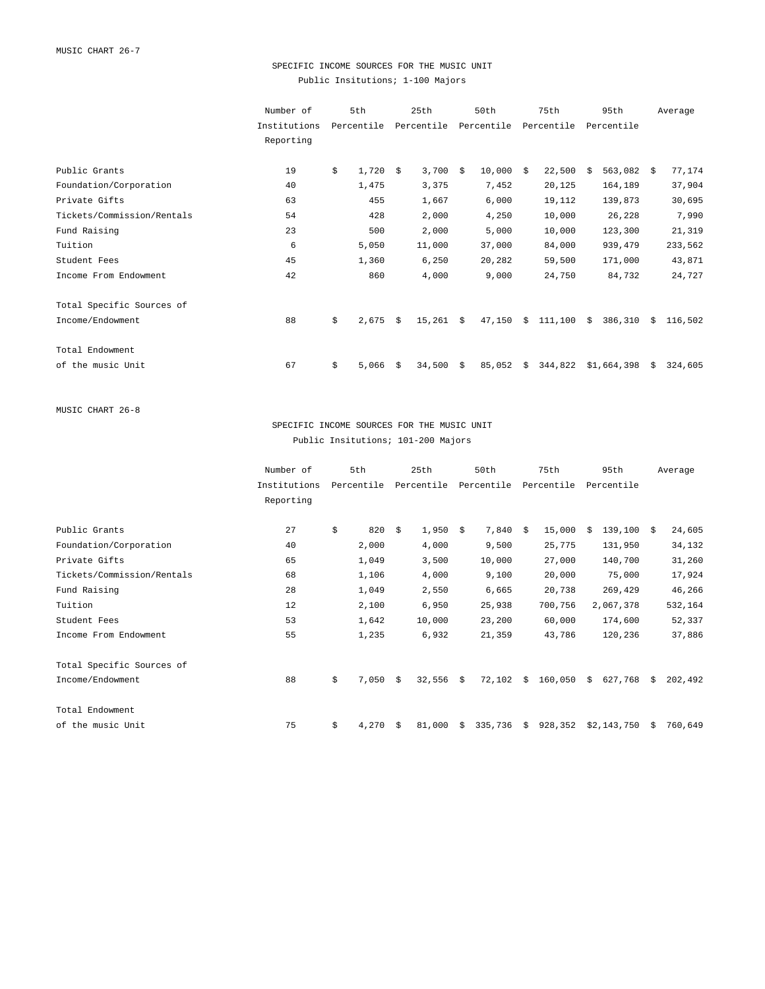## SPECIFIC INCOME SOURCES FOR THE MUSIC UNIT Public Insitutions; 1-100 Majors

|                            | Number of    | 5th         |    | 25th           |      | 50th       |    | 75th       |    | 95th         |    | Average |
|----------------------------|--------------|-------------|----|----------------|------|------------|----|------------|----|--------------|----|---------|
|                            | Institutions | Percentile  |    | Percentile     |      | Percentile |    | Percentile |    | Percentile   |    |         |
|                            | Reporting    |             |    |                |      |            |    |            |    |              |    |         |
| Public Grants              | 19           | \$<br>1,720 | Ŝ. | $3,700$ \$     |      | 10,000     | -Ŝ | 22,500     | Ŝ. | $563,082$ \$ |    | 77,174  |
| Foundation/Corporation     | 40           | 1,475       |    | 3,375          |      | 7,452      |    | 20,125     |    | 164,189      |    | 37,904  |
| Private Gifts              | 63           | 455         |    | 1,667          |      | 6,000      |    | 19,112     |    | 139,873      |    | 30,695  |
| Tickets/Commission/Rentals | 54           | 428         |    | 2,000          |      | 4,250      |    | 10,000     |    | 26,228       |    | 7,990   |
| Fund Raising               | 23           | 500         |    | 2,000          |      | 5,000      |    | 10,000     |    | 123,300      |    | 21,319  |
| Tuition                    | 6            | 5,050       |    | 11,000         |      | 37,000     |    | 84,000     |    | 939,479      |    | 233,562 |
| Student Fees               | 45           | 1,360       |    | 6,250          |      | 20,282     |    | 59,500     |    | 171,000      |    | 43,871  |
| Income From Endowment      | 42           | 860         |    | 4,000          |      | 9,000      |    | 24,750     |    | 84,732       |    | 24,727  |
| Total Specific Sources of  |              |             |    |                |      |            |    |            |    |              |    |         |
| Income/Endowment           | 88           | \$<br>2,675 | Ŝ. | $15,261 \t$ \$ |      | 47,150     | Ŝ. | 111,100    | Ŝ. | 386,310      | S. | 116,502 |
| Total Endowment            |              |             |    |                |      |            |    |            |    |              |    |         |
| of the music Unit          | 67           | \$<br>5,066 | Ŝ. | 34,500         | - \$ | 85,052     | Ŝ. | 344,822    |    | \$1,664,398  | -Ŝ | 324,605 |
|                            |              |             |    |                |      |            |    |            |    |              |    |         |

MUSIC CHART 26-8

## SPECIFIC INCOME SOURCES FOR THE MUSIC UNIT Public Insitutions; 101-200 Majors

|                            | Number of    | 5th         |    | 25th        |    | 50th       |    | 75th       |    | 95th          |    | Average |
|----------------------------|--------------|-------------|----|-------------|----|------------|----|------------|----|---------------|----|---------|
|                            | Institutions | Percentile  |    | Percentile  |    | Percentile |    | Percentile |    | Percentile    |    |         |
|                            | Reporting    |             |    |             |    |            |    |            |    |               |    |         |
|                            |              |             |    |             |    |            |    |            |    |               |    |         |
| Public Grants              | 27           | \$<br>820   | -Ŝ | 1,950       | S. | 7,840      | Ŝ. | 15,000     | Ŝ. | $139,100 \t5$ |    | 24,605  |
| Foundation/Corporation     | 40           | 2,000       |    | 4,000       |    | 9,500      |    | 25,775     |    | 131,950       |    | 34,132  |
| Private Gifts              | 65           | 1,049       |    | 3,500       |    | 10,000     |    | 27,000     |    | 140,700       |    | 31,260  |
| Tickets/Commission/Rentals | 68           | 1,106       |    | 4,000       |    | 9,100      |    | 20,000     |    | 75,000        |    | 17,924  |
| Fund Raising               | 28           | 1,049       |    | 2,550       |    | 6,665      |    | 20,738     |    | 269,429       |    | 46,266  |
| Tuition                    | 12           | 2,100       |    | 6,950       |    | 25,938     |    | 700,756    |    | 2,067,378     |    | 532,164 |
| Student Fees               | 53           | 1,642       |    | 10,000      |    | 23,200     |    | 60,000     |    | 174,600       |    | 52,337  |
| Income From Endowment      | 55           | 1,235       |    | 6,932       |    | 21,359     |    | 43,786     |    | 120,236       |    | 37,886  |
| Total Specific Sources of  |              |             |    |             |    |            |    |            |    |               |    |         |
| Income/Endowment           | 88           | \$<br>7,050 | -Ŝ | $32,556$ \$ |    | 72,102     | Ŝ. | 160,050    | Ŝ. | 627,768       | S. | 202,492 |
| Total Endowment            |              |             |    |             |    |            |    |            |    |               |    |         |
| of the music Unit          | 75           | \$<br>4,270 | -Ŝ | 81,000      | S. | 335,736    | Ŝ. | 928,352    |    | \$2,143,750   | Ŝ. | 760,649 |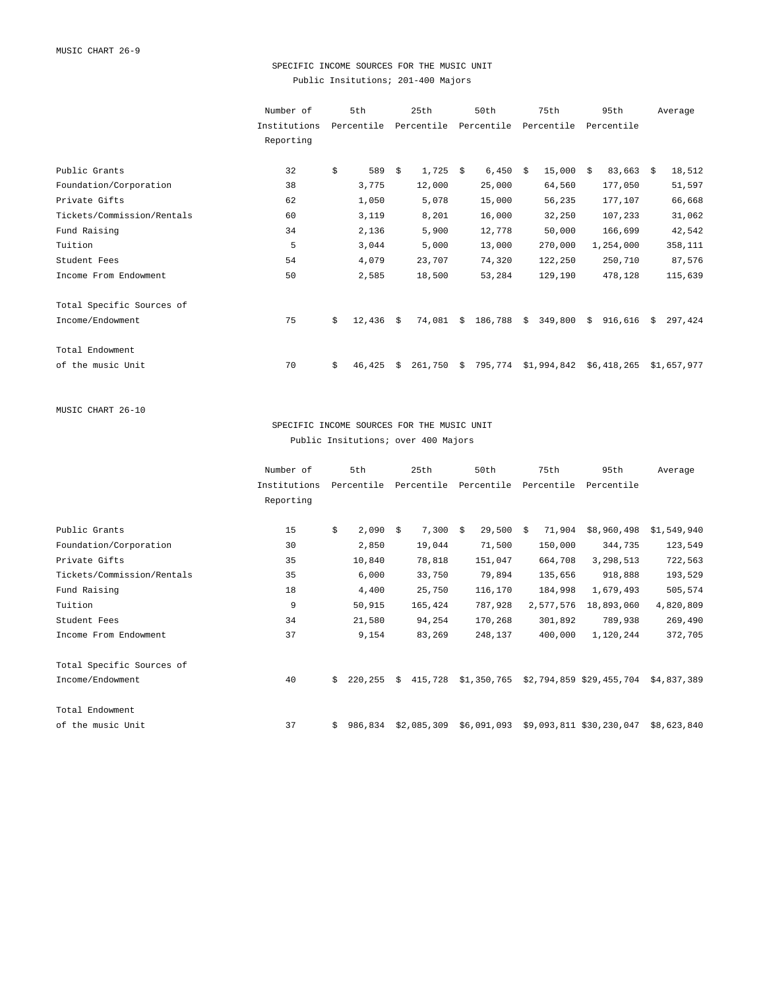## SPECIFIC INCOME SOURCES FOR THE MUSIC UNIT Public Insitutions; 201-400 Majors

| 18,512      |
|-------------|
| 51,597      |
| 66,668      |
| 31,062      |
| 42,542      |
| 358,111     |
| 87,576      |
| 115,639     |
|             |
| 297,424     |
|             |
| \$1,657,977 |
|             |

MUSIC CHART 26-10

SPECIFIC INCOME SOURCES FOR THE MUSIC UNIT Public Insitutions; over 400 Majors

|                            | Number of    |    | 5th        |    | 25th        | 50th        |    | 75th       | 95th                     | Average     |
|----------------------------|--------------|----|------------|----|-------------|-------------|----|------------|--------------------------|-------------|
|                            | Institutions |    | Percentile |    | Percentile  | Percentile  |    | Percentile | Percentile               |             |
|                            | Reporting    |    |            |    |             |             |    |            |                          |             |
|                            |              |    |            |    |             |             |    |            |                          |             |
| Public Grants              | 15           | \$ | 2,090      | -Ŝ | $7,300$ \$  | 29,500      | Ŝ. | 71,904     | \$8,960,498              | \$1,549,940 |
| Foundation/Corporation     | 30           |    | 2,850      |    | 19,044      | 71,500      |    | 150,000    | 344,735                  | 123,549     |
| Private Gifts              | 35           |    | 10,840     |    | 78,818      | 151,047     |    | 664,708    | 3,298,513                | 722,563     |
| Tickets/Commission/Rentals | 35           |    | 6,000      |    | 33,750      | 79,894      |    | 135,656    | 918,888                  | 193,529     |
| Fund Raising               | 18           |    | 4,400      |    | 25,750      | 116,170     |    | 184,998    | 1,679,493                | 505,574     |
| Tuition                    | 9            |    | 50,915     |    | 165,424     | 787,928     |    | 2,577,576  | 18,893,060               | 4,820,809   |
| Student Fees               | 34           |    | 21,580     |    | 94,254      | 170,268     |    | 301,892    | 789,938                  | 269,490     |
| Income From Endowment      | 37           |    | 9,154      |    | 83,269      | 248,137     |    | 400,000    | 1,120,244                | 372,705     |
| Total Specific Sources of  |              |    |            |    |             |             |    |            |                          |             |
| Income/Endowment           | 40           | Ŝ. | 220,255    | Ŝ. | 415,728     | \$1,350,765 |    |            | \$2,794,859 \$29,455,704 | \$4,837,389 |
| Total Endowment            |              |    |            |    |             |             |    |            |                          |             |
| of the music Unit          | 37           | \$ | 986,834    |    | \$2,085,309 | \$6,091,093 |    |            | \$9,093,811 \$30,230,047 | \$8,623,840 |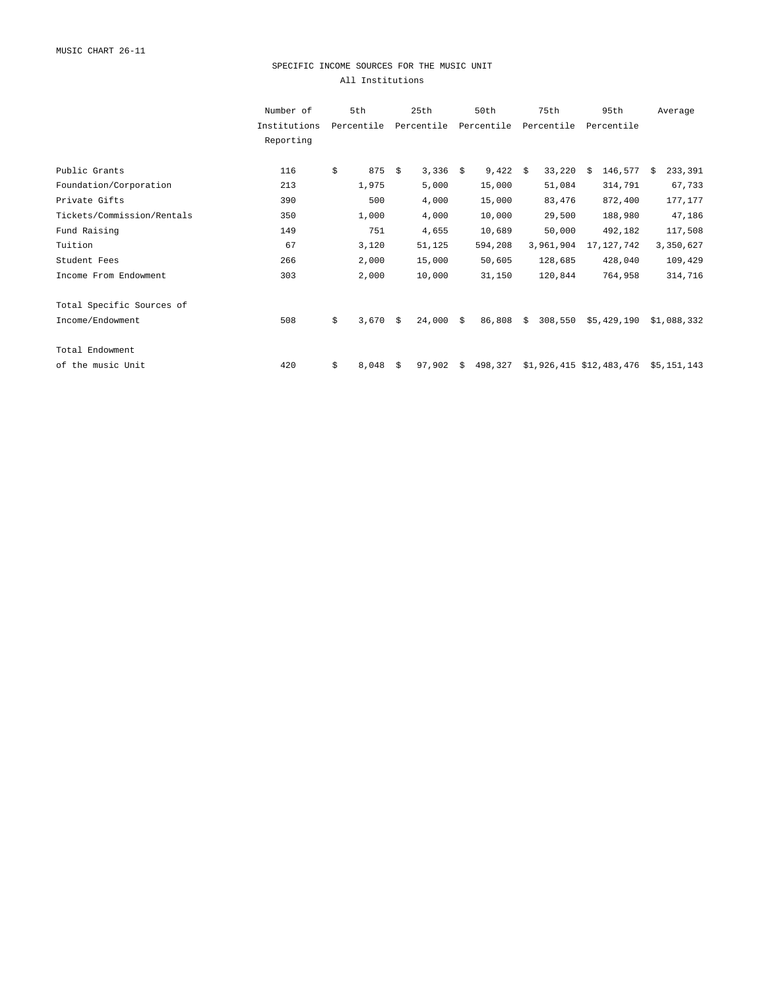## SPECIFIC INCOME SOURCES FOR THE MUSIC UNIT All Institutions

|                            | Number of    | 5th         |    | 25th           |    | 50th       |     | 75th       | 95th                     |    | Average     |
|----------------------------|--------------|-------------|----|----------------|----|------------|-----|------------|--------------------------|----|-------------|
|                            | Institutions | Percentile  |    | Percentile     |    | Percentile |     | Percentile | Percentile               |    |             |
|                            | Reporting    |             |    |                |    |            |     |            |                          |    |             |
|                            |              |             |    |                |    |            |     |            |                          |    |             |
| Public Grants              | 116          | \$<br>875   | -Ŝ | $3,336$ \$     |    | 9,422      | - S | 33,220     | 146,577<br>Ŝ             | Ŝ. | 233,391     |
| Foundation/Corporation     | 213          | 1,975       |    | 5,000          |    | 15,000     |     | 51,084     | 314,791                  |    | 67,733      |
| Private Gifts              | 390          | 500         |    | 4,000          |    | 15,000     |     | 83,476     | 872,400                  |    | 177,177     |
| Tickets/Commission/Rentals | 350          | 1,000       |    | 4,000          |    | 10,000     |     | 29,500     | 188,980                  |    | 47,186      |
| Fund Raising               | 149          | 751         |    | 4,655          |    | 10,689     |     | 50,000     | 492,182                  |    | 117,508     |
| Tuition                    | 67           | 3,120       |    | 51,125         |    | 594,208    |     | 3,961,904  | 17, 127, 742             |    | 3,350,627   |
| Student Fees               | 266          | 2,000       |    | 15,000         |    | 50,605     |     | 128,685    | 428,040                  |    | 109,429     |
| Income From Endowment      | 303          | 2,000       |    | 10,000         |    | 31,150     |     | 120,844    | 764,958                  |    | 314,716     |
| Total Specific Sources of  |              |             |    |                |    |            |     |            |                          |    |             |
| Income/Endowment           | 508          | \$<br>3,670 | Ŝ. | $24,000 \t$ \$ |    | 86,808     | Ŝ.  | 308,550    | \$5,429,190              |    | \$1,088,332 |
| Total Endowment            |              |             |    |                |    |            |     |            |                          |    |             |
| of the music Unit          | 420          | \$<br>8,048 | Ŝ. | 97,902         | Ŝ. | 498,327    |     |            | \$1,926,415 \$12,483,476 |    | \$5.151.143 |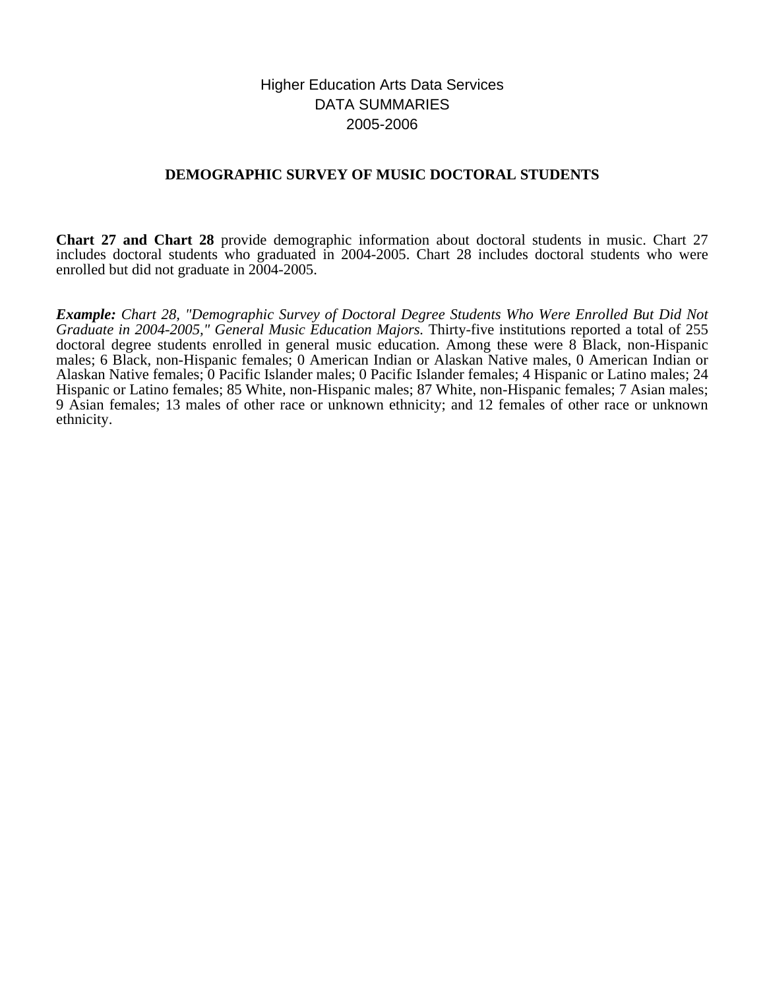# Higher Education Arts Data Services DATA SUMMARIES 2005-2006

## **DEMOGRAPHIC SURVEY OF MUSIC DOCTORAL STUDENTS**

**Chart 27 and Chart 28** provide demographic information about doctoral students in music. Chart 27 includes doctoral students who graduated in 2004-2005. Chart 28 includes doctoral students who were enrolled but did not graduate in 2004-2005.

*Example: Chart 28, "Demographic Survey of Doctoral Degree Students Who Were Enrolled But Did Not Graduate in 2004-2005," General Music Education Majors.* Thirty-five institutions reported a total of 255 doctoral degree students enrolled in general music education. Among these were 8 Black, non-Hispanic males; 6 Black, non-Hispanic females; 0 American Indian or Alaskan Native males, 0 American Indian or Alaskan Native females; 0 Pacific Islander males; 0 Pacific Islander females; 4 Hispanic or Latino males; 24 Hispanic or Latino females; 85 White, non-Hispanic males; 87 White, non-Hispanic females; 7 Asian males; 9 Asian females; 13 males of other race or unknown ethnicity; and 12 females of other race or unknown ethnicity.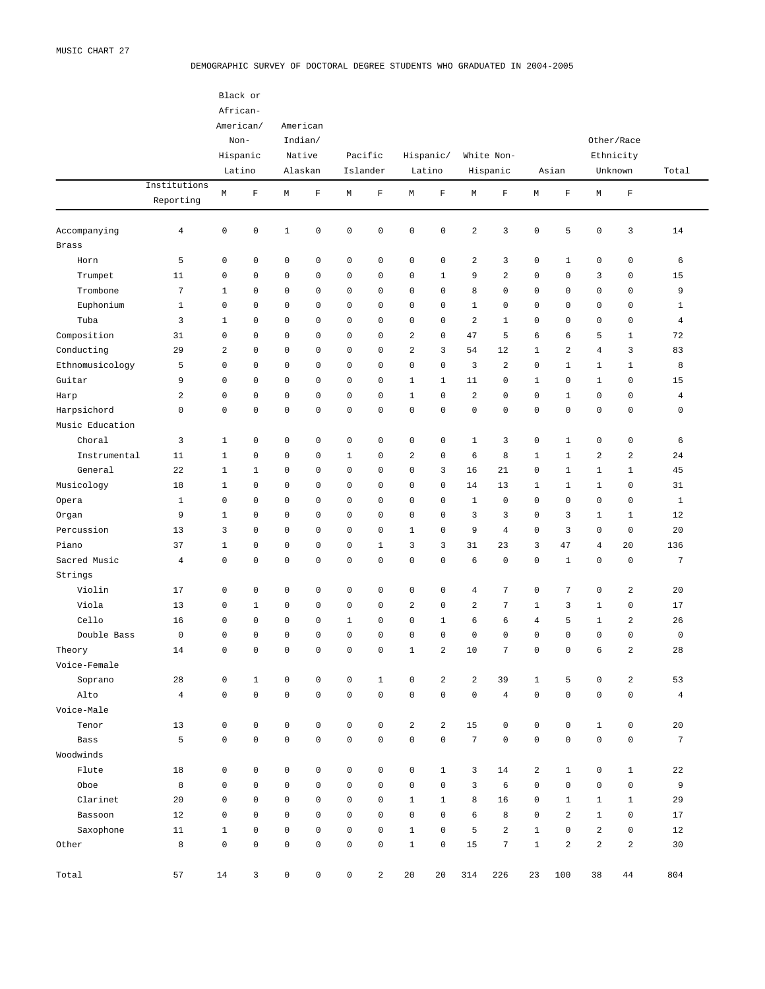#### DEMOGRAPHIC SURVEY OF DOCTORAL DEGREE STUDENTS WHO GRADUATED IN 2004-2005

|                     |                         |                     | Black or<br>African- |              |                     |                     |              |                         |                         |                         |                |                         |                         |                     |                         |                |
|---------------------|-------------------------|---------------------|----------------------|--------------|---------------------|---------------------|--------------|-------------------------|-------------------------|-------------------------|----------------|-------------------------|-------------------------|---------------------|-------------------------|----------------|
|                     |                         |                     | American/            |              | American            |                     |              |                         |                         |                         |                |                         |                         |                     |                         |                |
|                     |                         |                     | Non-                 |              | Indian/             |                     |              |                         |                         |                         |                |                         |                         |                     | Other/Race              |                |
|                     |                         |                     | Hispanic             |              | Native              |                     | Pacific      |                         | Hispanic/               |                         | White Non-     |                         |                         |                     | Ethnicity               |                |
|                     |                         |                     | Latino               |              | Alaskan             |                     | Islander     |                         | Latino                  |                         | Hispanic       |                         | Asian                   |                     | Unknown                 | Total          |
|                     | Institutions            |                     |                      |              |                     |                     |              |                         |                         |                         |                |                         |                         |                     |                         |                |
|                     | Reporting               | М                   | $\mathbf F$          | М            | $\mathbf F$         | М                   | $\mathbf F$  | М                       | $\mathbf F$             | М                       | $\mathbf F$    | М                       | $\mathbf F$             | М                   | $\mathbf F$             |                |
| Accompanying        | $\overline{4}$          | $\mathsf 0$         | 0                    | $\mathbf 1$  | $\mathsf 0$         | $\mathbf 0$         | 0            | 0                       | $\mathsf 0$             | $\sqrt{2}$              | 3              | $\mathsf 0$             | 5                       | $\mathsf 0$         | 3                       | 14             |
| <b>Brass</b>        |                         |                     |                      |              |                     |                     |              |                         |                         |                         |                |                         |                         |                     |                         |                |
| Horn                | 5                       | $\mathsf 0$         | 0                    | 0            | $\mathbf 0$         | $\mathsf 0$         | 0            | 0                       | $\mathsf 0$             | $\overline{\mathbf{c}}$ | 3              | 0                       | $\mathbf 1$             | 0                   | $\mathbb O$             | 6              |
| Trumpet             | 11                      | $\mathbf 0$         | 0                    | 0            | $\mathbf 0$         | $\mathbf 0$         | 0            | 0                       | $\mathbf{1}$            | 9                       | 2              | 0                       | 0                       | 3                   | 0                       | 15             |
| Trombone            | $\sqrt{7}$              | $1\,$               | 0                    | 0            | $\mathbf 0$         | $\mathbf 0$         | 0            | 0                       | $\mathbf 0$             | 8                       | 0              | $\mathbf 0$             | $\mathbf 0$             | 0                   | $\mathbf 0$             | 9              |
| Euphonium           | $1\,$                   | $\mathbf 0$         | 0                    | 0            | $\mathbf 0$         | $\mathbf 0$         | 0            | 0                       | $\mathbf 0$             | $\mathbf{1}$            | 0              | $\mathbf 0$             | 0                       | 0                   | 0                       | $\mathbf{1}$   |
| Tuba                | 3                       | $1\,$               | 0                    | 0            | $\mathbf 0$         | $\mathbf 0$         | 0            | 0                       | $\mathbf 0$             | $\overline{a}$          | $\mathbf{1}$   | $\mathbf 0$             | 0                       | 0                   | $\mathbf 0$             | $\overline{4}$ |
| Composition         | 31                      | $\mathbf 0$         | 0                    | 0            | $\mathbf 0$         | $\mathbf 0$         | 0            | 2                       | $\mathbf 0$             | 47                      | 5              | 6                       | 6                       | 5                   | $\mathbf{1}$            | 72             |
| Conducting          | 29                      | $\overline{a}$      | 0                    | 0            | $\mathbf 0$         | $\mathbf 0$         | 0            | $\overline{\mathbf{c}}$ | 3                       | 54                      | 12             | $\mathbf{1}$            | $\overline{\mathbf{c}}$ | 4                   | 3                       | 83             |
| Ethnomusicology     | 5                       | $\mathbf 0$         | 0                    | 0            | $\mathbf 0$         | $\mathbf 0$         | 0            | 0                       | $\mathbf 0$             | 3                       | $\overline{a}$ | $\mathbf 0$             | $1\,$                   | $\mathbf{1}$        | $\mathbf{1}$            | 8              |
| Guitar              | 9                       | $\mathbf 0$         | 0                    | 0            | $\mathbf 0$         | $\mathbf 0$         | 0            | $\mathbf{1}$            | $\mathbf{1}$            | 11                      | 0              | $\mathbf{1}$            | $\mathbf 0$             | $\mathbf{1}$        | 0                       | 15             |
| Harp                | $\overline{\mathbf{c}}$ | $\mathbf 0$         | 0                    | 0            | $\mathbf 0$         | $\mathbf 0$         | 0            | $\mathbf{1}$            | $\mathbf 0$             | $\sqrt{2}$              | 0              | $\mathbf 0$             | $1\,$                   | 0                   | 0                       | $\overline{4}$ |
| Harpsichord         | $\mathsf 0$             | $\mathbf 0$         | 0                    | 0            | $\mathbf 0$         | $\mathbf 0$         | 0            | 0                       | $\mathbf 0$             | $\mathbf 0$             | 0              | $\mathsf 0$             | $\mathbf 0$             | $\mathsf 0$         | $\mathbf 0$             | $\mathbf 0$    |
| Music Education     |                         |                     |                      |              |                     |                     |              |                         |                         |                         |                |                         |                         |                     |                         |                |
| Choral              | 3                       | $\mathbf 1$         | 0                    | 0            | $\mathbf 0$         | $\mathbf 0$         | 0            | 0                       | $\mathbf 0$             | $\mathbf{1}$            | 3              | 0                       | $\mathbf 1$             | 0                   | $\mathbf 0$             | 6              |
| Instrumental        | 11                      | $1\,$               | 0                    | 0            | $\mathbf 0$         | $\mathbf{1}$        | 0            | 2                       | $\mathbf 0$             | 6                       | 8              | $\mathbf{1}$            | $1\,$                   | $\sqrt{2}$          | 2                       | 24             |
| General             | 22                      | $1\,$               | $\mathbf 1$          | 0            | $\mathbf 0$         | $\mathbf 0$         | 0            | 0                       | 3                       | 16                      | 21             | $\mathbf 0$             | $\mathbf{1}$            | $\mathbf{1}$        | $\mathbf{1}$            | 45             |
| Musicology          | 18                      | $1\,$               | 0                    | 0            | $\mathbf 0$         | $\mathbf 0$         | 0            | 0                       | $\mathbf 0$             | 14                      | 13             | $\mathbf{1}$            | $1\,$                   | $\mathbf{1}$        | 0                       | 31             |
|                     | $\mathbf{1}$            | $\mathbf 0$         | 0                    | 0            | $\mathbf 0$         | $\mathbf 0$         | 0            | 0                       | $\mathbf 0$             | $\mathbf{1}$            | 0              | $\mathbf 0$             | $\mathbf 0$             | 0                   | $\mathbf 0$             | $\mathbf{1}$   |
| Opera               | 9                       | $1\,$               | 0                    | 0            | $\mathbf 0$         | $\mathbf 0$         | 0            | 0                       | $\mathbf 0$             | 3                       | 3              | $\mathbf 0$             | 3                       | $\mathbf{1}$        | $\mathbf{1}$            | 12             |
| Organ<br>Percussion |                         | 3                   | 0                    |              | $\mathbf 0$         | $\mathbf 0$         | 0            |                         | $\mathbf 0$             | 9                       | $\overline{4}$ | $\mathbf 0$             |                         |                     |                         |                |
|                     | 13                      |                     |                      | 0            |                     |                     |              | $\mathbf{1}$            |                         |                         |                |                         | 3                       | 0                   | $\circ$                 | 20             |
| Piano               | 37                      | $1\,$               | 0                    | 0            | $\mathbf 0$         | $\mathbf 0$         | $\mathbf{1}$ | 3                       | 3                       | 31                      | 23             | 3                       | 47                      | $\overline{4}$      | 20                      | 136            |
| Sacred Music        | $\overline{4}$          | $\mathbf 0$         | 0                    | 0            | $\mathbf 0$         | $\mathbf 0$         | 0            | 0                       | $\mathbf 0$             | 6                       | 0              | $\mathbf 0$             | $1\,$                   | $\mathbf 0$         | $\mathbf 0$             | 7              |
| Strings             |                         |                     |                      |              |                     |                     |              |                         |                         |                         |                |                         |                         |                     |                         |                |
| Violin              | 17                      | $\mathsf 0$         | 0                    | 0            | $\mathbf 0$         | $\mathbf 0$         | 0            | 0                       | $\mathbf 0$             | $\overline{4}$          | 7              | 0                       | $\overline{7}$          | $\mathsf 0$         | $\sqrt{2}$              | 20             |
| Viola               | 13                      | 0                   | $\mathbf{1}$         | 0            | $\mathbf 0$         | $\mathbf 0$         | 0            | 2                       | $\mathbf 0$             | 2                       | 7              | $\mathbf{1}$            | 3                       | $\mathbf{1}$        | 0                       | 17             |
| Cello               | 16                      | $\mathbf 0$         | 0                    | 0            | $\mathbf 0$         | $1\,$               | 0            | 0                       | $\mathbf{1}$            | 6                       | 6              | $\overline{4}$          | 5                       | $\mathbf{1}$        | 2                       | 26             |
| Double Bass         | $\mathbf 0$             | $\mathbf 0$         | 0                    | 0            | $\mathbf 0$         | $\mathbf 0$         | 0            | 0                       | $\mathbf 0$             | $\mathbf 0$             | 0              | $\mathbf 0$             | $\mathbf 0$             | $\mathbf 0$         | $\mathbf 0$             | $\mathbf 0$    |
| Theory              | 14                      | 0                   | 0                    | 0            | $\mathbf 0$         | $\mathbb O$         | 0            | 1                       | $\overline{\mathbf{c}}$ | 10                      | 7              | 0                       | $\mathbf 0$             | 6                   | 2                       | 28             |
| Voice-Female        |                         |                     |                      |              |                     |                     |              |                         |                         |                         |                |                         |                         |                     |                         |                |
| Soprano             | 28                      | $\mathsf 0$         | $1\,$                | $\mathbb O$  | $\mathsf{O}\xspace$ | $\mathbb O$         | $\mathbf 1$  | $\mathsf 0$             | $\overline{a}$          | $\sqrt{2}$              | 39             | $\mathbf{1}$            | 5                       | 0                   | $\overline{\mathbf{c}}$ | 53             |
| Alto                | $\sqrt{4}$              | $\mathsf{O}\xspace$ | $\mathsf{O}\xspace$  | $\mathbb O$  | $\mathsf{O}\xspace$ | $\mathsf{O}\xspace$ | $\mathsf 0$  | $\mathsf 0$             | $\mathsf 0$             | $\mathsf 0$             | $\overline{4}$ | $\mathsf 0$             | $\mathbf 0$             | $\mathsf{O}\xspace$ | $\mathsf{O}\xspace$     | $\overline{4}$ |
| Voice-Male          |                         |                     |                      |              |                     |                     |              |                         |                         |                         |                |                         |                         |                     |                         |                |
| Tenor               | 13                      | $\mathsf{O}\xspace$ | $\mathsf 0$          | $\mathbb O$  | $\mathsf{O}\xspace$ | $\mathbb O$         | $\mathbb O$  | $\overline{\mathbf{c}}$ | $\overline{a}$          | 15                      | 0              | $\mathsf 0$             | $\mathsf 0$             | $\mathbf{1}$        | $\mathsf{O}$            | 20             |
| Bass                | 5                       | $\mathsf{O}\xspace$ | 0                    | $\mathbb O$  | $\mathsf{O}\xspace$ | $\mathsf{O}\xspace$ | $\mathsf 0$  | 0                       | $\mathsf 0$             | $\sqrt{ }$              | $\mathsf 0$    | $\mathsf 0$             | $\mathbf 0$             | $\mathsf{O}\xspace$ | $\mathsf{O}\xspace$     | $\overline{7}$ |
| Woodwinds           |                         |                     |                      |              |                     |                     |              |                         |                         |                         |                |                         |                         |                     |                         |                |
| Flute               | $1\,8$                  | $\mathsf{O}$        | $\mathsf 0$          | $\mathbb O$  | $\mathsf{O}\xspace$ | $\mathbb O$         | $\mathsf 0$  | $\mathsf 0$             | $\mathbf{1}$            | 3                       | 14             | $\overline{\mathbf{c}}$ | $\mathbf{1}$            | $\mathsf{O}\xspace$ | $\mathbf{1}$            | 22             |
| Oboe                | 8                       | $\mathbf 0$         | 0                    | $\mathbf 0$  | $\mathsf{O}\xspace$ | $\mathbb O$         | 0            | 0                       | $\mathsf{O}\xspace$     | $\mathbf{3}$            | 6              | $\mathbf 0$             | $\mathsf 0$             | $\mathsf{O}\xspace$ | $\mathsf{O}$            | 9              |
| Clarinet            | 20                      | $\mathbf 0$         | 0                    | $\mathbf 0$  | $\mathsf{O}\xspace$ | $\mathbb O$         | 0            | $\mathbf{1}$            | $\mathbf{1}$            | 8                       | 16             | 0                       | $\mathbf{1}$            | $\mathbf{1}$        | $\mathbf{1}$            | 29             |
| Bassoon             | 12                      | $\mathbf 0$         | 0                    | $\mathbb O$  | $\mathsf{O}\xspace$ | $\mathbb O$         | $\mathsf 0$  | 0                       | $\mathsf{O}\xspace$     | 6                       | 8              | $\mathsf 0$             | $\sqrt{2}$              | $\mathbf{1}$        | $\mathsf 0$             | 17             |
| Saxophone           | 11                      | $1\,$               | 0                    | $\mathbb O$  | $\mathsf{O}\xspace$ | $\mathbb O$         | $\mathsf 0$  | $\mathbf{1}$            | $\mathsf{O}\xspace$     | 5                       | $\sqrt{2}$     | $\mathbf{1}$            | $\mathsf 0$             | $\sqrt{2}$          | $\mathsf 0$             | 12             |
| Other               | $^{\rm 8}$              | $\mathsf 0$         | 0                    | $\mathbb O$  | $\mathsf{O}\xspace$ | $\mathsf{O}\xspace$ | $\mathbb O$  | $\mathbf 1$             | $\mathsf 0$             | $15$                    | $\sqrt{ }$     | $\mathbf{1}$            | $\sqrt{2}$              | $\mathbf 2$         | $\mathbf 2$             | 30             |
| Total               | 57                      | 14                  | $\mathbf{3}$         | $\mathsf{0}$ | $\mathsf{O}\xspace$ | $\mathsf{O}$        | $\mathbf 2$  | 20                      | 20                      | 314                     | 226            | 23                      | 100                     | 38                  | 44                      | 804            |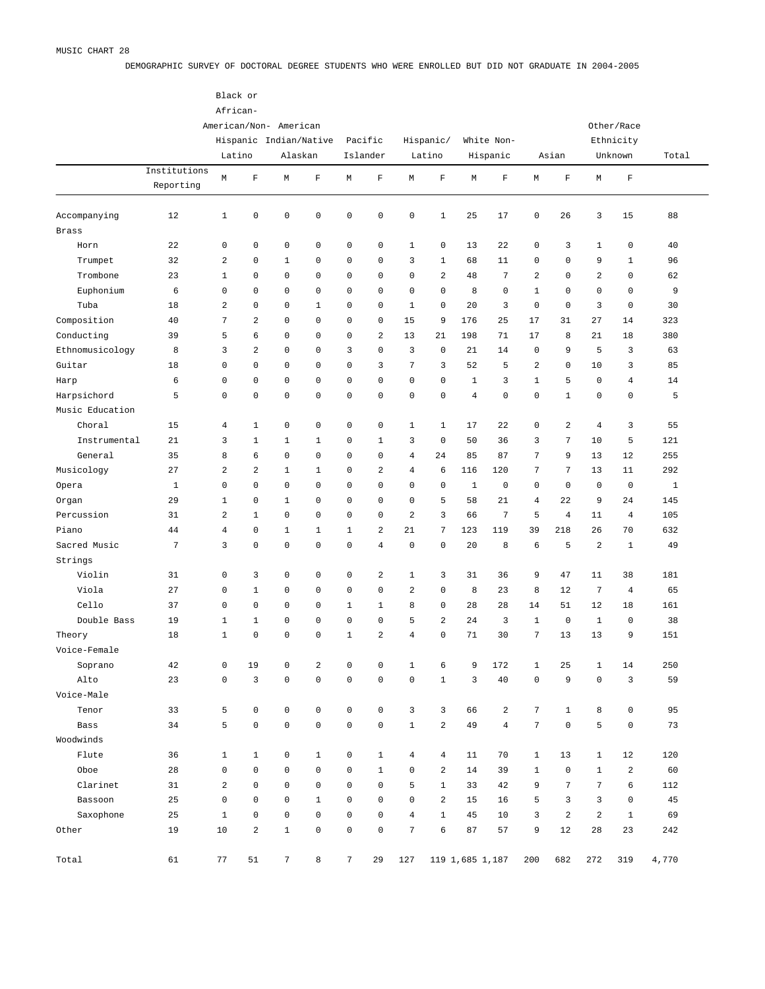DEMOGRAPHIC SURVEY OF DOCTORAL DEGREE STUDENTS WHO WERE ENROLLED BUT DID NOT GRADUATE IN 2004-2005

|                 |              |                | Black or            |                        |                |                     |                |                     |                |                |                 |                |                |                 |                     |              |  |
|-----------------|--------------|----------------|---------------------|------------------------|----------------|---------------------|----------------|---------------------|----------------|----------------|-----------------|----------------|----------------|-----------------|---------------------|--------------|--|
|                 |              |                | African-            |                        |                |                     |                |                     |                |                |                 |                |                |                 |                     |              |  |
|                 |              |                |                     | American/Non- American |                |                     |                |                     |                |                |                 |                |                |                 | Other/Race          |              |  |
|                 |              |                |                     | Hispanic Indian/Native |                |                     | Pacific        |                     | Hispanic/      |                | White Non-      |                |                |                 | Ethnicity           |              |  |
|                 |              |                | Latino              |                        | Alaskan        |                     | Islander       |                     | Latino         |                | Hispanic        |                | Asian          |                 | Unknown             | Total        |  |
|                 | Institutions |                |                     |                        |                |                     |                |                     |                |                |                 |                |                |                 |                     |              |  |
|                 | Reporting    | M              | F                   | М                      | $\mathbf F$    | M                   | $\mathbf F$    | М                   | $\mathbf F$    | М              | $\mathbf F$     | М              | $\mathbf F$    | М               | $\mathbf F$         |              |  |
| Accompanying    | 12           | $\mathbf 1$    | $\mathsf 0$         | $\mathsf 0$            | $\mathsf 0$    | $\mathsf 0$         | $\mathbb O$    | $\mathsf{O}\xspace$ | $\mathbf{1}$   | 25             | 17              | $\mathsf 0$    | 26             | 3               | 15                  | 88           |  |
| <b>Brass</b>    |              |                |                     |                        |                |                     |                |                     |                |                |                 |                |                |                 |                     |              |  |
| Horn            | 22           | $\mathsf 0$    | $\mathsf 0$         | $\mathbb O$            | $\mathsf 0$    | $\mathsf 0$         | $\mathbf 0$    | $\mathbf{1}$        | $\mathsf 0$    | 13             | 22              | $\mathsf 0$    | 3              | $\mathbf{1}$    | $\mathsf 0$         | 40           |  |
| Trumpet         | 32           | $\overline{a}$ | $\mathsf 0$         | $\mathbf{1}$           | 0              | $\mathsf 0$         | 0              | 3                   | $\mathbf{1}$   | 68             | 11              | $\mathbf 0$    | $\mathsf 0$    | 9               | $\mathbf{1}$        | 96           |  |
| Trombone        | 23           | $\mathbf 1$    | $\mathsf 0$         | $\mathbf 0$            | $\mathbf 0$    | $\mathbf 0$         | $\mathbf 0$    | $\circ$             | $\overline{a}$ | 48             | $\overline{7}$  | $\overline{a}$ | $\mathsf 0$    | $\overline{a}$  | $\mathsf 0$         | 62           |  |
| Euphonium       | 6            | $\mathsf 0$    | $\mathbf 0$         | $\mathbb O$            | $\mathbf 0$    | $\mathbf 0$         | $\mathbf 0$    | $\mathsf{O}\xspace$ | $\mathsf 0$    | 8              | $\mathsf 0$     | $\mathbf{1}$   | $\mathsf 0$    | $\mathbf 0$     | $\mathbf 0$         | 9            |  |
| Tuba            | 18           | $\overline{a}$ | $\mathsf 0$         | $\mathbf 0$            | $\mathbf{1}$   | $\mathbf 0$         | $\mathbb O$    | $\mathbf{1}$        | $\mathsf 0$    | 20             | 3               | $\mathsf 0$    | $\mathsf 0$    | 3               | $\mathsf 0$         | 30           |  |
| Composition     | 40           | 7              | $\overline{a}$      | $\mathbf 0$            | $\mathbf 0$    | $\mathbf 0$         | $\mathbb O$    | 15                  | 9              | 176            | 25              | 17             | 31             | 27              | 14                  | 323          |  |
| Conducting      | 39           | 5              | 6                   | $\mathbf 0$            | $\mathbf 0$    | $\mathbf 0$         | $\overline{a}$ | 13                  | 21             | 198            | 71              | 17             | 8              | 21              | 18                  | 380          |  |
| Ethnomusicology |              | 3              | $\overline{a}$      | $\mathbf 0$            | $\mathsf 0$    | 3                   | $\mathbb O$    | 3                   | $\mathsf 0$    | 21             |                 | $\mathsf 0$    | 9              | 5               | 3                   |              |  |
|                 | 8            |                |                     |                        |                |                     |                |                     |                |                | 14              |                |                |                 |                     | 63           |  |
| Guitar          | 18           | $\mathsf 0$    | $\mathbf 0$         | $\mathbf 0$            | $\mathbf 0$    | $\mathbf 0$         | 3              | 7                   | 3              | 52             | 5               | $\overline{a}$ | $\mathsf 0$    | 10              | 3                   | 85           |  |
| Harp            | 6            | $\mathsf 0$    | $\mathbf 0$         | $\mathbb O$            | $\mathbf 0$    | $\mathbf 0$         | 0              | $\mathsf{O}$        | $\mathsf 0$    | $1\,$          | 3               | $1\,$          | 5              | $\mathsf 0$     | $\overline{4}$      | 14           |  |
| Harpsichord     | 5            | $\mathsf 0$    | $\mathbf 0$         | $\mathbb O$            | $\mathbf 0$    | $\mathbf 0$         | 0              | $\mathsf{O}\xspace$ | $\mathsf 0$    | $\overline{4}$ | $\mathbf 0$     | $\mathsf 0$    | $1\,$          | $\mathsf 0$     | $\mathsf 0$         | 5            |  |
| Music Education |              |                |                     |                        |                |                     |                |                     |                |                |                 |                |                |                 |                     |              |  |
| Choral          | 15           | $\overline{4}$ | $\mathbf{1}$        | $\mathbb O$            | $\mathsf 0$    | $\mathsf 0$         | $\mathbb O$    | $\mathbf{1}$        | $\mathbf{1}$   | 17             | 22              | $\mathsf 0$    | $\overline{a}$ | $\overline{4}$  | 3                   | 55           |  |
| Instrumental    | 21           | 3              | $\mathbf{1}$        | $\mathbf{1}$           | $\mathbf{1}$   | 0                   | $\mathbf{1}$   | 3                   | $\mathsf 0$    | 50             | 36              | 3              | 7              | 10              | 5                   | 121          |  |
| General         | 35           | 8              | 6                   | $\mathbb O$            | $\mathbf 0$    | $\mathbf 0$         | $\mathbf 0$    | $\overline{4}$      | 24             | 85             | 87              | $\overline{7}$ | 9              | 13              | 12                  | 255          |  |
| Musicology      | 27           | $\overline{a}$ | $\overline{a}$      | $\mathbf{1}$           | $\mathbf{1}$   | $\mathbf 0$         | $\overline{a}$ | $\overline{4}$      | 6              | 116            | 120             | $\overline{7}$ | 7              | 13              | 11                  | 292          |  |
| Opera           | $\mathbf{1}$ | $\mathsf 0$    | $\mathbf 0$         | $\mathbb O$            | $\mathbf 0$    | $\mathbf 0$         | $\mathbf 0$    | $\circ$             | $\mathsf 0$    | $\mathbf{1}$   | $\mathbf 0$     | $\mathsf 0$    | $\mathbb O$    | $\mathsf 0$     | $\mathbb O$         | $\mathbf{1}$ |  |
| Organ           | 29           | $\mathbf 1$    | $\mathsf 0$         | $1\,$                  | $\mathbf 0$    | $\mathbf 0$         | $\mathbf 0$    | $\mathsf{O}\xspace$ | 5              | 58             | 21              | $\overline{4}$ | 22             | 9               | 24                  | 145          |  |
| Percussion      | 31           | $\overline{a}$ | $1\,$               | $\mathbb O$            | $\mathbf 0$    | $\mathbf 0$         | $\mathbb O$    | 2                   | 3              | 66             | $\overline{7}$  | 5              | $\overline{4}$ | 11              | $\overline{4}$      | 105          |  |
| Piano           | 44           | $\overline{4}$ | $\mathsf 0$         | $1\,$                  | $\mathbf{1}$   | $1\,$               | $\overline{a}$ | 21                  | $\overline{7}$ | 123            | 119             | 39             | 218            | 26              | 70                  | 632          |  |
| Sacred Music    | $\sqrt{ }$   | 3              | $\mathbf 0$         | $\mathsf 0$            | $\mathbf 0$    | $\mathbf 0$         | $\overline{4}$ | $\mathbf 0$         | $\mathsf 0$    | 20             | 8               | 6              | 5              | $\overline{a}$  | $\mathbf{1}$        | 49           |  |
| Strings         |              |                |                     |                        |                |                     |                |                     |                |                |                 |                |                |                 |                     |              |  |
| Violin          | 31           | $\mathsf 0$    | 3                   | $\mathbb O$            | $\mathsf 0$    | 0                   | $\overline{a}$ | $\mathbf{1}$        | 3              | 31             | 36              | 9              | 47             | 11              | 38                  | 181          |  |
| Viola           | 27           | $\mathsf 0$    | $\mathbf{1}$        | $\mathbb O$            | $\mathsf 0$    | $\mathsf 0$         | $\mathbb O$    | 2                   | $\mathsf 0$    | 8              | 23              | 8              | 12             | $7\phantom{.0}$ | $\overline{4}$      | 65           |  |
| Cello           | 37           | $\mathsf 0$    | $\mathsf 0$         | $\mathbb O$            | $\mathsf 0$    | $\mathbf{1}$        | $\mathbf{1}$   | 8                   | $\mathsf 0$    | 28             | 28              | 14             | 51             | 12              | 18                  | 161          |  |
| Double Bass     | 19           | $\mathbf 1$    | $\mathbf{1}$        | $\mathbb O$            | $\mathbf 0$    | $\mathbf 0$         | $\mathbf 0$    | 5                   | $\overline{a}$ | 24             | 3               | $\mathbf{1}$   | $\mathbb O$    | $\mathbf{1}$    | $\mathsf 0$         | 38           |  |
| Theory          | 18           | $\mathbf 1$    | $\mathbf 0$         | $\mathbb O$            | $\mathsf 0$    | $1\,$               | $\overline{a}$ | $\overline{4}$      | $\mathsf 0$    | 71             | 30              | $\overline{7}$ | 13             | 13              | 9                   | 151          |  |
| Voice-Female    |              |                |                     |                        |                |                     |                |                     |                |                |                 |                |                |                 |                     |              |  |
| Soprano         | 42           | $\mathsf 0$    | 19                  | $\mathsf 0$            | $\overline{a}$ | 0                   | $\mathbf 0$    | $\mathbf{1}$        | 6              | 9              | 172             | $\mathbf{1}$   | 25             | $\mathbf{1}$    | 14                  | 250          |  |
| Alto            | 23           | $\mathsf 0$    | $\mathbf{3}$        | $\mathbb O$            | $\mathsf 0$    | $\mathsf{O}\xspace$ | $\mathsf 0$    | $\mathsf{O}\xspace$ | $1\,$          | 3              | 40              | $\mathsf 0$    | 9              | $\mathsf 0$     | 3                   | 59           |  |
| Voice-Male      |              |                |                     |                        |                |                     |                |                     |                |                |                 |                |                |                 |                     |              |  |
| Tenor           | 33           | 5              | $\mathsf{O}\xspace$ | $\mathbb O$            | $\mathsf 0$    | $\mathsf 0$         | $\mathsf 0$    | 3                   | 3              | 66             | $\overline{a}$  | $\overline{7}$ | $\mathbf{1}$   | 8               | $\mathbf 0$         | 95           |  |
| Bass            | 34           | 5              | $\mathsf 0$         | $\mathsf 0$            | $\mathsf 0$    | $\mathsf{O}\xspace$ | $\mathsf 0$    | $1\,$               | $\overline{2}$ | 49             | $\overline{4}$  | $\overline{7}$ | $\mathbb O$    | 5               | $\mathsf 0$         | 73           |  |
| Woodwinds       |              |                |                     |                        |                |                     |                |                     |                |                |                 |                |                |                 |                     |              |  |
| Flute           | 36           | $\mathbf{1}$   | $\mathbf{1}$        | $\mathsf 0$            | $\mathbf{1}$   | $\mathsf 0$         | $\mathbf{1}$   | $\overline{4}$      | $\overline{4}$ | 11             | 70              | $\mathbf{1}$   | 13             | $\mathbf{1}$    | 12                  | 120          |  |
| Oboe            | 28           | $\mathsf 0$    | $\mathsf 0$         | $\mathsf 0$            | $\mathsf 0$    | $\mathsf 0$         | $\mathbf{1}$   | $\mathsf{O}\xspace$ | $\overline{2}$ | 14             | 39              | $\mathbf{1}$   | $\mathbb O$    | $\mathbf{1}$    | $\overline{a}$      | 60           |  |
| Clarinet        | 31           | $\overline{a}$ | $\mathsf{O}\xspace$ | $\mathbb O$            | $\mathsf 0$    | $\mathsf 0$         | $\mathbf 0$    | 5                   | $\mathbf{1}$   | 33             | 42              | 9              | $\sqrt{ }$     | $\overline{7}$  | $\epsilon$          | 112          |  |
| Bassoon         | 25           | $\mathsf 0$    | $\mathsf{O}\xspace$ | $\mathbb O$            | $\mathbf{1}$   | $\mathsf 0$         | $\mathsf 0$    | $\mathsf{O}$        | $\overline{2}$ | 15             | 16              | 5              | 3              | 3               | $\mathsf{O}\xspace$ | 45           |  |
| Saxophone       | 25           | $\mathbf{1}$   | $\mathsf 0$         | $\mathsf 0$            | $\mathsf 0$    | $\mathsf 0$         | $\mathbb O$    | $\overline{4}$      | $1\,$          | 45             | 10              | 3              | $\,2$          | $\overline{a}$  | $\mathbf{1}$        | 69           |  |
| Other           | 19           | $10$           | $\overline{a}$      | $1\,$                  | $\mathsf 0$    | $\mathsf 0$         | $\mathsf 0$    | 7                   | 6              | 87             | 57              | 9              | 12             | 28              | 23                  | 242          |  |
|                 |              |                |                     |                        |                |                     |                |                     |                |                |                 |                |                |                 |                     |              |  |
| Total           | 61           | 77             | 51                  | $7\phantom{.0}$        | 8              | $7\phantom{.}$      | 29             | 127                 |                |                | 119 1,685 1,187 | 200            | 682            | 272             | 319                 | 4,770        |  |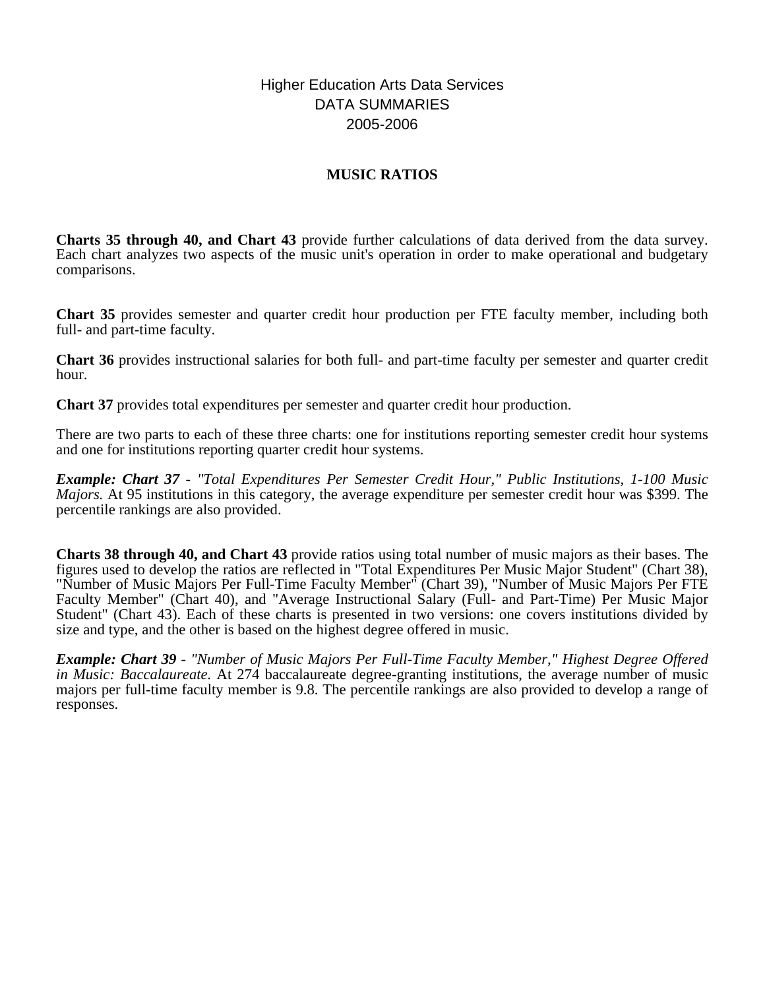# Higher Education Arts Data Services DATA SUMMARIES 2005-2006

# **MUSIC RATIOS**

**Charts 35 through 40, and Chart 43** provide further calculations of data derived from the data survey. Each chart analyzes two aspects of the music unit's operation in order to make operational and budgetary comparisons.

**Chart 35** provides semester and quarter credit hour production per FTE faculty member, including both full- and part-time faculty.

**Chart 36** provides instructional salaries for both full- and part-time faculty per semester and quarter credit hour.

**Chart 37** provides total expenditures per semester and quarter credit hour production.

There are two parts to each of these three charts: one for institutions reporting semester credit hour systems and one for institutions reporting quarter credit hour systems.

*Example: Chart 37 - "Total Expenditures Per Semester Credit Hour," Public Institutions, 1-100 Music Majors.* At 95 institutions in this category, the average expenditure per semester credit hour was \$399. The percentile rankings are also provided.

**Charts 38 through 40, and Chart 43** provide ratios using total number of music majors as their bases. The figures used to develop the ratios are reflected in "Total Expenditures Per Music Major Student" (Chart 38), "Number of Music Majors Per Full-Time Faculty Member" (Chart 39), "Number of Music Majors Per FTE Faculty Member" (Chart 40), and "Average Instructional Salary (Full- and Part-Time) Per Music Major Student" (Chart 43). Each of these charts is presented in two versions: one covers institutions divided by size and type, and the other is based on the highest degree offered in music.

*Example: Chart 39 - "Number of Music Majors Per Full-Time Faculty Member," Highest Degree Offered in Music: Baccalaureate.* At 274 baccalaureate degree-granting institutions, the average number of music majors per full-time faculty member is 9.8. The percentile rankings are also provided to develop a range of responses.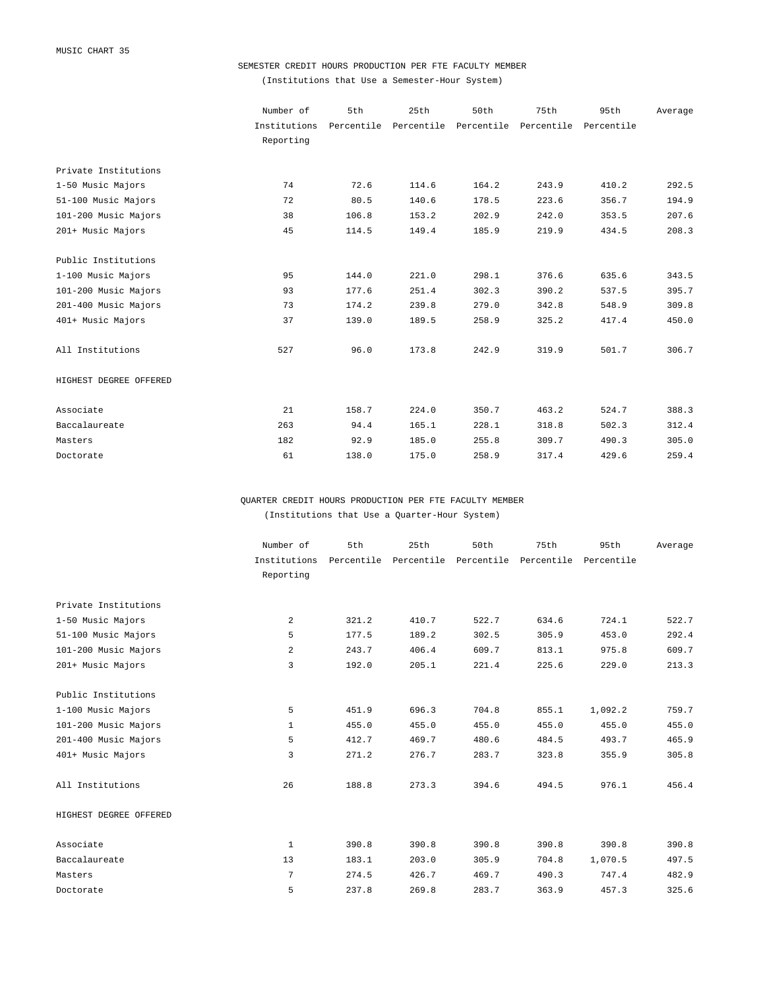### SEMESTER CREDIT HOURS PRODUCTION PER FTE FACULTY MEMBER

(Institutions that Use a Semester-Hour System)

|                        | Number of    | 5th        | 25th       | 50th       | 75th       | 95th       | Average |
|------------------------|--------------|------------|------------|------------|------------|------------|---------|
|                        | Institutions | Percentile | Percentile | Percentile | Percentile | Percentile |         |
|                        | Reporting    |            |            |            |            |            |         |
| Private Institutions   |              |            |            |            |            |            |         |
| 1-50 Music Majors      | 74           | 72.6       | 114.6      | 164.2      | 243.9      | 410.2      | 292.5   |
| 51-100 Music Majors    | 72           | 80.5       | 140.6      | 178.5      | 223.6      | 356.7      | 194.9   |
| 101-200 Music Majors   | 38           | 106.8      | 153.2      | 202.9      | 242.0      | 353.5      | 207.6   |
| 201+ Music Majors      | 45           | 114.5      | 149.4      | 185.9      | 219.9      | 434.5      | 208.3   |
| Public Institutions    |              |            |            |            |            |            |         |
| 1-100 Music Majors     | 95           | 144.0      | 221.0      | 298.1      | 376.6      | 635.6      | 343.5   |
| 101-200 Music Majors   | 93           | 177.6      | 251.4      | 302.3      | 390.2      | 537.5      | 395.7   |
| 201-400 Music Majors   | 73           | 174.2      | 239.8      | 279.0      | 342.8      | 548.9      | 309.8   |
| 401+ Music Majors      | 37           | 139.0      | 189.5      | 258.9      | 325.2      | 417.4      | 450.0   |
| All Institutions       | 527          | 96.0       | 173.8      | 242.9      | 319.9      | 501.7      | 306.7   |
| HIGHEST DEGREE OFFERED |              |            |            |            |            |            |         |
| Associate              | 21           | 158.7      | 224.0      | 350.7      | 463.2      | 524.7      | 388.3   |
| Baccalaureate          | 263          | 94.4       | 165.1      | 228.1      | 318.8      | 502.3      | 312.4   |
| Masters                | 182          | 92.9       | 185.0      | 255.8      | 309.7      | 490.3      | 305.0   |
| Doctorate              | 61           | 138.0      | 175.0      | 258.9      | 317.4      | 429.6      | 259.4   |

QUARTER CREDIT HOURS PRODUCTION PER FTE FACULTY MEMBER (Institutions that Use a Quarter-Hour System)

|                        | Number of    | 5th        | 25th       | 50th       | 75th       | 95th       | Average |
|------------------------|--------------|------------|------------|------------|------------|------------|---------|
|                        | Institutions | Percentile | Percentile | Percentile | Percentile | Percentile |         |
|                        | Reporting    |            |            |            |            |            |         |
| Private Institutions   |              |            |            |            |            |            |         |
|                        |              |            |            |            |            |            |         |
| 1-50 Music Majors      | 2            | 321.2      | 410.7      | 522.7      | 634.6      | 724.1      | 522.7   |
| 51-100 Music Majors    | 5            | 177.5      | 189.2      | 302.5      | 305.9      | 453.0      | 292.4   |
| 101-200 Music Majors   | 2            | 243.7      | 406.4      | 609.7      | 813.1      | 975.8      | 609.7   |
| 201+ Music Majors      | 3            | 192.0      | 205.1      | 221.4      | 225.6      | 229.0      | 213.3   |
| Public Institutions    |              |            |            |            |            |            |         |
| 1-100 Music Majors     | 5            | 451.9      | 696.3      | 704.8      | 855.1      | 1,092.2    | 759.7   |
| 101-200 Music Majors   | $\mathbf{1}$ | 455.0      | 455.0      | 455.0      | 455.0      | 455.0      | 455.0   |
| 201-400 Music Majors   | 5            | 412.7      | 469.7      | 480.6      | 484.5      | 493.7      | 465.9   |
| 401+ Music Majors      | 3            | 271.2      | 276.7      | 283.7      | 323.8      | 355.9      | 305.8   |
| All Institutions       | 26           | 188.8      | 273.3      | 394.6      | 494.5      | 976.1      | 456.4   |
| HIGHEST DEGREE OFFERED |              |            |            |            |            |            |         |
| Associate              | $\mathbf{1}$ | 390.8      | 390.8      | 390.8      | 390.8      | 390.8      | 390.8   |
| Baccalaureate          | 13           | 183.1      | 203.0      | 305.9      | 704.8      | 1,070.5    | 497.5   |
| Masters                | 7            | 274.5      | 426.7      | 469.7      | 490.3      | 747.4      | 482.9   |
| Doctorate              | 5            | 237.8      | 269.8      | 283.7      | 363.9      | 457.3      | 325.6   |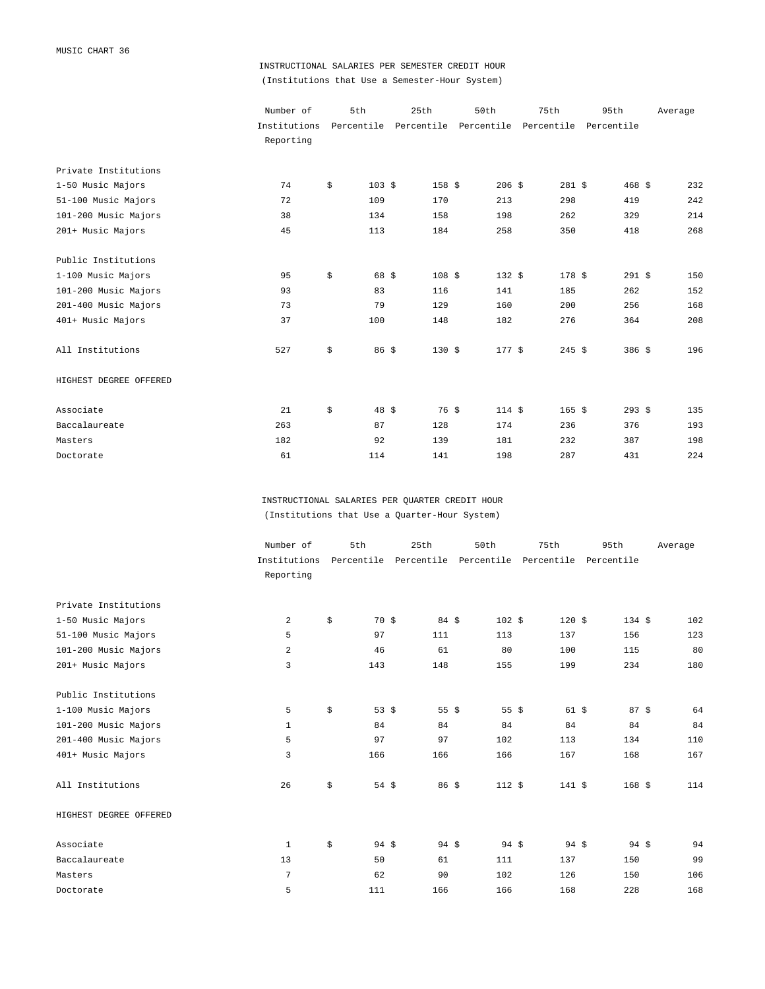## INSTRUCTIONAL SALARIES PER SEMESTER CREDIT HOUR (Institutions that Use a Semester-Hour System)

|                        | Number of    | 5th                    | 25th                  | 50th       | 75th     | 95th                  | Average |
|------------------------|--------------|------------------------|-----------------------|------------|----------|-----------------------|---------|
|                        | Institutions |                        | Percentile Percentile | Percentile |          | Percentile Percentile |         |
|                        | Reporting    |                        |                       |            |          |                       |         |
| Private Institutions   |              |                        |                       |            |          |                       |         |
| 1-50 Music Majors      | 74           | \$<br>$103 \text{ } $$ | $158$ \$              | $206$ \$   | $281$ \$ | 468S                  | 232     |
| 51-100 Music Majors    | 72           | 109                    | 170                   | 213        | 298      | 419                   | 242     |
| 101-200 Music Majors   | 38           | 134                    | 158                   | 198        | 262      | 329                   | 214     |
| 201+ Music Majors      | 45           | 113                    | 184                   | 258        | 350      | 418                   | 268     |
| Public Institutions    |              |                        |                       |            |          |                       |         |
| 1-100 Music Majors     | 95           | \$<br>68 \$            | $108$ \$              | 132S       | 178S     | $291$ \$              | 150     |
| 101-200 Music Majors   | 93           | 83                     | 116                   | 141        | 185      | 262                   | 152     |
| 201-400 Music Majors   | 73           | 79                     | 129                   | 160        | 200      | 256                   | 168     |
| 401+ Music Majors      | 37           | 100                    | 148                   | 182        | 276      | 364                   | 208     |
| All Institutions       | 527          | \$<br>86 \$            | $130 \text{ }$ \$     | 177S       | $245$ \$ | $386$ \$              | 196     |
| HIGHEST DEGREE OFFERED |              |                        |                       |            |          |                       |         |
| Associate              | 21           | \$<br>$48 \text{ } $5$ | 76S                   | 114S       | $165$ \$ | $293$ \$              | 135     |
| Baccalaureate          | 263          | 87                     | 128                   | 174        | 236      | 376                   | 193     |
| Masters                | 182          | 92                     | 139                   | 181        | 232      | 387                   | 198     |
| Doctorate              | 61           | 114                    | 141                   | 198        | 287      | 431                   | 224     |

INSTRUCTIONAL SALARIES PER QUARTER CREDIT HOUR (Institutions that Use a Quarter-Hour System)

|                        | Number of    | 5th                   | 25th            | 50th                                                   | 75th            | 95th             | Average |
|------------------------|--------------|-----------------------|-----------------|--------------------------------------------------------|-----------------|------------------|---------|
|                        | Institutions |                       |                 | Percentile Percentile Percentile Percentile Percentile |                 |                  |         |
|                        | Reporting    |                       |                 |                                                        |                 |                  |         |
| Private Institutions   |              |                       |                 |                                                        |                 |                  |         |
| 1-50 Music Majors      | 2            | \$<br>70S             | $84 \;$ \$      | 102S                                                   | 120S            | 134S             | 102     |
| 51-100 Music Majors    | 5            | 97                    | 111             | 113                                                    | 137             | 156              | 123     |
| 101-200 Music Majors   | 2            | 46                    | 61              | 80                                                     | 100             | 115              | 80      |
| 201+ Music Majors      | 3            | 143                   | 148             | 155                                                    | 199             | 234              | 180     |
| Public Institutions    |              |                       |                 |                                                        |                 |                  |         |
| 1-100 Music Majors     | 5            | \$<br>53 $$$          | 55 $$$          | $55 \frac{2}{3}$                                       | 61S             | 87S              | 64      |
| 101-200 Music Majors   | $\mathbf{1}$ | 84                    | 84              | 84                                                     | 84              | 84               | 84      |
| 201-400 Music Majors   | 5            | 97                    | 97              | 102                                                    | 113             | 134              | 110     |
| 401+ Music Majors      | 3            | 166                   | 166             | 166                                                    | 167             | 168              | 167     |
| All Institutions       | 26           | \$<br>54 $$$          | $86\frac{1}{2}$ | 112S                                                   | 141S            | $168$ \$         | 114     |
| HIGHEST DEGREE OFFERED |              |                       |                 |                                                        |                 |                  |         |
| Associate              | 1            | \$<br>$94 \text{ } $$ | $94$ \$         | $94 \text{ } $$                                        | $94 \text{ } $$ | $94 \text{ } $5$ | 94      |
| Baccalaureate          | 13           | 50                    | 61              | 111                                                    | 137             | 150              | 99      |
| Masters                | 7            | 62                    | 90              | 102                                                    | 126             | 150              | 106     |
| Doctorate              | 5            | 111                   | 166             | 166                                                    | 168             | 228              | 168     |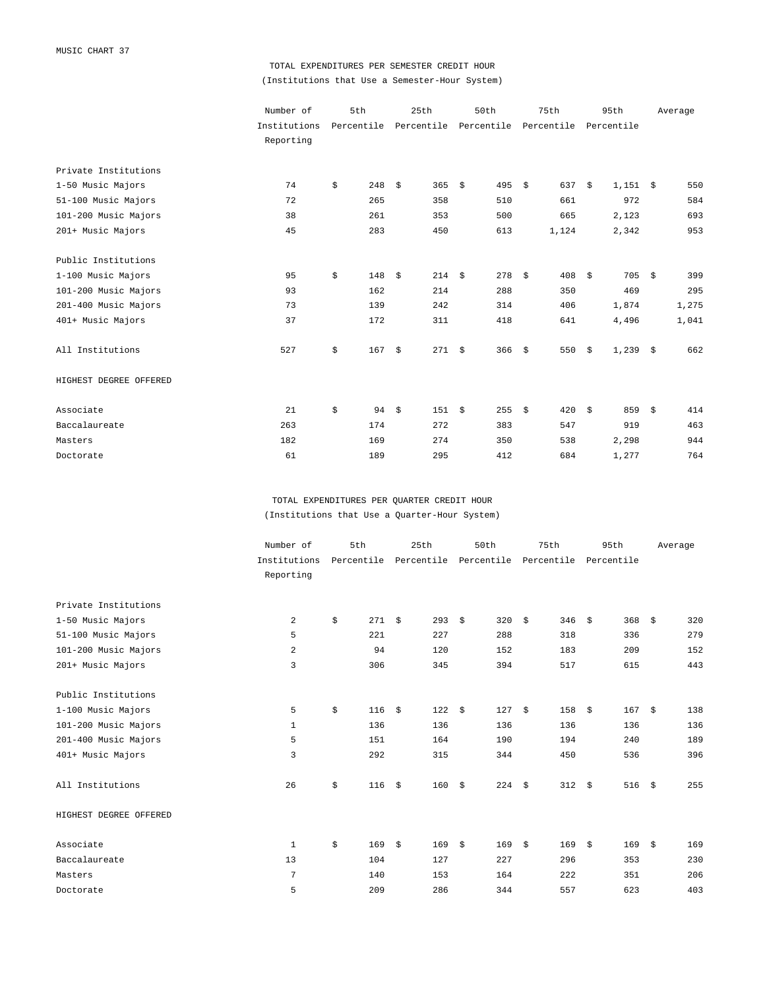## TOTAL EXPENDITURES PER SEMESTER CREDIT HOUR (Institutions that Use a Semester-Hour System)

|                        | Number of    | 5th       | 25th                                                   | 50th     | 75th       | 95th             | Average   |
|------------------------|--------------|-----------|--------------------------------------------------------|----------|------------|------------------|-----------|
|                        | Institutions |           | Percentile Percentile Percentile Percentile Percentile |          |            |                  |           |
|                        | Reporting    |           |                                                        |          |            |                  |           |
| Private Institutions   |              |           |                                                        |          |            |                  |           |
| 1-50 Music Majors      | 74           | \$<br>248 | - \$<br>365 $$$                                        | 495 \$   | 637S       | $1,151$ \$       | 550       |
| 51-100 Music Majors    | 72           | 265       | 358                                                    | 510      | 661        | 972              | 584       |
| 101-200 Music Majors   | 38           | 261       | 353                                                    | 500      | 665        | 2,123            | 693       |
| 201+ Music Majors      | 45           | 283       | 450                                                    | 613      | 1,124      | 2,342            | 953       |
| Public Institutions    |              |           |                                                        |          |            |                  |           |
| 1-100 Music Majors     | 95           | \$<br>148 | \$<br>214S                                             | 278      | \$<br>408  | 705<br>- \$      | \$<br>399 |
| 101-200 Music Majors   | 93           | 162       | 214                                                    | 288      | 350        | 469              | 295       |
| 201-400 Music Majors   | 73           | 139       | 242                                                    | 314      | 406        | 1,874            | 1,275     |
| 401+ Music Majors      | 37           | 172       | 311                                                    | 418      | 641        | 4,496            | 1,041     |
| All Institutions       | 527          | \$<br>167 | 271S<br>\$                                             | $366$ \$ | 550        | $1,239$ \$<br>\$ | 662       |
| HIGHEST DEGREE OFFERED |              |           |                                                        |          |            |                  |           |
| Associate              | 21           | \$<br>94  | 151S<br>- \$                                           | 255      | \$<br>420S | 859              | 414<br>\$ |
| Baccalaureate          | 263          | 174       | 272                                                    | 383      | 547        | 919              | 463       |
| Masters                | 182          | 169       | 274                                                    | 350      | 538        | 2,298            | 944       |
| Doctorate              | 61           | 189       | 295                                                    | 412      | 684        | 1,277            | 764       |

TOTAL EXPENDITURES PER QUARTER CREDIT HOUR (Institutions that Use a Quarter-Hour System)

|                        | Number of    | 5th        | 25th       | 50th              | 75th       | 95th        | Average     |
|------------------------|--------------|------------|------------|-------------------|------------|-------------|-------------|
|                        | Institutions | Percentile | Percentile | Percentile        | Percentile | Percentile  |             |
|                        | Reporting    |            |            |                   |            |             |             |
| Private Institutions   |              |            |            |                   |            |             |             |
| 1-50 Music Majors      | 2            | \$<br>271  | \$<br>293  | 320<br>- \$       | \$<br>346  | 368<br>\$   | \$<br>320   |
| 51-100 Music Majors    | 5            | 221        | 227        | 288               | 318        | 336         | 279         |
| 101-200 Music Majors   | 2            | 94         | 120        | 152               | 183        | 209         | 152         |
| 201+ Music Majors      | 3            | 306        | 345        | 394               | 517        | 615         | 443         |
| Public Institutions    |              |            |            |                   |            |             |             |
| 1-100 Music Majors     | 5            | \$<br>116  | 122<br>\$  | 127<br>- \$       | \$<br>158  | 167<br>\$   | 138<br>\$   |
| 101-200 Music Majors   | $\mathbf{1}$ | 136        | 136        | 136               | 136        | 136         | 136         |
| 201-400 Music Majors   | 5            | 151        | 164        | 190               | 194        | 240         | 189         |
| 401+ Music Majors      | 3            | 292        | 315        | 344               | 450        | 536         | 396         |
| All Institutions       | 26           | \$<br>116  | \$<br>160  | $224 - $$<br>- \$ | 312        | 516<br>- \$ | 255<br>- \$ |
| HIGHEST DEGREE OFFERED |              |            |            |                   |            |             |             |
| Associate              | 1            | \$<br>169  | \$<br>169  | 169<br>- \$       | 169<br>\$  | 169<br>- \$ | \$<br>169   |
| Baccalaureate          | 13           | 104        | 127        | 227               | 296        | 353         | 230         |
| Masters                | 7            | 140        | 153        | 164               | 222        | 351         | 206         |
| Doctorate              | 5            | 209        | 286        | 344               | 557        | 623         | 403         |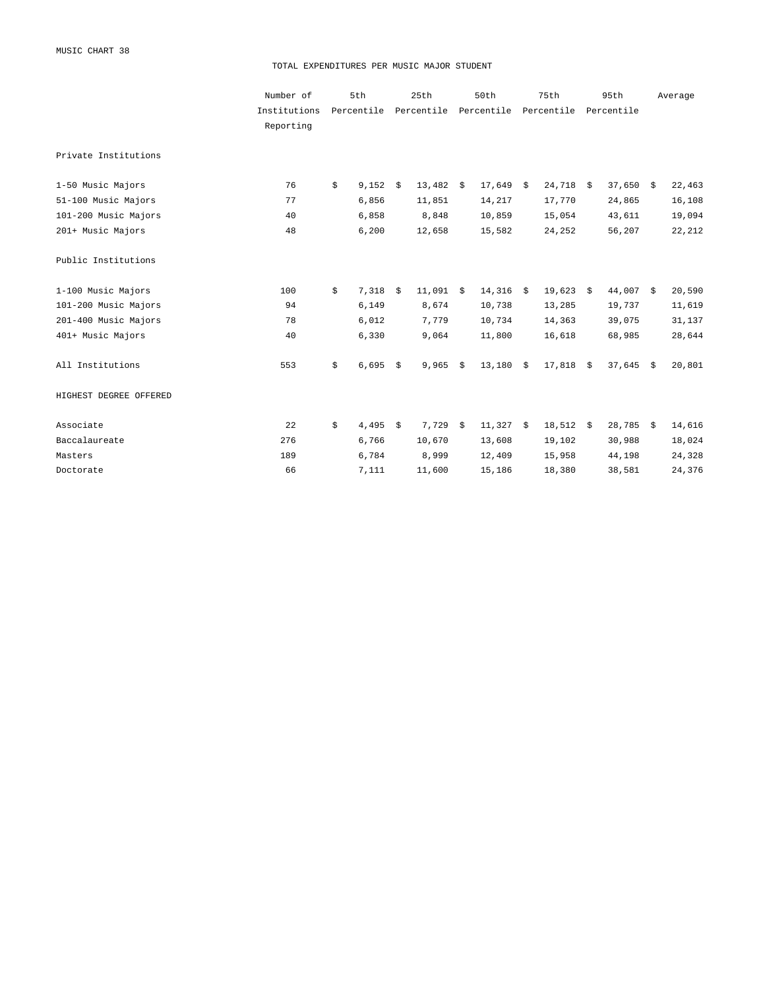MUSIC CHART 38

#### TOTAL EXPENDITURES PER MUSIC MAJOR STUDENT

|                        | Number of    | 5th         |    | 25th                 | 50th        | 75th        |      | 95th        | Average |
|------------------------|--------------|-------------|----|----------------------|-------------|-------------|------|-------------|---------|
|                        | Institutions | Percentile  |    | Percentile           | Percentile  | Percentile  |      | Percentile  |         |
|                        | Reporting    |             |    |                      |             |             |      |             |         |
| Private Institutions   |              |             |    |                      |             |             |      |             |         |
| 1-50 Music Majors      | 76           | \$<br>9,152 | Ŝ. | $13,482 \frac{1}{5}$ | $17,649$ \$ | 24,718      | S.   | $37,650$ \$ | 22,463  |
| 51-100 Music Majors    | 77           | 6,856       |    | 11,851               | 14,217      | 17,770      |      | 24,865      | 16,108  |
| 101-200 Music Majors   | 40           | 6,858       |    | 8,848                | 10,859      | 15,054      |      | 43,611      | 19,094  |
| 201+ Music Majors      | 48           | 6,200       |    | 12,658               | 15,582      | 24,252      |      | 56,207      | 22,212  |
| Public Institutions    |              |             |    |                      |             |             |      |             |         |
| 1-100 Music Majors     | 100          | \$<br>7,318 | \$ | $11,091$ \$          | $14,316$ \$ | 19,623      | - \$ | 44,007 \$   | 20,590  |
| 101-200 Music Majors   | 94           | 6,149       |    | 8,674                | 10,738      | 13,285      |      | 19,737      | 11,619  |
| 201-400 Music Majors   | 78           | 6,012       |    | 7,779                | 10,734      | 14,363      |      | 39,075      | 31,137  |
| 401+ Music Majors      | 40           | 6,330       |    | 9,064                | 11,800      | 16,618      |      | 68,985      | 28,644  |
| All Institutions       | 553          | \$<br>6,695 | \$ | $9,965$ \$           | $13,180$ \$ | 17,818      | \$   | $37,645$ \$ | 20,801  |
| HIGHEST DEGREE OFFERED |              |             |    |                      |             |             |      |             |         |
| Associate              | 22           | \$<br>4,495 | Ŝ. | $7,729$ \$           | $11,327$ \$ | $18,512$ \$ |      | 28,785 \$   | 14,616  |
| Baccalaureate          | 276          | 6,766       |    | 10,670               | 13,608      | 19,102      |      | 30,988      | 18,024  |
| Masters                | 189          | 6,784       |    | 8,999                | 12,409      | 15,958      |      | 44,198      | 24,328  |
| Doctorate              | 66           | 7,111       |    | 11,600               | 15,186      | 18,380      |      | 38,581      | 24,376  |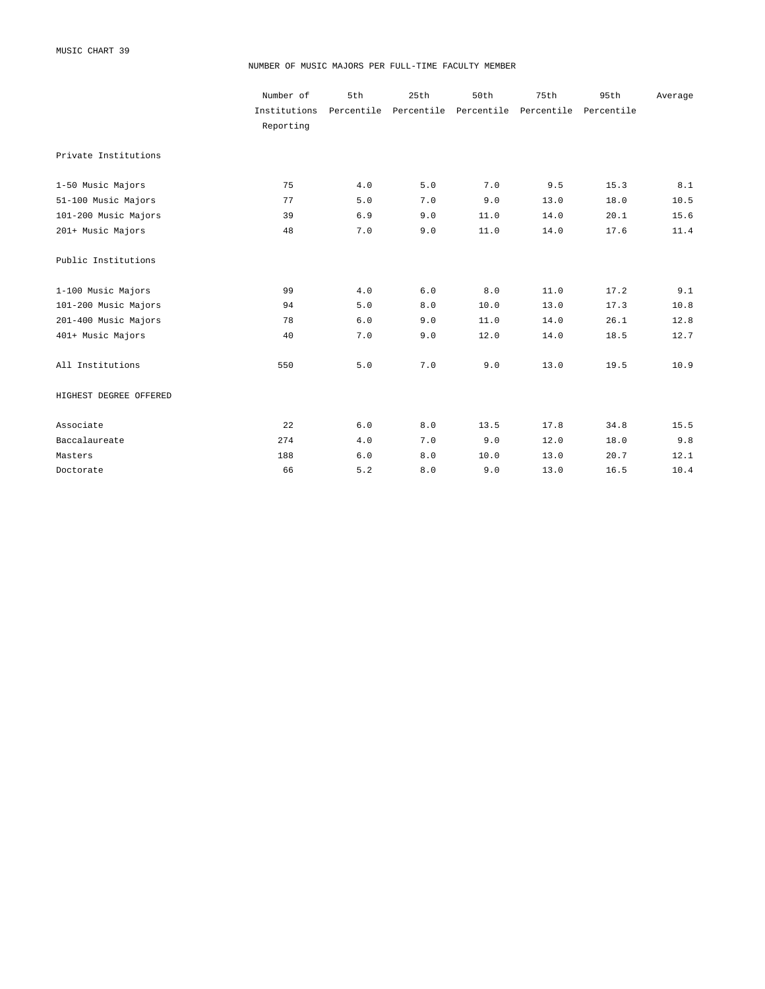#### NUMBER OF MUSIC MAJORS PER FULL-TIME FACULTY MEMBER

|                        | Number of    | 5th | 25th                  | 50th       | 75th       | 95th       | Average |
|------------------------|--------------|-----|-----------------------|------------|------------|------------|---------|
|                        | Institutions |     | Percentile Percentile | Percentile | Percentile | Percentile |         |
|                        | Reporting    |     |                       |            |            |            |         |
| Private Institutions   |              |     |                       |            |            |            |         |
| 1-50 Music Majors      | 75           | 4.0 | 5.0                   | 7.0        | 9.5        | 15.3       | 8.1     |
| 51-100 Music Majors    | 77           | 5.0 | 7.0                   | 9.0        | 13.0       | 18.0       | 10.5    |
| 101-200 Music Majors   | 39           | 6.9 | 9.0                   | 11.0       | 14.0       | 20.1       | 15.6    |
| 201+ Music Majors      | 48           | 7.0 | 9.0                   | 11.0       | 14.0       | 17.6       | 11.4    |
| Public Institutions    |              |     |                       |            |            |            |         |
| 1-100 Music Majors     | 99           | 4.0 | 6.0                   | 8.0        | 11.0       | 17.2       | 9.1     |
| 101-200 Music Majors   | 94           | 5.0 | 8.0                   | 10.0       | 13.0       | 17.3       | 10.8    |
| 201-400 Music Majors   | 78           | 6.0 | 9.0                   | 11.0       | 14.0       | 26.1       | 12.8    |
| 401+ Music Majors      | 40           | 7.0 | 9.0                   | 12.0       | 14.0       | 18.5       | 12.7    |
| All Institutions       | 550          | 5.0 | 7.0                   | 9.0        | 13.0       | 19.5       | 10.9    |
| HIGHEST DEGREE OFFERED |              |     |                       |            |            |            |         |
| Associate              | 22           | 6.0 | 8.0                   | 13.5       | 17.8       | 34.8       | 15.5    |
| Baccalaureate          | 274          | 4.0 | 7.0                   | 9.0        | 12.0       | 18.0       | 9.8     |
| Masters                | 188          | 6.0 | 8.0                   | 10.0       | 13.0       | 20.7       | 12.1    |
| Doctorate              | 66           | 5.2 | 8.0                   | 9.0        | 13.0       | 16.5       | 10.4    |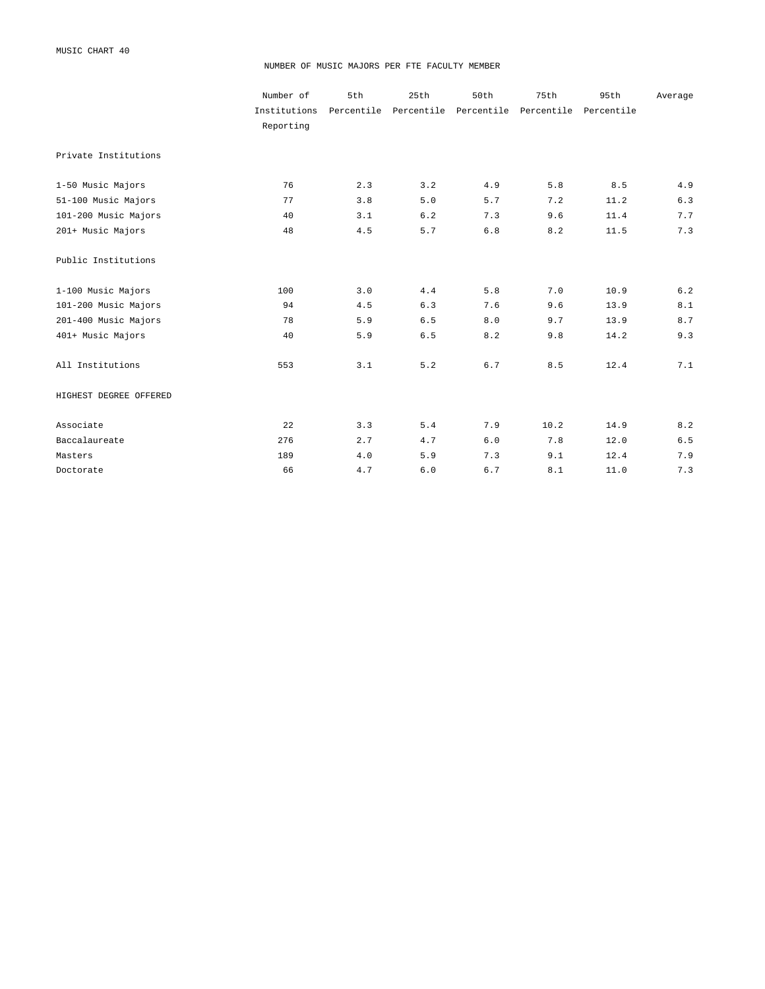#### NUMBER OF MUSIC MAJORS PER FTE FACULTY MEMBER

|                        | Number of    | 5th | 25th                             | 50th  | 75th       | 95th       | Average |
|------------------------|--------------|-----|----------------------------------|-------|------------|------------|---------|
|                        | Institutions |     | Percentile Percentile Percentile |       | Percentile | Percentile |         |
|                        | Reporting    |     |                                  |       |            |            |         |
| Private Institutions   |              |     |                                  |       |            |            |         |
| 1-50 Music Majors      | 76           | 2.3 | 3.2                              | 4.9   | 5.8        | 8.5        | 4.9     |
| 51-100 Music Majors    | 77           | 3.8 | 5.0                              | 5.7   | 7.2        | 11.2       | 6.3     |
| 101-200 Music Majors   | 40           | 3.1 | 6.2                              | 7.3   | 9.6        | 11.4       | 7.7     |
| 201+ Music Majors      | 48           | 4.5 | 5.7                              | $6.8$ | 8.2        | 11.5       | 7.3     |
| Public Institutions    |              |     |                                  |       |            |            |         |
| 1-100 Music Majors     | 100          | 3.0 | 4.4                              | 5.8   | 7.0        | 10.9       | 6.2     |
| 101-200 Music Majors   | 94           | 4.5 | 6.3                              | 7.6   | 9.6        | 13.9       | 8.1     |
| 201-400 Music Majors   | 78           | 5.9 | 6.5                              | 8.0   | 9.7        | 13.9       | 8.7     |
| 401+ Music Majors      | 40           | 5.9 | 6.5                              | 8.2   | 9.8        | 14.2       | 9.3     |
| All Institutions       | 553          | 3.1 | 5.2                              | 6.7   | 8.5        | 12.4       | 7.1     |
| HIGHEST DEGREE OFFERED |              |     |                                  |       |            |            |         |
| Associate              | 22           | 3.3 | 5.4                              | 7.9   | 10.2       | 14.9       | 8.2     |
| Baccalaureate          | 276          | 2.7 | 4.7                              | $6.0$ | 7.8        | 12.0       | $6.5$   |
| Masters                | 189          | 4.0 | 5.9                              | 7.3   | 9.1        | 12.4       | 7.9     |
| Doctorate              | 66           | 4.7 | 6.0                              | 6.7   | 8.1        | 11.0       | 7.3     |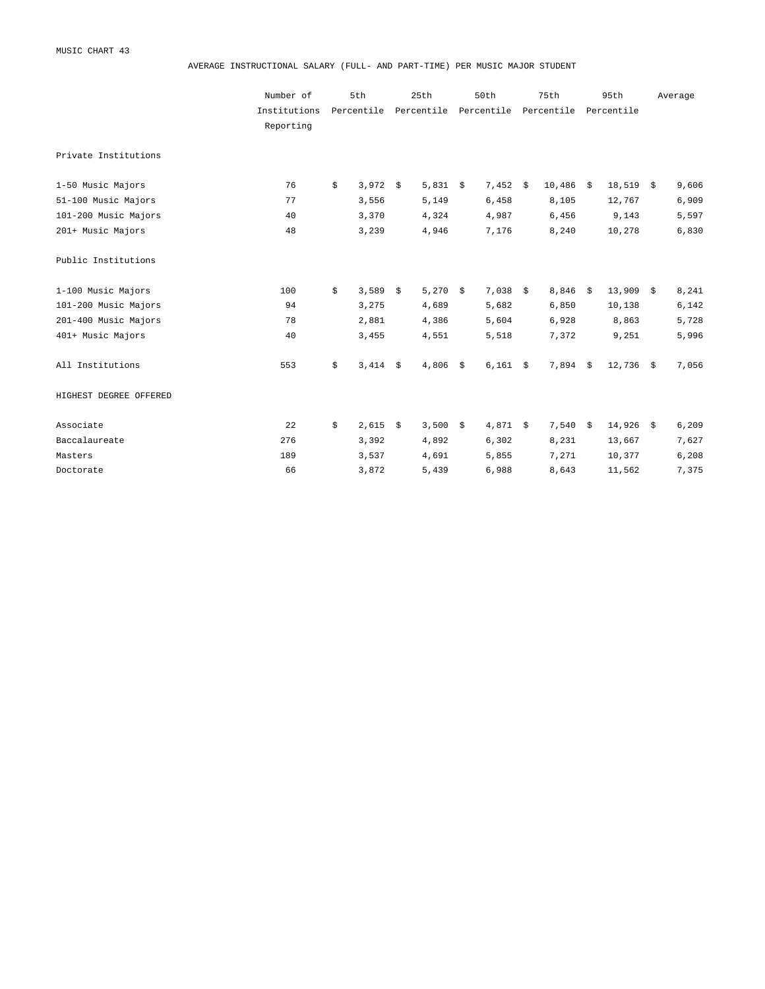AVERAGE INSTRUCTIONAL SALARY (FULL- AND PART-TIME) PER MUSIC MAJOR STUDENT

|                        | Number of    | 5th         |      | 25th                             | 50th       | 75th   |            | 95th        | Average |
|------------------------|--------------|-------------|------|----------------------------------|------------|--------|------------|-------------|---------|
|                        | Institutions | Percentile  |      | Percentile Percentile Percentile |            |        | Percentile |             |         |
|                        | Reporting    |             |      |                                  |            |        |            |             |         |
| Private Institutions   |              |             |      |                                  |            |        |            |             |         |
| 1-50 Music Majors      | 76           | \$<br>3,972 | - \$ | 5,831 \$                         | $7,452 \&$ | 10,486 | \$         | $18,519$ \$ | 9,606   |
| 51-100 Music Majors    | 77           | 3,556       |      | 5,149                            | 6,458      | 8,105  |            | 12,767      | 6,909   |
| 101-200 Music Majors   | 40           | 3,370       |      | 4,324                            | 4,987      | 6,456  |            | 9,143       | 5,597   |
| 201+ Music Majors      | 48           | 3,239       |      | 4,946                            | 7,176      | 8,240  |            | 10,278      | 6,830   |
| Public Institutions    |              |             |      |                                  |            |        |            |             |         |
| 1-100 Music Majors     | 100          | \$<br>3,589 | \$   | 5,270 \$                         | $7,038$ \$ | 8,846  | \$         | $13,909$ \$ | 8,241   |
| 101-200 Music Majors   | 94           | 3,275       |      | 4,689                            | 5,682      | 6,850  |            | 10,138      | 6,142   |
| 201-400 Music Majors   | 78           | 2,881       |      | 4,386                            | 5,604      | 6,928  |            | 8,863       | 5,728   |
| 401+ Music Majors      | 40           | 3,455       |      | 4,551                            | 5,518      | 7,372  |            | 9,251       | 5,996   |
| All Institutions       | 553          | \$<br>3,414 | \$   | $4,806$ \$                       | $6,161$ \$ | 7,894  | \$         | $12,736$ \$ | 7,056   |
| HIGHEST DEGREE OFFERED |              |             |      |                                  |            |        |            |             |         |
| Associate              | 22           | \$<br>2,615 | \$   | 3,500 \$                         | $4,871$ \$ | 7,540  | \$         | $14,926$ \$ | 6,209   |
| Baccalaureate          | 276          | 3,392       |      | 4,892                            | 6,302      | 8,231  |            | 13,667      | 7,627   |
| Masters                | 189          | 3,537       |      | 4,691                            | 5,855      | 7,271  |            | 10,377      | 6,208   |
| Doctorate              | 66           | 3,872       |      | 5,439                            | 6,988      | 8,643  |            | 11,562      | 7,375   |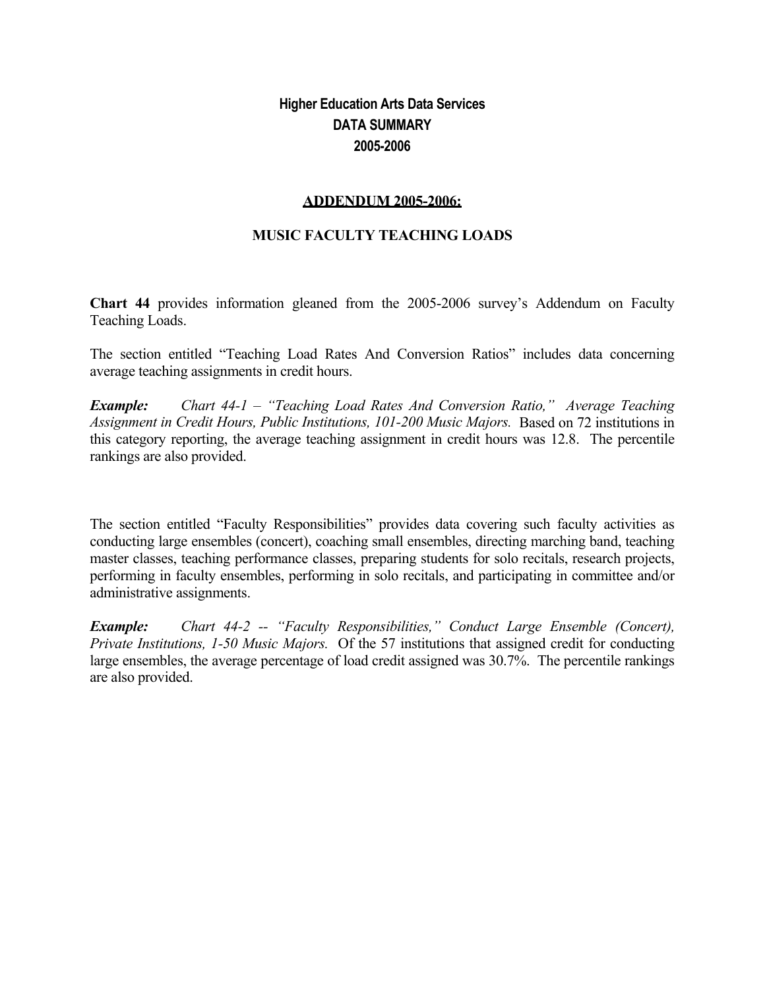# **Higher Education Arts Data Services DATA SUMMARY 2005-2006**

## **ADDENDUM 2005-2006:**

## **MUSIC FACULTY TEACHING LOADS**

**Chart 44** provides information gleaned from the 2005-2006 survey's Addendum on Faculty Teaching Loads.

The section entitled "Teaching Load Rates And Conversion Ratios" includes data concerning average teaching assignments in credit hours.

*Example: Chart 44-1 – "Teaching Load Rates And Conversion Ratio," Average Teaching Assignment in Credit Hours, Public Institutions, 101-200 Music Majors.* Based on 72 institutions in this category reporting, the average teaching assignment in credit hours was 12.8. The percentile rankings are also provided.

The section entitled "Faculty Responsibilities" provides data covering such faculty activities as conducting large ensembles (concert), coaching small ensembles, directing marching band, teaching master classes, teaching performance classes, preparing students for solo recitals, research projects, performing in faculty ensembles, performing in solo recitals, and participating in committee and/or administrative assignments.

*Example: Chart 44-2 -- "Faculty Responsibilities," Conduct Large Ensemble (Concert), Private Institutions, 1-50 Music Majors.* Of the 57 institutions that assigned credit for conducting large ensembles, the average percentage of load credit assigned was 30.7%. The percentile rankings are also provided.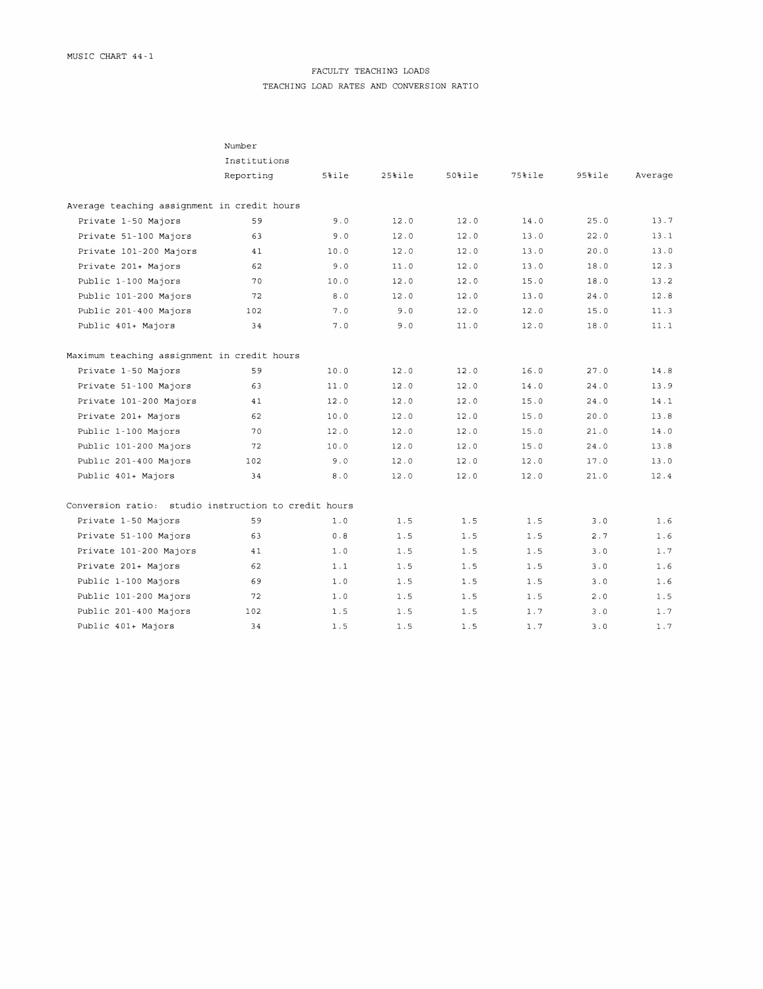## FACULTY TEACHING LOADS

TEACHING LOAD RATES AND CONVERSION RATIO

|                                                      | Number       |          |           |         |           |           |         |
|------------------------------------------------------|--------------|----------|-----------|---------|-----------|-----------|---------|
|                                                      | Institutions |          |           |         |           |           |         |
|                                                      | Reporting    | $5%$ ile | $25%$ ile | $50$ le | $75%$ ile | $95%$ ile | Average |
| Average teaching assignment in credit hours          |              |          |           |         |           |           |         |
| Private 1-50 Majors                                  | 59           | 9.0      | 12.0      | 12.0    | 14.0      | 25.0      | 13.7    |
| Private 51-100 Majors                                | 63           | 9.0      | 12.0      | 12.0    | 13.0      | 22.0      | 13.1    |
| Private 101-200 Majors                               | 41           | 10.0     | 12.0      | 12.0    | 13.0      | 20.0      | 13.0    |
| Private 201+ Majors                                  | 62           | 9.0      | 11.0      | 12.0    | 13.0      | 18.0      | 12.3    |
| Public 1-100 Majors                                  | 70           | 10.0     | 12.0      | 12.0    | 15.0      | 18.0      | 13.2    |
| Public 101-200 Majors                                | 72           | 8.0      | 12.0      | 12.0    | 13.0      | 24.0      | 12.8    |
| Public 201-400 Majors                                | 102          | 7.0      | 9.0       | 12.0    | 12.0      | 15.0      | 11.3    |
| Public 401+ Majors                                   | 34           | 7.0      | 9.0       | 11.0    | 12.0      | 18.0      | 11.1    |
| Maximum teaching assignment in credit hours          |              |          |           |         |           |           |         |
| Private 1-50 Majors                                  | 59           | 10.0     | 12.0      | 12.0    | 16.0      | 27.0      | 14.8    |
| Private 51-100 Majors                                | 63           | 11.0     | 12.0      | 12.0    | 14.0      | 24.0      | 13.9    |
| Private 101-200 Majors                               | 41           | 12.0     | 12.0      | 12.0    | 15.0      | 24.0      | 14.1    |
| Private 201+ Majors                                  | 62           | 10.0     | 12.0      | 12.0    | 15.0      | 20.0      | 13.8    |
| Public 1-100 Majors                                  | 70           | 12.0     | 12.0      | 12.0    | 15.0      | 21.0      | 14.0    |
| Public 101-200 Majors                                | 72           | 10.0     | 12.0      | 12.0    | 15.0      | 24.0      | 13.8    |
| Public 201-400 Majors                                | 102          | 9.0      | 12.0      | 12.0    | 12.0      | 17.0      | 13.0    |
| Public 401+ Majors                                   | 34           | 8.0      | 12.0      | 12.0    | 12.0      | 21.0      | 12.4    |
| Conversion ratio: studio instruction to credit hours |              |          |           |         |           |           |         |
| Private 1-50 Majors                                  | 59           | 1.0      | 1.5       | 1.5     | 1.5       | 3.0       | 1.6     |
| Private 51-100 Majors                                | 63           | 0.8      | 1.5       | 1.5     | 1.5       | 2.7       | 1.6     |
| Private 101-200 Majors                               | 41           | 1.0      | 1.5       | 1.5     | 1.5       | 3.0       | 1.7     |
| Private 201+ Majors                                  | 62           | 1.1      | 1.5       | 1.5     | 1.5       | 3.0       | 1.6     |
| Public 1-100 Majors                                  | 69           | 1.0      | 1.5       | 1.5     | 1.5       | 3.0       | 1.6     |
| Public 101-200 Majors                                | 72           | 1.0      | 1.5       | 1.5     | 1.5       | 2.0       | 1.5     |
| Public 201-400 Majors                                | 102          | 1.5      | 1.5       | 1.5     | 1.7       | 3.0       | 1.7     |
| Public 401+ Majors                                   | 34           | 1.5      | 1.5       | 1.5     | 1.7       | 3.0       | 1.7     |
|                                                      |              |          |           |         |           |           |         |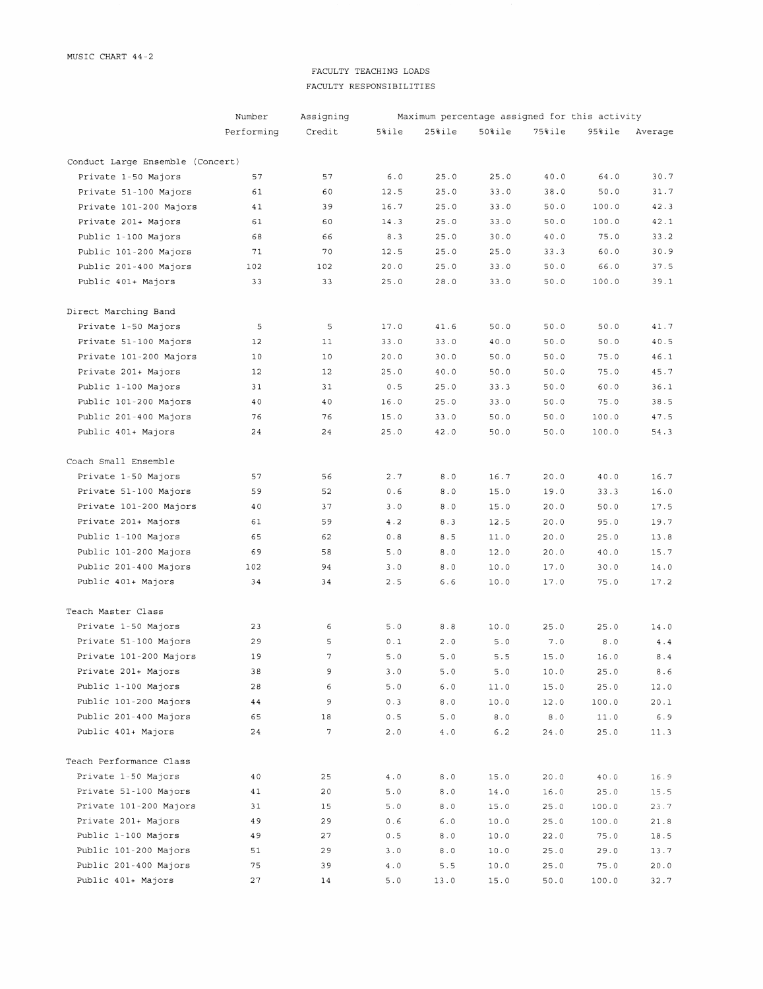## FACULTY TEACHING LOADS FACULTY RESPONSIBILITIES

|                                  | Number     | Assigning | Maximum percentage assigned for this activity |               |           |           |        |         |  |  |  |
|----------------------------------|------------|-----------|-----------------------------------------------|---------------|-----------|-----------|--------|---------|--|--|--|
|                                  | Performing | Credit    | 5%ile                                         | 25%ile        | $50$ tile | $75%$ ile | 95%ile | Average |  |  |  |
| Conduct Large Ensemble (Concert) |            |           |                                               |               |           |           |        |         |  |  |  |
| Private 1-50 Majors              | 57         | 57        | $6.0$                                         | 25.0          | 25.0      | 40.0      | 64.0   | 30.7    |  |  |  |
| Private 51-100 Majors            | 61         | 60        | 12.5                                          | 25.0          | 33.0      | 38.0      | 50.0   | 31.7    |  |  |  |
| Private 101-200 Majors           | 41         | 39        | 16.7                                          | 25.0          | 33.0      | 50.0      | 100.0  | 42.3    |  |  |  |
| Private 201+ Majors              | 61         | 60        | 14.3                                          | 25.0          | 33.0      | 50.0      | 100.0  | 42.1    |  |  |  |
| Public 1-100 Majors              | 68         | 66        | 8.3                                           | 25.0          | 30.0      | 40.0      | 75.0   | 33.2    |  |  |  |
| Public 101-200 Majors            | 71         | 70        | 12.5                                          | 25.0          | 25.0      | 33.3      | 60.0   | 30.9    |  |  |  |
| Public 201-400 Majors            | 102        | 102       | 20.0                                          | 25.0          | 33.0      | 50.0      | 66.0   | 37.5    |  |  |  |
| Public 401+ Majors               | 33         | 33        | 25.0                                          | 28.0          | 33.0      | 50.0      | 100.0  | 39.1    |  |  |  |
| Direct Marching Band             |            |           |                                               |               |           |           |        |         |  |  |  |
| Private 1-50 Majors              | 5          | 5         | 17.0                                          | 41.6          | 50.0      | 50.0      | 50.0   | 41.7    |  |  |  |
| Private 51-100 Majors            | 12         | 11        | 33.0                                          | 33.0          | 40.0      | 50.0      | 50.0   | 40.5    |  |  |  |
| Private 101-200 Majors           | 10         | 10        | 20.0                                          | 30.0          | 50.0      | 50.0      | 75.0   | 46.1    |  |  |  |
| Private 201+ Majors              | 12         | 12        | 25.0                                          | 40.0          | 50.0      | 50.0      | 75.0   | 45.7    |  |  |  |
| Public 1-100 Majors              | 31         | 31        | 0.5                                           | 25.0          | 33.3      | 50.0      | 60.0   | 36.1    |  |  |  |
| Public 101-200 Majors            | 40         | 40        | 16.0                                          | 25.0          | 33.0      | 50.0      | 75.0   | 38.5    |  |  |  |
| Public 201-400 Majors            | 76         | 76        | 15.0                                          | 33.0          | 50.0      | 50.0      | 100.0  | 47.5    |  |  |  |
| Public 401+ Majors               | 24         | 24        | 25.0                                          | 42.0          | 50.0      | 50.0      | 100.0  | 54.3    |  |  |  |
| Coach Small Ensemble             |            |           |                                               |               |           |           |        |         |  |  |  |
| Private 1-50 Majors              | 57         | 56        | 2.7                                           | 8.0           | 16.7      | 20.0      | 40.0   | 16.7    |  |  |  |
| Private 51-100 Majors            | 59         | 52        | 0.6                                           | 8.0           | 15.0      | 19.0      | 33.3   | 16.0    |  |  |  |
| Private 101-200 Majors           | 40         | 37        | 3.0                                           | 8.0           | 15.0      | 20.0      | 50.0   | 17.5    |  |  |  |
| Private 201+ Majors              | 61         | 59        | 4.2                                           | 8.3           | 12.5      | 20.0      | 95.0   | 19.7    |  |  |  |
| Public 1-100 Majors              | 65         | 62        | 0.8                                           | 8.5           | 11.0      | 20.0      | 25.0   | 13.8    |  |  |  |
| Public 101-200 Majors            | 69         | 58        | 5.0                                           | 8.0           | 12.0      | 20.0      | 40.0   | 15.7    |  |  |  |
| Public 201-400 Majors            | 102        | 94        | 3.0                                           | $8.0\,$       | 10.0      | 17.0      | 30.0   | 14.0    |  |  |  |
| Public 401+ Majors               | 34         | 34        | 2.5                                           | $6.6$         | 10.0      | 17.0      | 75.0   | 17.2    |  |  |  |
| Teach Master Class               |            |           |                                               |               |           |           |        |         |  |  |  |
| Private 1-50 Majors              | 23         | 6         | 5.0                                           | 8.8           | 10.0      | 25.0      | 25.0   | 14.0    |  |  |  |
| Private 51-100 Majors            | 29         | 5         | 0.1                                           | 2.0           | 5.0       | 7.0       | 8.0    | 4.4     |  |  |  |
| Private 101-200 Majors           | 19         | $\gamma$  | 5.0                                           | 5.0           | 5.5       | 15.0      | 16.0   | $8.4\,$ |  |  |  |
| Private 201+ Majors              | 38         | 9         | 3.0                                           | 5.0           | 5.0       | 10.0      | 25.0   | 8.6     |  |  |  |
| Public 1-100 Majors              | 28         | 6         | 5.0                                           | $6.0$         | 11.0      | 15.0      | 25.0   | 12.0    |  |  |  |
| Public 101-200 Majors            | 44         | 9         | 0.3                                           | $8.0\,$       | 10.0      | 12.0      | 100.0  | 20.1    |  |  |  |
| Public 201-400 Majors            | 65         | 18        | 0.5                                           | $5.0$         | $8.0\,$   | $8.0\,$   | 11.0   | 6.9     |  |  |  |
| Public 401+ Majors               | 24         | 7         | $2.0$                                         | $4\,$ . $0\,$ | 6.2       | 24.0      | 25.0   | 11.3    |  |  |  |
| Teach Performance Class          |            |           |                                               |               |           |           |        |         |  |  |  |
| Private 1-50 Majors              | 40         | 25        | $4\ .\ 0$                                     | 8.0           | 15.0      | 20.0      | $40.0$ | 16.9    |  |  |  |
| Private 51-100 Majors            | 41         | 20        | $5.0\,$                                       | $8.0$         | 14.0      | 16.0      | 25.0   | 15.5    |  |  |  |
| Private 101-200 Majors           | 31         | 15        | 5.0                                           | 8.0           | 15.0      | 25.0      | 100.0  | 23.7    |  |  |  |
| Private 201+ Majors              | 49         | 29        | 0.6                                           | 6.0           | 10.0      | 25.0      | 100.0  | 21.8    |  |  |  |
| Public 1-100 Majors              | 49         | 27        | 0.5                                           | $8.0\,$       | 10.0      | 22.0      | 75.0   | 18.5    |  |  |  |
| Public 101-200 Majors            | 51         | 29        | 3.0                                           | 8.0           | 10.0      | 25.0      | 29.0   | 13.7    |  |  |  |
| Public 201-400 Majors            | 75         | 39        | $4.0$                                         | 5.5           | 10.0      | 25.0      | 75.0   | 20.0    |  |  |  |
| Public 401+ Majors               | 27         | 14        | 5.0                                           | 13.0          | 15.0      | 50.0      | 100.0  | 32.7    |  |  |  |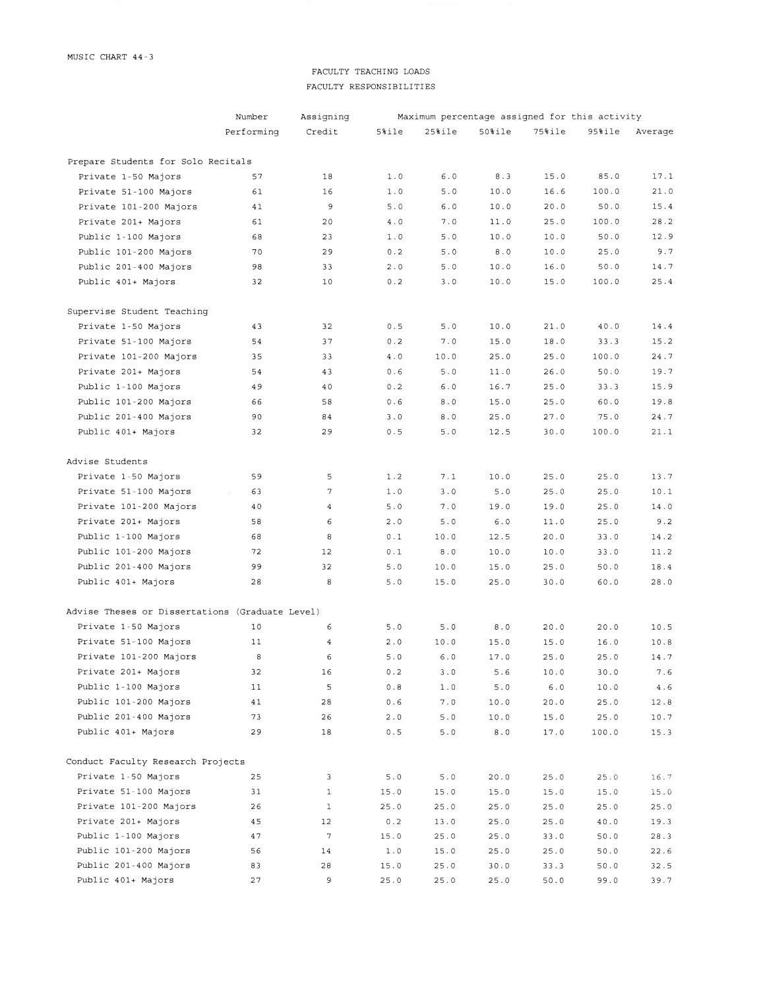## FACULTY TEACHING LOADS FACULTY RESPONSIBILITIES

|                                                 | Number     | Assigning        | Maximum percentage assigned for this activity |              |         |        |        |           |  |  |  |
|-------------------------------------------------|------------|------------------|-----------------------------------------------|--------------|---------|--------|--------|-----------|--|--|--|
|                                                 | Performing | Credit           | 5%ile                                         | $25$ ile     | $50$ le | 75%ile | 95%ile | Average   |  |  |  |
| Prepare Students for Solo Recitals              |            |                  |                                               |              |         |        |        |           |  |  |  |
| Private 1-50 Majors                             | 57         | 18               | 1.0                                           | 6.0          | 8.3     | 15.0   | 85.0   | 17.1      |  |  |  |
| Private 51-100 Majors                           | 61         | 16               | 1.0                                           | 5.0          | 10.0    | 16.6   | 100.0  | 21.0      |  |  |  |
| Private 101-200 Majors                          | 41         | 9                | 5.0                                           | 6.0          | 10.0    | 20.0   | 50.0   | 15.4      |  |  |  |
| Private 201+ Majors                             | 61         | 20               | 4.0                                           | 7.0          | 11.0    | 25.0   | 100.0  | 28.2      |  |  |  |
| Public 1-100 Majors                             | 68         | 23               | 1.0                                           | $5.0$        | 10.0    | 10.0   | 50.0   | 12.9      |  |  |  |
| Public 101-200 Majors                           | 70         | 29               | 0.2                                           | $5.0$        | 8.0     | 10.0   | 25.0   | 9.7       |  |  |  |
| Public 201-400 Majors                           | 98         | 33               | 2.0                                           | 5.0          | 10.0    | 16.0   | 50.0   | 14.7      |  |  |  |
| Public 401+ Majors                              | 32         | 10               | 0.2                                           | 3.0          | 10.0    | 15.0   | 100.0  | 25.4      |  |  |  |
| Supervise Student Teaching                      |            |                  |                                               |              |         |        |        |           |  |  |  |
| Private 1-50 Majors                             | 43         | 32               | 0.5                                           | 5.0          | 10.0    | 21.0   | 40.0   | 14.4      |  |  |  |
| Private 51-100 Majors                           | 54         | 37               | $0.2$                                         | 7.0          | 15.0    | 18.0   | 33.3   | 15.2      |  |  |  |
| Private 101-200 Majors                          | 35         | 33               | $4.0$                                         | 10.0         | 25.0    | 25.0   | 100.0  | 24.7      |  |  |  |
| Private 201+ Majors                             | 54         | 43               | 0.6                                           | 5.0          | 11.0    | 26.0   | 50.0   | 19.7      |  |  |  |
| Public 1-100 Majors                             | 49         | 40               | 0.2                                           | 6.0          | 16.7    | 25.0   | 33.3   | 15.9      |  |  |  |
| Public 101-200 Majors                           | 66         | 58               | 0.6                                           | 8.0          | 15.0    | 25.0   | 60.0   | 19.8      |  |  |  |
| Public 201-400 Majors                           | 90         | 84               | 3.0                                           | 8.0          | 25.0    | 27.0   | 75.0   | 24.7      |  |  |  |
| Public 401+ Majors                              | 32         | 29               | 0.5                                           | 5.0          | 12.5    | 30.0   | 100.0  | 21.1      |  |  |  |
| Advise Students                                 |            |                  |                                               |              |         |        |        |           |  |  |  |
| Private 1-50 Majors                             | 59         | 5                | 1.2                                           | 7.1          | 10.0    | 25.0   | 25.0   | 13.7      |  |  |  |
| Private 51-100 Majors                           | 63         | 7                | $1.0$                                         | 3.0          | 5.0     | 25.0   | 25.0   | 10.1      |  |  |  |
| Private 101-200 Majors                          | 40         | $\overline{4}$   | 5.0                                           | 7.0          | 19.0    | 19.0   | 25.0   | 14.0      |  |  |  |
| Private 201+ Majors                             | 58         | 6                | 2.0                                           | 5.0          | $6.0$   | 11.0   | 25.0   | 9.2       |  |  |  |
| Public 1-100 Majors                             | 68         | 8                | 0.1                                           | 10.0         | 12.5    | 20.0   | 33.0   | 14.2      |  |  |  |
| Public 101-200 Majors                           | 72         | 12               | 0.1                                           | 8.0          | 10.0    | 10.0   | 33.0   | 11.2      |  |  |  |
| Public 201-400 Majors                           | 99         | 32               | 5.0                                           | 10.0         | 15.0    | 25.0   | 50.0   | 18.4      |  |  |  |
| Public 401+ Majors                              | 28         | 8                | 5.0                                           | 15.0         | 25.0    | 30.0   | 60.0   | 28.0      |  |  |  |
| Advise Theses or Dissertations (Graduate Level) |            |                  |                                               |              |         |        |        |           |  |  |  |
| Private 1-50 Majors                             | 10         | 6                | 5.0                                           | 5.0          | $8.0$   | 20.0   | 20.0   | 10.5      |  |  |  |
| Private 51-100 Majors                           | 11         | $\overline{4}$   | 2.0                                           | 10.0         | 15.0    | 15.0   | 16.0   | 10.8      |  |  |  |
| Private 101-200 Majors                          | 8          | 6                | 5.0                                           | $6.0$        | 17.0    | 25.0   | 25.0   | 14.7      |  |  |  |
| Private 201+ Majors                             | 32         | 16               | 0.2                                           | 3.0          | 5.6     | 10.0   | 30.0   | 7.6       |  |  |  |
| Public 1-100 Majors                             | 11         | 5                | $0.8\,$                                       | 1.0          | 5.0     | $6.0$  | 10.0   | $4\ .\ 6$ |  |  |  |
| Public 101-200 Majors                           | 41         | 28               | 0.6                                           | $7\,$ . $0$  | 10.0    | 20.0   | 25.0   | 12.8      |  |  |  |
| Public 201-400 Majors                           | 73         | 26               | 2.0                                           | 5.0          | 10.0    | 15.0   | 25.0   | 10.7      |  |  |  |
| Public 401+ Majors                              | 29         | $1\,8$           | 0.5                                           | 5.0          | $8.0$   | 17.0   | 100.0  | 15.3      |  |  |  |
| Conduct Faculty Research Projects               |            |                  |                                               |              |         |        |        |           |  |  |  |
| Private 1-50 Majors                             | 25         | 3                | 5.0                                           | $5.0$        | 20.0    | 25.0   | 25.0   | 16.7      |  |  |  |
| Private 51-100 Majors                           | 31         | $\mathbf{1}$     | 15.0                                          | 15.0         | 15.0    | 15.0   | 15.0   | 15.0      |  |  |  |
| Private 101-200 Majors                          | 26         | $1\,$            | 25.0                                          | 25.0         | 25.0    | 25.0   | 25.0   | 25.0      |  |  |  |
| Private 201+ Majors                             | 45         | 12               | 0.2                                           | 13.0         | 25.0    | 25.0   | $40.0$ | 19.3      |  |  |  |
| Public 1-100 Majors                             | 47         | $\boldsymbol{7}$ | 15.0                                          | 25.0         | 25.0    | 33.0   | 50.0   | 28.3      |  |  |  |
| Public 101-200 Majors                           | 56         | 14               | $1.0$                                         | 15.0         | 25.0    | 25.0   | 50.0   | 22.6      |  |  |  |
| Public 201-400 Majors                           | 83         | 28               | 15.0                                          | 25.0         | 30.0    | 33.3   | 50.0   | 32.5      |  |  |  |
| Public 401+ Majors                              | 27         | 9                | 25.0                                          | $2\,5$ . $0$ | 25.0    | 50.0   | 99.0   | 39.7      |  |  |  |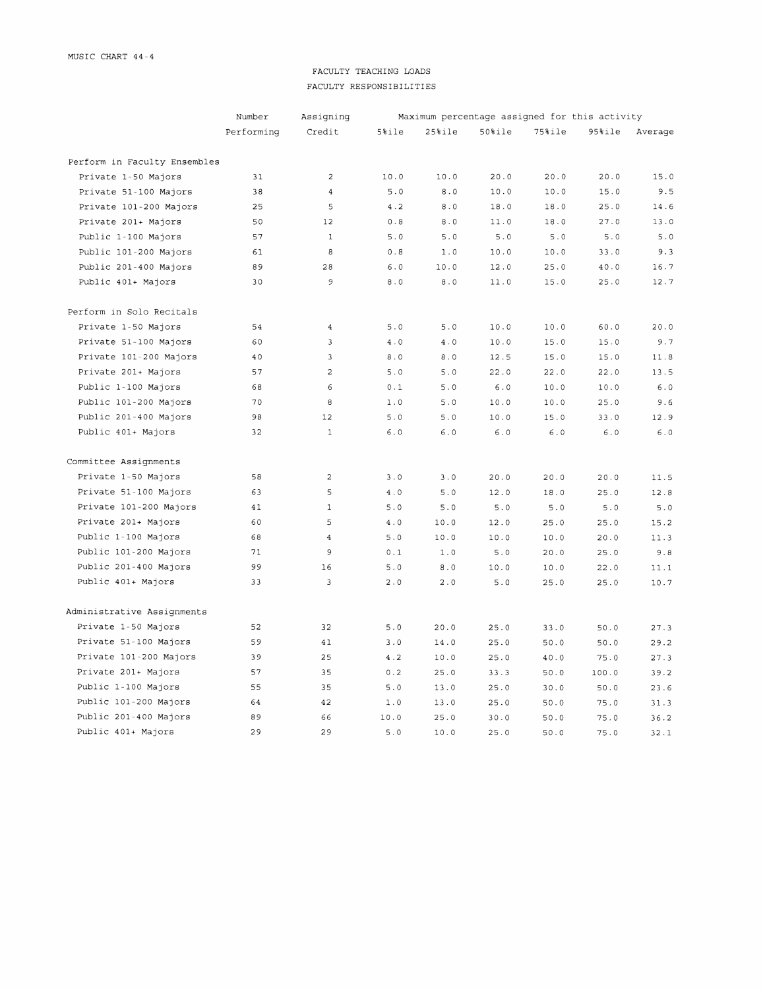## FACULTY TEACHING LOADS FACULTY RESPONSIBILITIES

|                              | Number     | Assigning         |               |        |            | Maximum percentage assigned for this activity |        |         |
|------------------------------|------------|-------------------|---------------|--------|------------|-----------------------------------------------|--------|---------|
|                              | Performing | Credit            | $5%$ ile      | 25%ile | $50$ $ile$ | $75%$ ile                                     | 95%ile | Average |
| Perform in Faculty Ensembles |            |                   |               |        |            |                                               |        |         |
| Private 1-50 Majors          | 31         | $\overline{2}$    | 10.0          | 10.0   | 20.0       | 20.0                                          | 20.0   | 15.0    |
| Private 51-100 Majors        | 38         | $\overline{4}$    | 5.0           | 8.0    | 10.0       | 10.0                                          | 15.0   | 9.5     |
| Private 101-200 Majors       | 25         | 5                 | 4.2           | $8.0$  | 18.0       | 18.0                                          | 25.0   | 14.6    |
| Private 201+ Majors          | 50         | $12 \overline{ }$ | 0.8           | $8.0$  | 11.0       | 18.0                                          | 27.0   | 13.0    |
| Public 1-100 Majors          | 57         | $\mathbf{1}$      | 5.0           | 5.0    | 5.0        | 5.0                                           | 5.0    | 5.0     |
| Public 101-200 Majors        | 61         | 8                 | $0.8$         | 1.0    | 10.0       | 10.0                                          | 33.0   | 9.3     |
| Public 201-400 Majors        | 89         | 28                | $6.0$         | 10.0   | 12.0       | 25.0                                          | $40.0$ | 16.7    |
| Public 401+ Majors           | 30         | 9                 | 8.0           | 8.0    | 11.0       | 15.0                                          | 25.0   | 12.7    |
| Perform in Solo Recitals     |            |                   |               |        |            |                                               |        |         |
| Private 1-50 Majors          | 54         | $\overline{4}$    | 5.0           | 5.0    | 10.0       | 10.0                                          | 60.0   | 20.0    |
| Private 51-100 Majors        | 60         | $\overline{3}$    | 4.0           | 4.0    | 10.0       | 15.0                                          | 15.0   | 9.7     |
| Private 101-200 Majors       | 40         | 3                 | $8.0\,$       | 8.0    | 12.5       | 15.0                                          | 15.0   | 11.8    |
| Private 201+ Majors          | 57         | $\overline{2}$    | 5.0           | 5.0    | 22.0       | 22.0                                          | 22.0   | 13.5    |
| Public 1-100 Majors          | 68         | 6                 | 0.1           | 5.0    | 6.0        | 10.0                                          | 10.0   | 6.0     |
| Public 101-200 Majors        | 70         | 8                 | 1.0           | 5.0    | 10.0       | 10.0                                          | 25.0   | 9.6     |
| Public 201-400 Majors        | 98         | 12                | 5.0           | 5.0    | 10.0       | 15.0                                          | 33.0   | 12.9    |
| Public 401+ Majors           | 32         | $\mathbf{1}$      | $6.0$         | 6.0    | $6.0$      | $6.0$                                         | 6.0    | $6.0$   |
| Committee Assignments        |            |                   |               |        |            |                                               |        |         |
| Private 1-50 Majors          | 58         | $\overline{c}$    | 3.0           | 3.0    | 20.0       | 20.0                                          | 20.0   | 11.5    |
| Private 51-100 Majors        | 63         | $\mathsf S$       | $4\,$ . $0\,$ | 5.0    | 12.0       | 18.0                                          | 25.0   | 12.8    |
| Private 101-200 Majors       | 41         | $\mathbf{1}$      | $5.0$         | 5.0    | 5.0        | $5.0$                                         | $5.0$  | $5.0$   |
| Private 201+ Majors          | 60         | 5                 | 4.0           | 10.0   | 12.0       | 25.0                                          | 25.0   | 15.2    |
| Public 1-100 Majors          | 68         | $\overline{4}$    | 5.0           | 10.0   | 10.0       | 10.0                                          | 20.0   | 11.3    |
| Public 101-200 Majors        | 71         | 9                 | 0.1           | $1.0$  | 5.0        | 20.0                                          | 25.0   | 9.8     |
| Public 201-400 Majors        | 99         | 16                | 5.0           | 8.0    | 10.0       | 10.0                                          | 22.0   | 11.1    |
| Public 401+ Majors           | 33         | 3                 | 2.0           | 2.0    | 5.0        | 25.0                                          | 25.0   | 10.7    |
| Administrative Assignments   |            |                   |               |        |            |                                               |        |         |
| Private 1-50 Majors          | 52         | 32                | 5.0           | 20.0   | 25.0       | 33.0                                          | 50.0   | 27.3    |
| Private 51-100 Majors        | 59         | 41                | 3.0           | 14.0   | 25.0       | 50.0                                          | 50.0   | 29.2    |
| Private 101-200 Majors       | 39         | 25                | 4.2           | 10.0   | 25.0       | 40.0                                          | 75.0   | 27.3    |
| Private 201+ Majors          | 57         | 35                | 0.2           | 25.0   | 33.3       | 50.0                                          | 100.0  | 39.2    |
| Public 1-100 Majors          | 55         | 35                | 5.0           | 13.0   | 25.0       | 30.0                                          | 50.0   | 23.6    |
| Public 101-200 Majors        | 64         | 42                | $1.0$         | 13.0   | 25.0       | 50.0                                          | 75.0   | 31.3    |
| Public 201-400 Majors        | 89         | 66                | 10.0          | 25.0   | 30.0       | 50.0                                          | 75.0   | 36.2    |
| Public 401+ Majors           | 29         | 29                | 5.0           | 10.0   | 25.0       | 50.0                                          | 75.0   | 32.1    |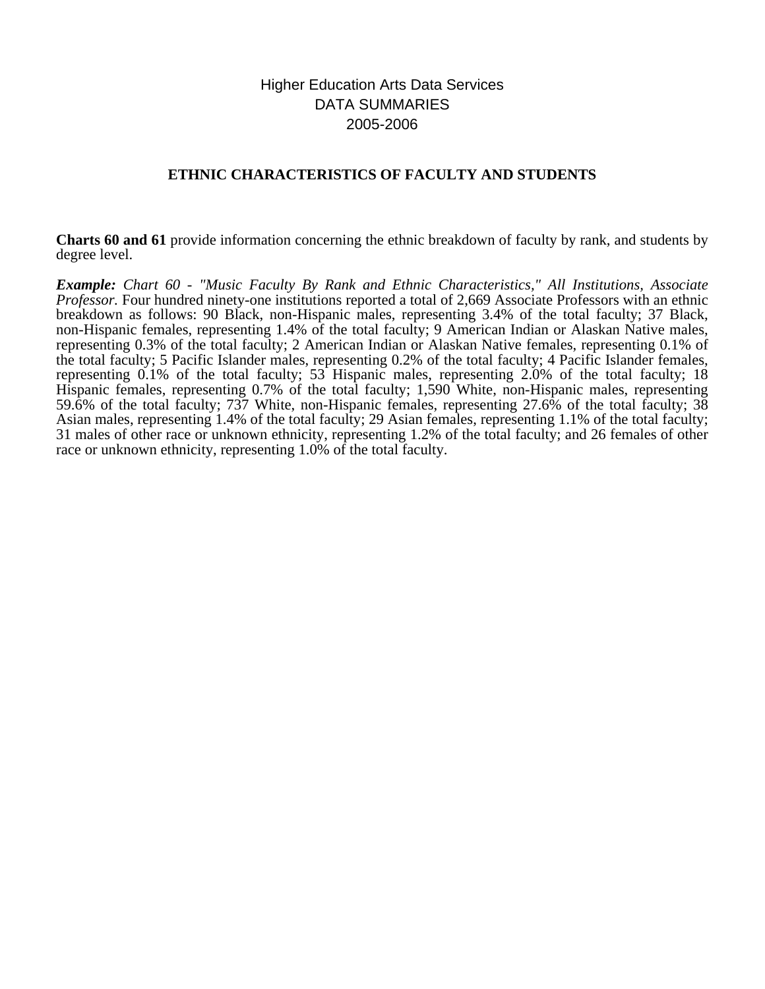# Higher Education Arts Data Services DATA SUMMARIES 2005-2006

## **ETHNIC CHARACTERISTICS OF FACULTY AND STUDENTS**

**Charts 60 and 61** provide information concerning the ethnic breakdown of faculty by rank, and students by degree level.

*Example: Chart 60 - "Music Faculty By Rank and Ethnic Characteristics," All Institutions, Associate Professor.* Four hundred ninety-one institutions reported a total of 2,669 Associate Professors with an ethnic breakdown as follows: 90 Black, non-Hispanic males, representing 3.4% of the total faculty; 37 Black, non-Hispanic females, representing 1.4% of the total faculty; 9 American Indian or Alaskan Native males, representing 0.3% of the total faculty; 2 American Indian or Alaskan Native females, representing 0.1% of the total faculty; 5 Pacific Islander males, representing 0.2% of the total faculty; 4 Pacific Islander females, representing 0.1% of the total faculty; 53 Hispanic males, representing 2.0% of the total faculty; 18 Hispanic females, representing 0.7% of the total faculty; 1,590 White, non-Hispanic males, representing 59.6% of the total faculty; 737 White, non-Hispanic females, representing 27.6% of the total faculty; 38 Asian males, representing 1.4% of the total faculty; 29 Asian females, representing 1.1% of the total faculty; 31 males of other race or unknown ethnicity, representing 1.2% of the total faculty; and 26 females of other race or unknown ethnicity, representing 1.0% of the total faculty.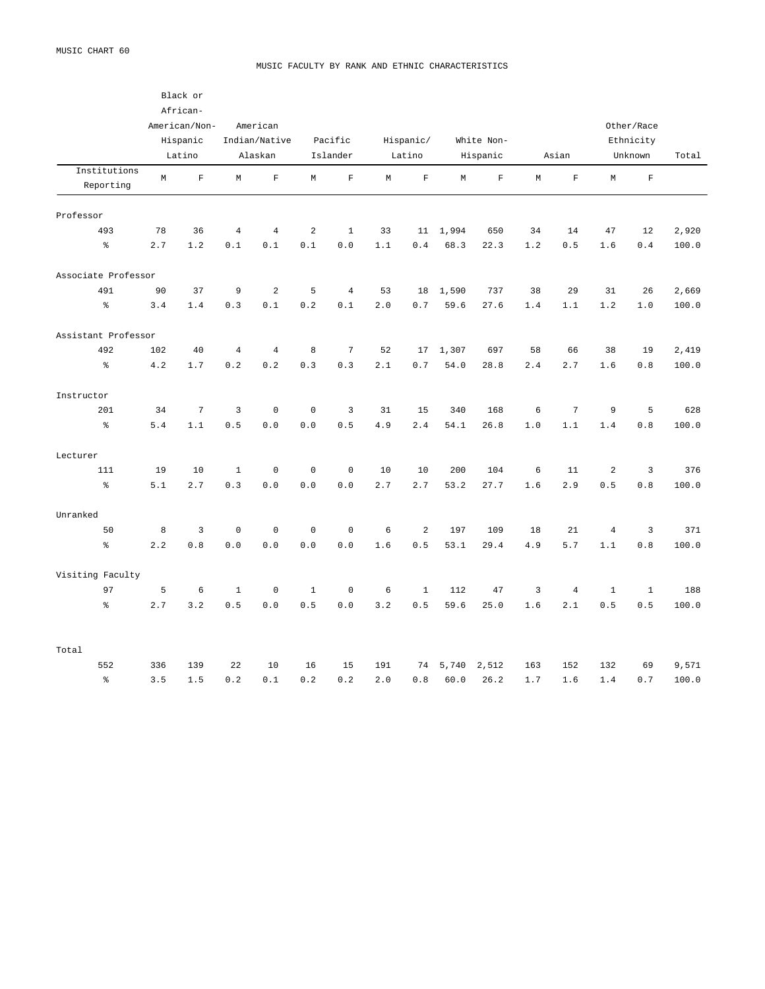#### MUSIC FACULTY BY RANK AND ETHNIC CHARACTERISTICS

|                           |             | Black or<br>African-<br>American/Non-<br>Hispanic<br>Latino |                | American<br>Indian/Native<br>Alaskan |                | Pacific<br>Islander |             | Hispanic/<br>Latino |             | White Non-<br>Hispanic |             | Asian          |              | Other/Race<br>Ethnicity<br>Unknown | Total |
|---------------------------|-------------|-------------------------------------------------------------|----------------|--------------------------------------|----------------|---------------------|-------------|---------------------|-------------|------------------------|-------------|----------------|--------------|------------------------------------|-------|
| Institutions<br>Reporting | $\mathbb M$ | $\mathbf F$                                                 | M              | $\mathbf F$                          | M              | $\mathbf{F}$        | $\mathbb M$ | $\mathbf F$         | $\mathbb M$ | $\mathbf F$            | $\mathbb M$ | $\mathbf{F}$   | $\mathbb M$  | $\mathbf F$                        |       |
| Professor                 |             |                                                             |                |                                      |                |                     |             |                     |             |                        |             |                |              |                                    |       |
| 493                       | 78          | 36                                                          | $\overline{4}$ | $\overline{4}$                       | $\overline{a}$ | $\mathbf{1}$        | 33          | 11                  | 1,994       | 650                    | 34          | 14             | 47           | 12                                 | 2,920 |
| $\rm _{o}^{\rm o}$        | 2.7         | $1.2\,$                                                     | 0.1            | 0.1                                  | $0.1\,$        | $0.0$               | 1.1         | 0.4                 | 68.3        | 22.3                   | $1.2\,$     | $0.5\,$        | 1.6          | 0.4                                | 100.0 |
| Associate Professor       |             |                                                             |                |                                      |                |                     |             |                     |             |                        |             |                |              |                                    |       |
| 491                       | 90          | 37                                                          | 9              | $\overline{a}$                       | 5              | $\overline{4}$      | 53          | 18                  | 1,590       | 737                    | 38          | 29             | 31           | 26                                 | 2,669 |
| $\rm _{e}^{\circ}$        | 3.4         | 1.4                                                         | 0.3            | 0.1                                  | 0.2            | 0.1                 | 2.0         | 0.7                 | 59.6        | 27.6                   | 1.4         | 1.1            | 1.2          | 1.0                                | 100.0 |
| Assistant Professor       |             |                                                             |                |                                      |                |                     |             |                     |             |                        |             |                |              |                                    |       |
| 492                       | 102         | 40                                                          | $\overline{4}$ | $\overline{4}$                       | 8              | $\overline{7}$      | 52          | 17                  | 1,307       | 697                    | 58          | 66             | 38           | 19                                 | 2,419 |
| $\frac{9}{6}$             | 4.2         | 1.7                                                         | 0.2            | 0.2                                  | 0.3            | 0.3                 | 2.1         | 0.7                 | 54.0        | 28.8                   | 2.4         | 2.7            | 1.6          | 0.8                                | 100.0 |
| Instructor                |             |                                                             |                |                                      |                |                     |             |                     |             |                        |             |                |              |                                    |       |
| 201                       | 34          | $\overline{7}$                                              | 3              | $\mathbb O$                          | $\mathbf 0$    | 3                   | 31          | 15                  | 340         | 168                    | $\sqrt{6}$  | $\sqrt{ }$     | 9            | 5                                  | 628   |
| $\epsilon$                | 5.4         | 1.1                                                         | 0.5            | 0.0                                  | 0.0            | 0.5                 | 4.9         | 2.4                 | 54.1        | 26.8                   | 1.0         | 1.1            | 1.4          | 0.8                                | 100.0 |
| Lecturer                  |             |                                                             |                |                                      |                |                     |             |                     |             |                        |             |                |              |                                    |       |
| 111                       | 19          | 10                                                          | $\mathbf{1}$   | $\mathbf 0$                          | $\mathsf 0$    | $\mathbf{0}$        | 10          | 10                  | 200         | 104                    | 6           | 11             | 2            | $\overline{3}$                     | 376   |
| $\mathsf{S}^{\mathsf{c}}$ | 5.1         | 2.7                                                         | 0.3            | $0.0$                                | $0.0$          | $0.0$               | 2.7         | 2.7                 | 53.2        | 27.7                   | 1.6         | 2.9            | 0.5          | $\ensuremath{\mathbf 0}$ .<br>8    | 100.0 |
| Unranked                  |             |                                                             |                |                                      |                |                     |             |                     |             |                        |             |                |              |                                    |       |
| 50                        | $\,8\,$     | $\overline{3}$                                              | $\mathbb O$    | $\mathbb O$                          | $\mathsf 0$    | $\mathbf 0$         | $\epsilon$  | $\sqrt{2}$          | 197         | 109                    | 18          | 21             | $\sqrt{4}$   | $\overline{3}$                     | 371   |
| $\mathsf{S}^{\mathsf{c}}$ | 2.2         | 0.8                                                         | 0.0            | 0.0                                  | 0.0            | 0.0                 | $1.6\,$     | 0.5                 | 53.1        | 29.4                   | 4.9         | $5.7$          | 1.1          | 0.8                                | 100.0 |
| Visiting Faculty          |             |                                                             |                |                                      |                |                     |             |                     |             |                        |             |                |              |                                    |       |
| 97                        | 5           | 6                                                           | $\mathbf{1}$   | $\mathbf 0$                          | $\mathbf{1}$   | $\mathbf 0$         | 6           | $\mathbf{1}$        | 112         | 47                     | 3           | $\overline{4}$ | $\mathbf{1}$ | $\mathbf{1}$                       | 188   |
| နွ                        | 2.7         | 3.2                                                         | $0.5$          | $0.0$                                | $0.5$          | $0.0$               | 3.2         | $0.5$               | 59.6        | 25.0                   | 1.6         | 2.1            | $0.5$        | $0.5$                              | 100.0 |
| Total                     |             |                                                             |                |                                      |                |                     |             |                     |             |                        |             |                |              |                                    |       |
| 552                       | 336         | 139                                                         | 22             | 10                                   | 16             | 15                  | 191         | 74                  | 5,740       | 2,512                  | 163         | 152            | 132          | 69                                 | 9,571 |
| $\,$ $\,$ $\,$            | 3.5         | 1.5                                                         | 0.2            | 0.1                                  | 0.2            | 0.2                 | 2.0         | 0.8                 | 60.0        | 26.2                   | 1.7         | 1.6            | 1.4          | 0.7                                | 100.0 |
|                           |             |                                                             |                |                                      |                |                     |             |                     |             |                        |             |                |              |                                    |       |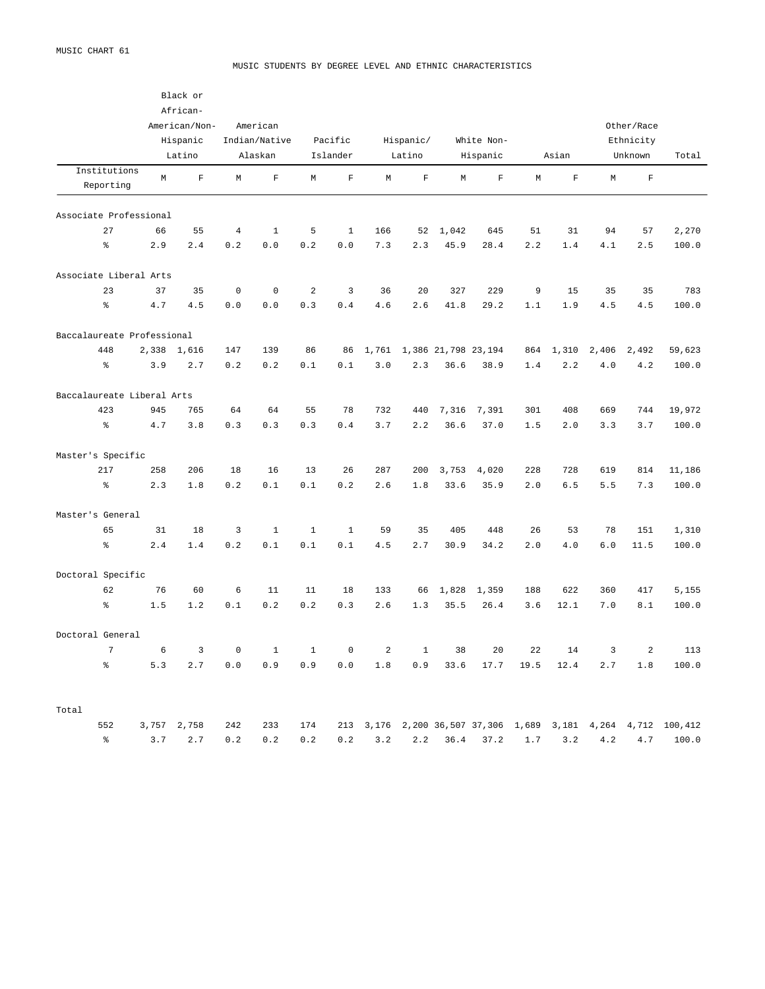#### MUSIC STUDENTS BY DEGREE LEVEL AND ETHNIC CHARACTERISTICS

|                            |       | Black or                            |             |                          |              |                     |                |                     |       |                        |         |                         |       |                         |         |
|----------------------------|-------|-------------------------------------|-------------|--------------------------|--------------|---------------------|----------------|---------------------|-------|------------------------|---------|-------------------------|-------|-------------------------|---------|
|                            |       | African-                            |             |                          |              |                     |                |                     |       |                        |         |                         |       |                         |         |
|                            |       | American/Non-<br>Hispanic<br>Latino |             | American                 |              |                     |                |                     |       |                        |         |                         |       | Other/Race              |         |
|                            |       |                                     |             | Indian/Native<br>Alaskan |              | Pacific<br>Islander |                | Hispanic/<br>Latino |       | White Non-<br>Hispanic |         | Ethnicity               |       |                         |         |
|                            |       |                                     |             |                          |              |                     |                |                     |       |                        |         | Asian                   |       | Unknown                 |         |
| Institutions               |       |                                     |             |                          |              |                     |                |                     |       |                        |         |                         |       |                         |         |
| Reporting                  | M     | $\overline{\mathrm{F}}$             | М           | $\overline{\mathrm{F}}$  | М            | $\mathbf F$         | $\mathbb M$    | $\mathbf F$         | М     | $\mathbf F$            | M       | $\overline{\mathrm{F}}$ | M     | $\overline{\mathrm{F}}$ |         |
| Associate Professional     |       |                                     |             |                          |              |                     |                |                     |       |                        |         |                         |       |                         |         |
| 27                         | 66    | 55                                  | $\,4$       | $\mathbf{1}$             | 5            | $\mathbf{1}$        | 166            | 52                  | 1,042 | 645                    | 51      | 31                      | 94    | 57                      | 2,270   |
| $\,$ $\,$ $\,$             | 2.9   | 2.4                                 | 0.2         | 0.0                      | 0.2          | 0.0                 | 7.3            | 2.3                 | 45.9  | 28.4                   | 2.2     | 1.4                     | 4.1   | 2.5                     | 100.0   |
| Associate Liberal Arts     |       |                                     |             |                          |              |                     |                |                     |       |                        |         |                         |       |                         |         |
| 23                         | 37    | 35                                  | $\mathbb O$ | $\mathbb O$              | $\sqrt{2}$   | 3                   | 36             | 20                  | 327   | 229                    | 9       | 15                      | 35    | 35                      | 783     |
| $\,$ $\,$ $\,$             | 4.7   | 4.5                                 | 0.0         | 0.0                      | 0.3          | 0.4                 | 4.6            | 2.6                 | 41.8  | 29.2                   | 1.1     | 1.9                     | 4.5   | 4.5                     | 100.0   |
| Baccalaureate Professional |       |                                     |             |                          |              |                     |                |                     |       |                        |         |                         |       |                         |         |
| 448                        | 2,338 | 1,616                               | 147         | 139                      | 86           | 86                  | 1,761          |                     |       | 1,386 21,798 23,194    | 864     | 1,310                   | 2,406 | 2,492                   | 59,623  |
| $\frac{6}{6}$              | 3.9   | 2.7                                 | 0.2         | 0.2                      | 0.1          | 0.1                 | 3.0            | 2.3                 | 36.6  | 38.9                   | 1.4     | 2.2                     | 4.0   | 4.2                     | 100.0   |
| Baccalaureate Liberal Arts |       |                                     |             |                          |              |                     |                |                     |       |                        |         |                         |       |                         |         |
| 423                        | 945   | 765                                 | 64          | 64                       | 55           | 78                  | 732            | 440                 | 7,316 | 7,391                  | 301     | 408                     | 669   | 744                     | 19,972  |
| $\,$ $\,$ $\,$             | 4.7   | 3.8                                 | 0.3         | 0.3                      | 0.3          | 0.4                 | 3.7            | 2.2                 | 36.6  | 37.0                   | 1.5     | 2.0                     | 3.3   | 3.7                     | 100.0   |
| Master's Specific          |       |                                     |             |                          |              |                     |                |                     |       |                        |         |                         |       |                         |         |
| 217                        | 258   | 206                                 | 18          | 16                       | 13           | 26                  | 287            | 200                 | 3,753 | 4,020                  | 228     | 728                     | 619   | 814                     | 11,186  |
| $\,$ $\,$ $\,$             | 2.3   | 1.8                                 | $0.2$       | $0.1\,$                  | 0.1          | 0.2                 | 2.6            | 1.8                 | 33.6  | 35.9                   | 2.0     | 6.5                     | 5.5   | 7.3                     | 100.0   |
| Master's General           |       |                                     |             |                          |              |                     |                |                     |       |                        |         |                         |       |                         |         |
| 65                         | 31    | 18                                  | 3           | $\mathbf{1}$             | $\mathbf{1}$ | $\mathbf{1}$        | 59             | 35                  | 405   | 448                    | 26      | 53                      | 78    | 151                     | 1,310   |
| $\,$ $\,$ $\,$             | 2.4   | 1.4                                 | 0.2         | 0.1                      | 0.1          | 0.1                 | 4.5            | 2.7                 | 30.9  | 34.2                   | 2.0     | 4.0                     | 6.0   | 11.5                    | 100.0   |
| Doctoral Specific          |       |                                     |             |                          |              |                     |                |                     |       |                        |         |                         |       |                         |         |
| 62                         | 76    | 60                                  | 6           | 11                       | 11           | 18                  | 133            | 66                  | 1,828 | 1,359                  | 188     | 622                     | 360   | 417                     | 5,155   |
| $\frac{6}{6}$              | 1.5   | 1.2                                 | 0.1         | 0.2                      | 0.2          | 0.3                 | 2.6            | 1.3                 | 35.5  | 26.4                   | 3.6     | 12.1                    | 7.0   | 8.1                     | 100.0   |
| Doctoral General           |       |                                     |             |                          |              |                     |                |                     |       |                        |         |                         |       |                         |         |
| $\overline{7}$             | 6     | $\overline{3}$                      | $\mathbf 0$ | $\mathbf{1}$             | $\mathbf{1}$ | $\mathbf 0$         | $\overline{a}$ | $\mathbf{1}$        | 38    | 20                     | 22      | 14                      | 3     | 2                       | 113     |
| $\,$ $\,$ $\,$             | 5.3   | 2.7                                 | 0.0         | 0.9                      | 0.9          | 0.0                 | 1.8            | 0.9                 | 33.6  | 17.7                   | 19.5    | 12.4                    | 2.7   | 1.8                     | 100.0   |
| Total                      |       |                                     |             |                          |              |                     |                |                     |       |                        |         |                         |       |                         |         |
| 552                        | 3,757 | 2,758                               | 242         | 233                      | 174          | 213                 | 3,176          |                     |       | 2,200 36,507 37,306    | 1,689   | 3,181                   | 4,264 | 4,712                   | 100,412 |
| န့                         | 3.7   | 2.7                                 | 0.2         | 0.2                      | 0.2          | 0.2                 | 3.2            | 2.2                 | 36.4  | 37.2                   | $1\,.7$ | 3.2                     | 4.2   | 4.7                     | 100.0   |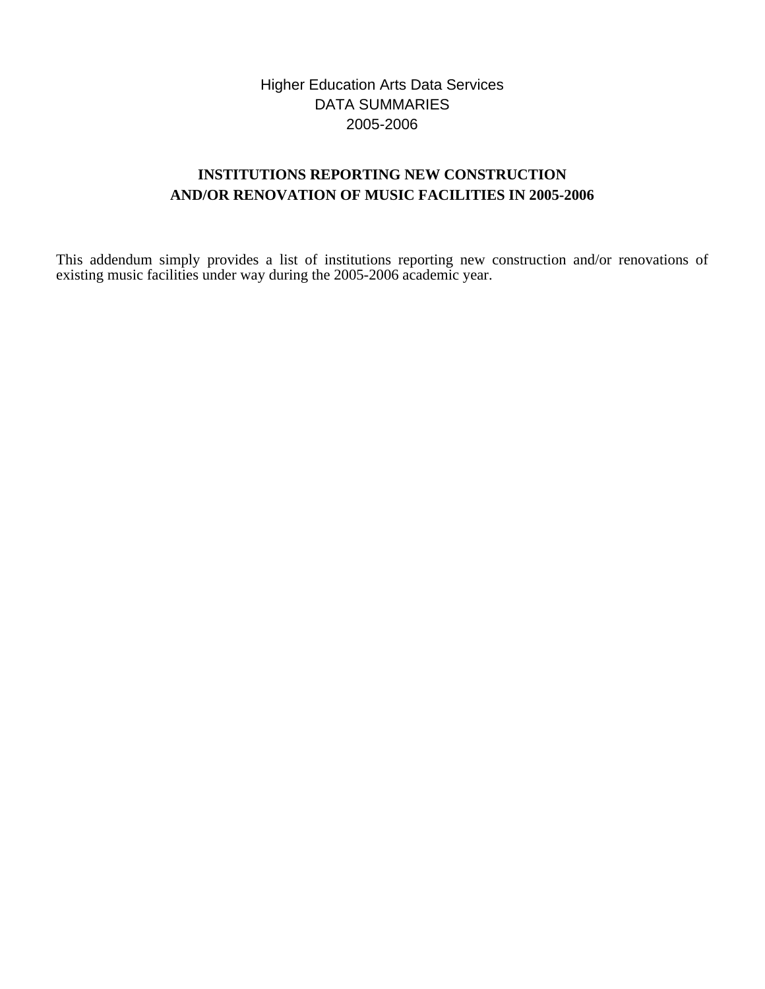# Higher Education Arts Data Services DATA SUMMARIES 2005-2006

# **INSTITUTIONS REPORTING NEW CONSTRUCTION AND/OR RENOVATION OF MUSIC FACILITIES IN 2005-2006**

This addendum simply provides a list of institutions reporting new construction and/or renovations of existing music facilities under way during the 2005-2006 academic year.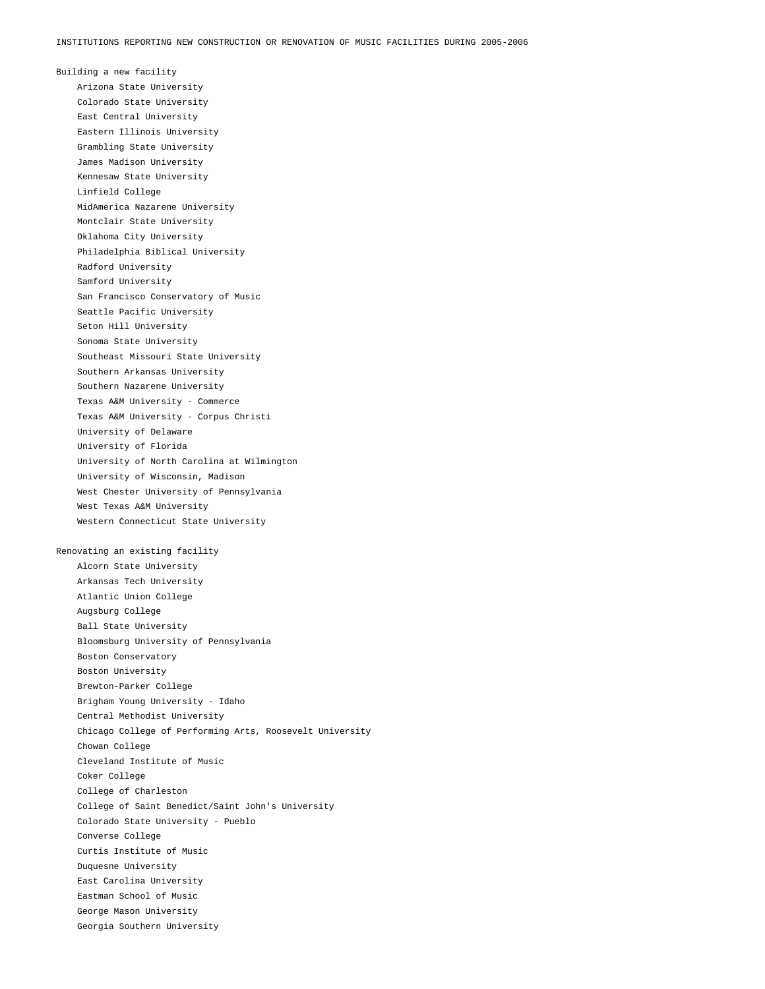Building a new facility Arizona State University Colorado State University East Central University Eastern Illinois University Grambling State University James Madison University Kennesaw State University Linfield College MidAmerica Nazarene University Montclair State University Oklahoma City University Philadelphia Biblical University Radford University Samford University San Francisco Conservatory of Music Seattle Pacific University Seton Hill University Sonoma State University Southeast Missouri State University Southern Arkansas University Southern Nazarene University Texas A&M University - Commerce Texas A&M University - Corpus Christi University of Delaware University of Florida University of North Carolina at Wilmington University of Wisconsin, Madison West Chester University of Pennsylvania West Texas A&M University Western Connecticut State University Renovating an existing facility Alcorn State University Arkansas Tech University Atlantic Union College Augsburg College Ball State University Bloomsburg University of Pennsylvania Boston Conservatory Boston University Brewton-Parker College Brigham Young University - Idaho Central Methodist University Chicago College of Performing Arts, Roosevelt University Chowan College Cleveland Institute of Music Coker College College of Charleston College of Saint Benedict/Saint John's University Colorado State University - Pueblo Converse College Curtis Institute of Music Duquesne University East Carolina University Eastman School of Music

George Mason University

Georgia Southern University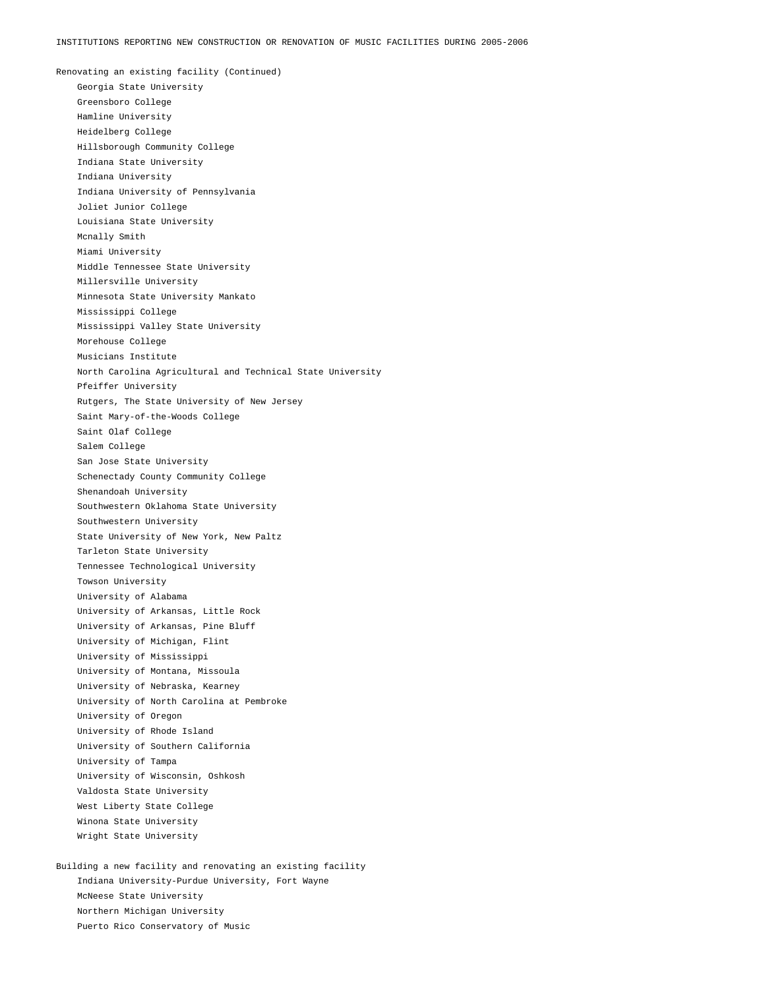Renovating an existing facility (Continued) Georgia State University Greensboro College Hamline University Heidelberg College Hillsborough Community College Indiana State University Indiana University Indiana University of Pennsylvania Joliet Junior College Louisiana State University Mcnally Smith Miami University Middle Tennessee State University Millersville University Minnesota State University Mankato Mississippi College Mississippi Valley State University Morehouse College Musicians Institute North Carolina Agricultural and Technical State University Pfeiffer University Rutgers, The State University of New Jersey Saint Mary-of-the-Woods College Saint Olaf College Salem College San Jose State University Schenectady County Community College Shenandoah University Southwestern Oklahoma State University Southwestern University State University of New York, New Paltz Tarleton State University Tennessee Technological University Towson University University of Alabama University of Arkansas, Little Rock University of Arkansas, Pine Bluff University of Michigan, Flint University of Mississippi University of Montana, Missoula University of Nebraska, Kearney University of North Carolina at Pembroke University of Oregon University of Rhode Island University of Southern California University of Tampa University of Wisconsin, Oshkosh Valdosta State University West Liberty State College Winona State University Wright State University

Building a new facility and renovating an existing facility Indiana University-Purdue University, Fort Wayne McNeese State University Northern Michigan University Puerto Rico Conservatory of Music